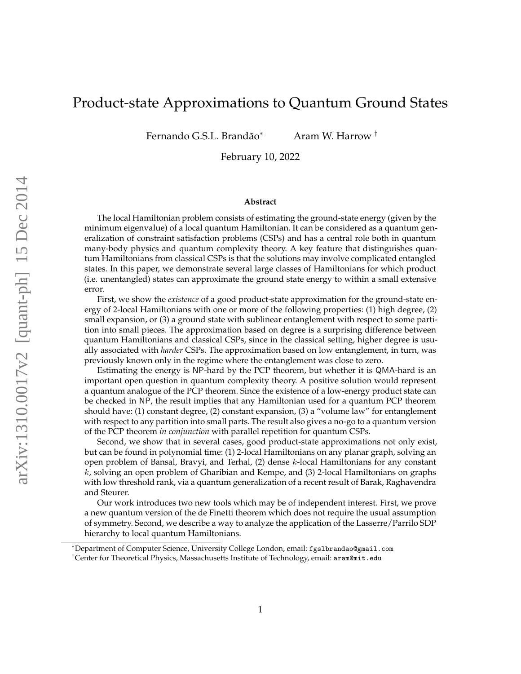# Product-state Approximations to Quantum Ground States

Fernando G.S.L. Brandão\*

<sup>∗</sup> Aram W. Harrow †

February 10, 2022

#### **Abstract**

The local Hamiltonian problem consists of estimating the ground-state energy (given by the minimum eigenvalue) of a local quantum Hamiltonian. It can be considered as a quantum generalization of constraint satisfaction problems (CSPs) and has a central role both in quantum many-body physics and quantum complexity theory. A key feature that distinguishes quantum Hamiltonians from classical CSPs is that the solutions may involve complicated entangled states. In this paper, we demonstrate several large classes of Hamiltonians for which product (i.e. unentangled) states can approximate the ground state energy to within a small extensive error.

First, we show the *existence* of a good product-state approximation for the ground-state energy of 2-local Hamiltonians with one or more of the following properties: (1) high degree, (2) small expansion, or (3) a ground state with sublinear entanglement with respect to some partition into small pieces. The approximation based on degree is a surprising difference between quantum Hamiltonians and classical CSPs, since in the classical setting, higher degree is usually associated with *harder* CSPs. The approximation based on low entanglement, in turn, was previously known only in the regime where the entanglement was close to zero.

Estimating the energy is NP-hard by the PCP theorem, but whether it is QMA-hard is an important open question in quantum complexity theory. A positive solution would represent a quantum analogue of the PCP theorem. Since the existence of a low-energy product state can be checked in NP, the result implies that any Hamiltonian used for a quantum PCP theorem should have: (1) constant degree, (2) constant expansion, (3) a "volume law" for entanglement with respect to any partition into small parts. The result also gives a no-go to a quantum version of the PCP theorem *in conjunction* with parallel repetition for quantum CSPs.

Second, we show that in several cases, good product-state approximations not only exist, but can be found in polynomial time: (1) 2-local Hamiltonians on any planar graph, solving an open problem of Bansal, Bravyi, and Terhal,  $(2)$  dense k-local Hamiltonians for any constant  $k$ , solving an open problem of Gharibian and Kempe, and  $(3)$  2-local Hamiltonians on graphs with low threshold rank, via a quantum generalization of a recent result of Barak, Raghavendra and Steurer.

Our work introduces two new tools which may be of independent interest. First, we prove a new quantum version of the de Finetti theorem which does not require the usual assumption of symmetry. Second, we describe a way to analyze the application of the Lasserre/Parrilo SDP hierarchy to local quantum Hamiltonians.

<sup>∗</sup>Department of Computer Science, University College London, email: fgslbrandao@gmail.com †Center for Theoretical Physics, Massachusetts Institute of Technology, email: aram@mit.edu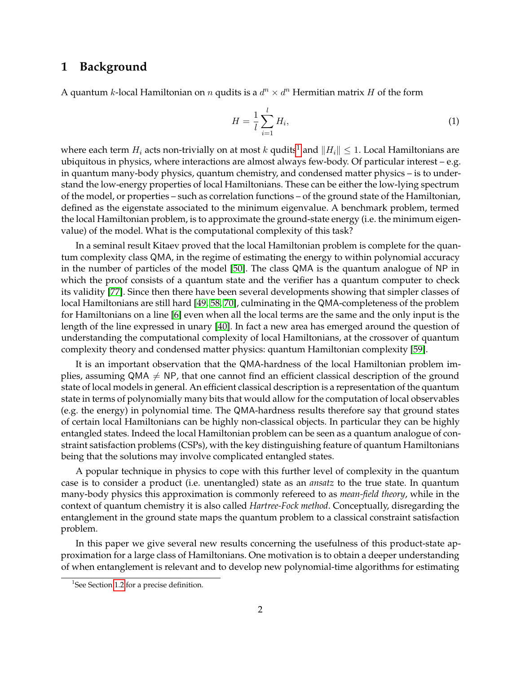## **1 Background**

A quantum k-local Hamiltonian on n qudits is a  $d^n \times d^n$  Hermitian matrix H of the form

$$
H = \frac{1}{l} \sum_{i=1}^{l} H_i,
$$
\n(1)

where each term  $H_i$  acts non-trivially on at most k qudits<sup>[1](#page-1-0)</sup> and  $||H_i|| \leq 1$ . Local Hamiltonians are ubiquitous in physics, where interactions are almost always few-body. Of particular interest – e.g. in quantum many-body physics, quantum chemistry, and condensed matter physics – is to understand the low-energy properties of local Hamiltonians. These can be either the low-lying spectrum of the model, or properties – such as correlation functions – of the ground state of the Hamiltonian, defined as the eigenstate associated to the minimum eigenvalue. A benchmark problem, termed the local Hamiltonian problem, is to approximate the ground-state energy (i.e. the minimum eigenvalue) of the model. What is the computational complexity of this task?

In a seminal result Kitaev proved that the local Hamiltonian problem is complete for the quantum complexity class QMA, in the regime of estimating the energy to within polynomial accuracy in the number of particles of the model [\[50\]](#page-42-0). The class QMA is the quantum analogue of NP in which the proof consists of a quantum state and the verifier has a quantum computer to check its validity [\[77\]](#page-44-0). Since then there have been several developments showing that simpler classes of local Hamiltonians are still hard [\[49,](#page-42-1) [58,](#page-43-0) [70\]](#page-44-1), culminating in the QMA-completeness of the problem for Hamiltonians on a line [\[6\]](#page-40-0) even when all the local terms are the same and the only input is the length of the line expressed in unary [\[40\]](#page-42-2). In fact a new area has emerged around the question of understanding the computational complexity of local Hamiltonians, at the crossover of quantum complexity theory and condensed matter physics: quantum Hamiltonian complexity [\[59\]](#page-43-1).

It is an important observation that the QMA-hardness of the local Hamiltonian problem implies, assuming QMA  $\neq$  NP, that one cannot find an efficient classical description of the ground state of local models in general. An efficient classical description is a representation of the quantum state in terms of polynomially many bits that would allow for the computation of local observables (e.g. the energy) in polynomial time. The QMA-hardness results therefore say that ground states of certain local Hamiltonians can be highly non-classical objects. In particular they can be highly entangled states. Indeed the local Hamiltonian problem can be seen as a quantum analogue of constraint satisfaction problems (CSPs), with the key distinguishing feature of quantum Hamiltonians being that the solutions may involve complicated entangled states.

A popular technique in physics to cope with this further level of complexity in the quantum case is to consider a product (i.e. unentangled) state as an *ansatz* to the true state. In quantum many-body physics this approximation is commonly refereed to as *mean-field theory*, while in the context of quantum chemistry it is also called *Hartree-Fock method*. Conceptually, disregarding the entanglement in the ground state maps the quantum problem to a classical constraint satisfaction problem.

In this paper we give several new results concerning the usefulness of this product-state approximation for a large class of Hamiltonians. One motivation is to obtain a deeper understanding of when entanglement is relevant and to develop new polynomial-time algorithms for estimating

<span id="page-1-0"></span><sup>&</sup>lt;sup>1</sup>See Section [1.2](#page-3-0) for a precise definition.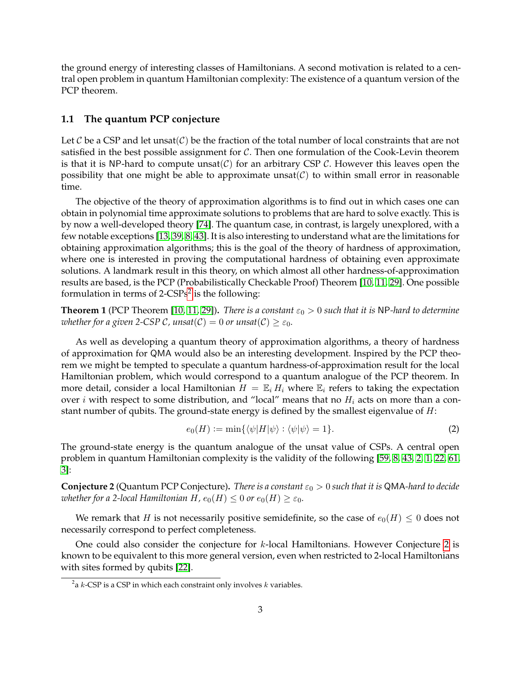the ground energy of interesting classes of Hamiltonians. A second motivation is related to a central open problem in quantum Hamiltonian complexity: The existence of a quantum version of the PCP theorem.

#### **1.1 The quantum PCP conjecture**

Let C be a CSP and let unsat(C) be the fraction of the total number of local constraints that are not satisfied in the best possible assignment for  $C$ . Then one formulation of the Cook-Levin theorem is that it is NP-hard to compute unsat( $C$ ) for an arbitrary CSP  $C$ . However this leaves open the possibility that one might be able to approximate unsat( $C$ ) to within small error in reasonable time.

The objective of the theory of approximation algorithms is to find out in which cases one can obtain in polynomial time approximate solutions to problems that are hard to solve exactly. This is by now a well-developed theory [\[74\]](#page-44-2). The quantum case, in contrast, is largely unexplored, with a few notable exceptions [\[13,](#page-40-1) [39,](#page-42-3) [8,](#page-40-2) [43\]](#page-42-4). It is also interesting to understand what are the limitations for obtaining approximation algorithms; this is the goal of the theory of hardness of approximation, where one is interested in proving the computational hardness of obtaining even approximate solutions. A landmark result in this theory, on which almost all other hardness-of-approximation results are based, is the PCP (Probabilistically Checkable Proof) Theorem [\[10,](#page-40-3) [11,](#page-40-4) [29\]](#page-41-0). One possible formulation in terms of [2](#page-2-0)- $CSPs^2$  is the following:

**Theorem 1** (PCP Theorem [\[10,](#page-40-3) [11,](#page-40-4) [29\]](#page-41-0)). *There is a constant*  $\varepsilon_0 > 0$  *such that it is* NP-hard to determine *whether for a given 2-CSP C, unsat*( $C$ ) = 0 *or unsat*( $C$ )  $\geq \varepsilon_0$ *.* 

As well as developing a quantum theory of approximation algorithms, a theory of hardness of approximation for QMA would also be an interesting development. Inspired by the PCP theorem we might be tempted to speculate a quantum hardness-of-approximation result for the local Hamiltonian problem, which would correspond to a quantum analogue of the PCP theorem. In more detail, consider a local Hamiltonian  $H = \mathbb{E}_i H_i$  where  $\mathbb{E}_i$  refers to taking the expectation over *i* with respect to some distribution, and "local" means that no  $H_i$  acts on more than a constant number of qubits. The ground-state energy is defined by the smallest eigenvalue of  $H$ :

$$
e_0(H) := \min\{\langle \psi | H | \psi \rangle : \langle \psi | \psi \rangle = 1\}.
$$
 (2)

The ground-state energy is the quantum analogue of the unsat value of CSPs. A central open problem in quantum Hamiltonian complexity is the validity of the following [\[59,](#page-43-1) [8,](#page-40-2) [43,](#page-42-4) [2,](#page-40-5) [1,](#page-40-6) [22,](#page-41-1) [61,](#page-43-2) [3\]](#page-40-7):

<span id="page-2-1"></span>**Conjecture 2** (Quantum PCP Conjecture). *There is a constant*  $\varepsilon_0 > 0$  *such that it is* QMA-hard to decide *whether for a 2-local Hamiltonian H,*  $e_0(H) \leq 0$  *or*  $e_0(H) \geq \varepsilon_0$ *.* 

We remark that H is not necessarily positive semidefinite, so the case of  $e_0(H) \leq 0$  does not necessarily correspond to perfect completeness.

One could also consider the conjecture for  $k$ -local Hamiltonians. However Conjecture [2](#page-2-1) is known to be equivalent to this more general version, even when restricted to 2-local Hamiltonians with sites formed by qubits [\[22\]](#page-41-1).

<span id="page-2-0"></span> $^2$ a  $k$ -CSP is a CSP in which each constraint only involves  $k$  variables.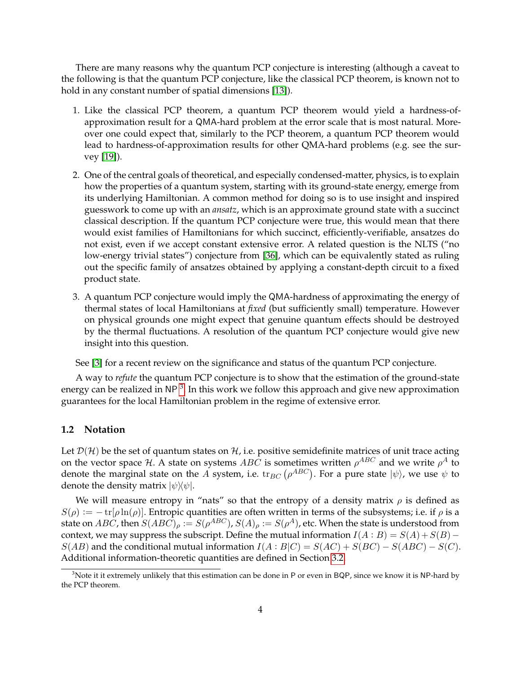There are many reasons why the quantum PCP conjecture is interesting (although a caveat to the following is that the quantum PCP conjecture, like the classical PCP theorem, is known not to hold in any constant number of spatial dimensions [\[13\]](#page-40-1)).

- 1. Like the classical PCP theorem, a quantum PCP theorem would yield a hardness-ofapproximation result for a QMA-hard problem at the error scale that is most natural. Moreover one could expect that, similarly to the PCP theorem, a quantum PCP theorem would lead to hardness-of-approximation results for other QMA-hard problems (e.g. see the survey [\[19\]](#page-41-2)).
- 2. One of the central goals of theoretical, and especially condensed-matter, physics, is to explain how the properties of a quantum system, starting with its ground-state energy, emerge from its underlying Hamiltonian. A common method for doing so is to use insight and inspired guesswork to come up with an *ansatz*, which is an approximate ground state with a succinct classical description. If the quantum PCP conjecture were true, this would mean that there would exist families of Hamiltonians for which succinct, efficiently-verifiable, ansatzes do not exist, even if we accept constant extensive error. A related question is the NLTS ("no low-energy trivial states") conjecture from [\[36\]](#page-42-5), which can be equivalently stated as ruling out the specific family of ansatzes obtained by applying a constant-depth circuit to a fixed product state.
- 3. A quantum PCP conjecture would imply the QMA-hardness of approximating the energy of thermal states of local Hamiltonians at *fixed* (but sufficiently small) temperature. However on physical grounds one might expect that genuine quantum effects should be destroyed by the thermal fluctuations. A resolution of the quantum PCP conjecture would give new insight into this question.

See [\[3\]](#page-40-7) for a recent review on the significance and status of the quantum PCP conjecture.

A way to *refute* the quantum PCP conjecture is to show that the estimation of the ground-state energy can be realized in NP  $^3$  $^3$ . In this work we follow this approach and give new approximation guarantees for the local Hamiltonian problem in the regime of extensive error.

#### <span id="page-3-0"></span>**1.2 Notation**

Let  $\mathcal{D}(\mathcal{H})$  be the set of quantum states on  $\mathcal{H}$ , i.e. positive semidefinite matrices of unit trace acting on the vector space H. A state on systems  $ABC$  is sometimes written  $\rho^{ABC}$  and we write  $\rho^A$  to denote the marginal state on the  $A$  system, i.e.  ${\rm tr}_{BC}\left(\rho^{ABC}\right)$ . For a pure state  $|\psi\rangle$ , we use  $\psi$  to denote the density matrix  $|\psi\rangle\!\langle \psi|$ .

We will measure entropy in "nats" so that the entropy of a density matrix  $\rho$  is defined as  $S(\rho) := -\text{tr}[\rho \ln(\rho)]$ . Entropic quantities are often written in terms of the subsystems; i.e. if  $\rho$  is a state on  $ABC$ , then  $S(ABC)_\rho := S(\rho^{ABC}), S(A)_\rho := S(\rho^A)$ , etc. When the state is understood from context, we may suppress the subscript. Define the mutual information  $I(A : B) = S(A) + S(B) S(AB)$  and the conditional mutual information  $I(A:B|C) = S(AC) + S(BC) - S(ABC) - S(C)$ . Additional information-theoretic quantities are defined in Section [3.2.](#page-17-0)

<span id="page-3-1"></span> $^3$ Note it it extremely unlikely that this estimation can be done in P or even in BQP, since we know it is NP-hard by the PCP theorem.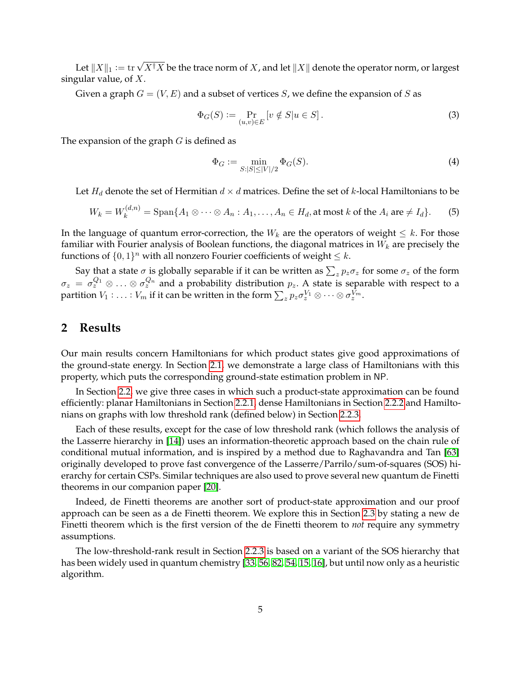Let  $\|X\|_1 \coloneqq \operatorname{tr} \sqrt{X^\dagger X}$  be the trace norm of  $X$ , and let  $\|X\|$  denote the operator norm, or largest singular value, of  $X$ .

Given a graph  $G = (V, E)$  and a subset of vertices S, we define the expansion of S as

$$
\Phi_G(S) := \Pr_{(u,v)\in E} [v \notin S | u \in S]. \tag{3}
$$

The expansion of the graph  $G$  is defined as

<span id="page-4-0"></span>
$$
\Phi_G := \min_{S : |S| \le |V|/2} \Phi_G(S). \tag{4}
$$

Let  $H_d$  denote the set of Hermitian  $d \times d$  matrices. Define the set of k-local Hamiltonians to be

$$
W_k = W_k^{(d,n)} = \text{Span}\{A_1 \otimes \cdots \otimes A_n : A_1, \ldots, A_n \in H_d, \text{at most } k \text{ of the } A_i \text{ are } \neq I_d\}.
$$
 (5)

In the language of quantum error-correction, the  $W_k$  are the operators of weight  $\leq k$ . For those familiar with Fourier analysis of Boolean functions, the diagonal matrices in  $W_k$  are precisely the functions of  $\{0,1\}^n$  with all nonzero Fourier coefficients of weight  $\leq k$ .

Say that a state  $\sigma$  is globally separable if it can be written as  $\sum_z p_z \sigma_z$  for some  $\sigma_z$  of the form  $\sigma_z = \sigma_z^{Q_1} \otimes \ldots \otimes \sigma_z^{Q_n}$  and a probability distribution  $p_z$ . A state is separable with respect to a partition  $V_1: \ldots: V_m$  if it can be written in the form  $\sum_z p_z \sigma_z^{V_1} \otimes \cdots \otimes \sigma_z^{V_m}.$ 

## **2 Results**

Our main results concern Hamiltonians for which product states give good approximations of the ground-state energy. In Section [2.1,](#page-5-0) we demonstrate a large class of Hamiltonians with this property, which puts the corresponding ground-state estimation problem in NP.

In Section [2.2,](#page-12-0) we give three cases in which such a product-state approximation can be found efficiently: planar Hamiltonians in Section [2.2.1,](#page-12-1) dense Hamiltonians in Section [2.2.2](#page-13-0) and Hamiltonians on graphs with low threshold rank (defined below) in Section [2.2.3.](#page-13-1)

Each of these results, except for the case of low threshold rank (which follows the analysis of the Lasserre hierarchy in [\[14\]](#page-40-8)) uses an information-theoretic approach based on the chain rule of conditional mutual information, and is inspired by a method due to Raghavandra and Tan [\[63\]](#page-43-3) originally developed to prove fast convergence of the Lasserre/Parrilo/sum-of-squares (SOS) hierarchy for certain CSPs. Similar techniques are also used to prove several new quantum de Finetti theorems in our companion paper [\[20\]](#page-41-3).

Indeed, de Finetti theorems are another sort of product-state approximation and our proof approach can be seen as a de Finetti theorem. We explore this in Section [2.3](#page-14-0) by stating a new de Finetti theorem which is the first version of the de Finetti theorem to *not* require any symmetry assumptions.

The low-threshold-rank result in Section [2.2.3](#page-13-1) is based on a variant of the SOS hierarchy that has been widely used in quantum chemistry [\[33,](#page-42-6) [56,](#page-43-4) [82,](#page-44-3) [54,](#page-43-5) [15,](#page-40-9) [16\]](#page-40-10), but until now only as a heuristic algorithm.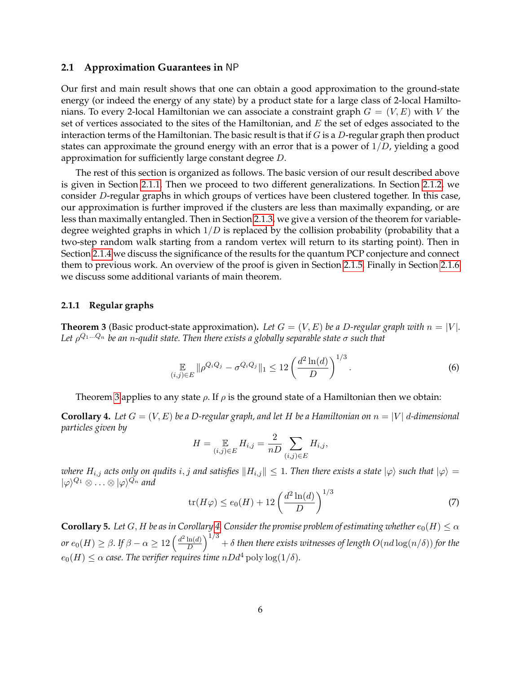#### <span id="page-5-0"></span>**2.1 Approximation Guarantees in** NP

Our first and main result shows that one can obtain a good approximation to the ground-state energy (or indeed the energy of any state) by a product state for a large class of 2-local Hamiltonians. To every 2-local Hamiltonian we can associate a constraint graph  $G = (V, E)$  with V the set of vertices associated to the sites of the Hamiltonian, and  $E$  the set of edges associated to the interaction terms of the Hamiltonian. The basic result is that if  $G$  is a  $D$ -regular graph then product states can approximate the ground energy with an error that is a power of  $1/D$ , yielding a good approximation for sufficiently large constant degree D.

The rest of this section is organized as follows. The basic version of our result described above is given in Section [2.1.1.](#page-5-1) Then we proceed to two different generalizations. In Section [2.1.2,](#page-6-0) we consider D-regular graphs in which groups of vertices have been clustered together. In this case, our approximation is further improved if the clusters are less than maximally expanding, or are less than maximally entangled. Then in Section [2.1.3,](#page-6-1) we give a version of the theorem for variabledegree weighted graphs in which  $1/D$  is replaced by the collision probability (probability that a two-step random walk starting from a random vertex will return to its starting point). Then in Section [2.1.4](#page-7-0) we discuss the significance of the results for the quantum PCP conjecture and connect them to previous work. An overview of the proof is given in Section [2.1.5.](#page-11-0) Finally in Section [2.1.6](#page-11-1) we discuss some additional variants of main theorem.

#### <span id="page-5-1"></span>**2.1.1 Regular graphs**

<span id="page-5-2"></span>**Theorem 3** (Basic product-state approximation). Let  $G = (V, E)$  be a D-regular graph with  $n = |V|$ . *Let* ρ <sup>Q</sup>1...Q<sup>n</sup> *be an* n*-qudit state. Then there exists a globally separable state* σ *such that*

$$
\mathop{\mathbb{E}}_{(i,j)\in E} \|\rho^{Q_i Q_j} - \sigma^{Q_i Q_j}\|_1 \le 12 \left(\frac{d^2 \ln(d)}{D}\right)^{1/3}.\tag{6}
$$

Theorem [3](#page-5-2) applies to any state  $\rho$ . If  $\rho$  is the ground state of a Hamiltonian then we obtain:

<span id="page-5-3"></span>**Corollary 4.** Let  $G = (V, E)$  be a D-regular graph, and let H be a Hamiltonian on  $n = |V|$  d-dimensional *particles given by*

$$
H = \mathop{\mathbb{E}}_{(i,j)\in E} H_{i,j} = \frac{2}{nD} \sum_{(i,j)\in E} H_{i,j},
$$

*where*  $H_{i,j}$  acts only on qudits  $i, j$  and satisfies  $||H_{i,j}|| \leq 1$ . Then there exists a state  $|\varphi\rangle$  such that  $|\varphi\rangle =$  $|\varphi\rangle^{Q_1}\otimes\ldots\otimes|\varphi\rangle^{Q_n}$  and

$$
\operatorname{tr}(H\varphi) \le e_0(H) + 12\left(\frac{d^2\ln(d)}{D}\right)^{1/3} \tag{7}
$$

<span id="page-5-4"></span>**Corollary 5.** *Let* G, H *be as in Corollary* [4.](#page-5-3) *Consider the promise problem of estimating whether*  $e_0(H) \leq \alpha$ *or*  $e_0(H) \ge \beta$ . If  $\beta - \alpha \ge 12 \left( \frac{d^2 \ln(d)}{D} \right)$  $\frac{\ln(d)}{D} \Big)^{1/3} + \delta$  then there exists witnesses of length  $O(nd\log(n/\delta))$  for the  $e_0(H) \leq \alpha$  case. The verifier requires time  $nDd^4$  poly  $\log(1/\delta)$ .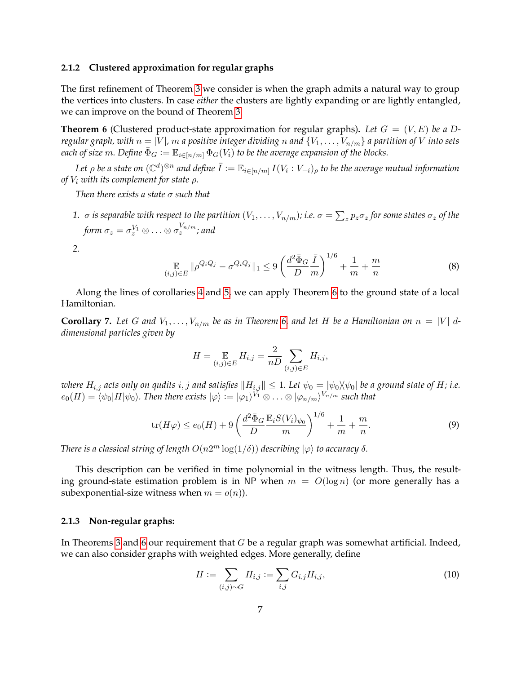#### <span id="page-6-0"></span>**2.1.2 Clustered approximation for regular graphs**

The first refinement of Theorem [3](#page-5-2) we consider is when the graph admits a natural way to group the vertices into clusters. In case *either* the clusters are lightly expanding or are lightly entangled, we can improve on the bound of Theorem [3.](#page-5-2)

<span id="page-6-2"></span>**Theorem 6** (Clustered product-state approximation for regular graphs). Let  $G = (V, E)$  be a D*regular graph, with*  $n = |V|$ ,  $m$  *a positive integer dividing*  $n$  *and*  $\{V_1, \ldots, V_{n/m}\}$  *a partition of*  $V$  *into sets each of size* m. Define  $\bar{\Phi}_G := \mathbb{E}_{i \in [n/m]} \Phi_G(V_i)$  to be the average expansion of the blocks.

Let  $\rho$  be a state on  $(\mathbb{C}^d)^{\otimes n}$  and define  $\bar{I}:=\mathbb{E}_{i\in[n/m]}$   $I(V_i:V_{-i})_\rho$  to be the average mutual information *of* V<sup>i</sup> *with its complement for state* ρ*.*

*Then there exists a state* σ *such that*

 $1.~\sigma$  *is separable with respect to the partition*  $(V_1,\ldots,V_{n/m})$ *; i.e.*  $\sigma=\sum_zp_z\sigma_z$  *for some states*  $\sigma_z$  *of the* form  $\sigma_z = \sigma_z^{V_1} \otimes \ldots \otimes \sigma_z^{V_{n/m}}$ ; and

*2.*

<span id="page-6-4"></span>
$$
\mathop{\mathbb{E}}_{(i,j)\in E} \|\rho^{Q_i Q_j} - \sigma^{Q_i Q_j}\|_1 \le 9\left(\frac{d^2 \bar{\Phi}_G}{D} \frac{\bar{I}}{m}\right)^{1/6} + \frac{1}{m} + \frac{m}{n} \tag{8}
$$

Along the lines of corollaries [4](#page-5-3) and [5,](#page-5-4) we can apply Theorem [6](#page-6-2) to the ground state of a local Hamiltonian.

<span id="page-6-5"></span>**Corollary 7.** Let G and  $V_1, \ldots, V_{n/m}$  be as in Theorem [6,](#page-6-2) and let H be a Hamiltonian on  $n = |V|$  d*dimensional particles given by*

$$
H = \mathop{\mathbb{E}}_{(i,j)\in E} H_{i,j} = \frac{2}{nD} \sum_{(i,j)\in E} H_{i,j},
$$

*where*  $H_{i,j}$  *acts only on qudits*  $i, j$  *and satisfies*  $||H_{i,j}|| \leq 1$ *. Let*  $\psi_0 = |\psi_0\rangle \langle \psi_0|$  *be a ground state of*  $H$ *; i.e.*  $e_0(H)=\langle\psi_0|H|\psi_0\rangle$ . Then there exists  $|\varphi\rangle:=|\varphi_1\rangle^{V_1}\otimes\ldots\otimes|\varphi_{n/m}\rangle^{V_{n/m}}$  such that

$$
\text{tr}(H\varphi) \le e_0(H) + 9\left(\frac{d^2\bar{\Phi}_G}{D}\frac{\mathbb{E}_i S(V_i)_{\psi_0}}{m}\right)^{1/6} + \frac{1}{m} + \frac{m}{n}.\tag{9}
$$

*There is a classical string of length*  $O(n2^m \log(1/\delta))$  *describing*  $|\varphi\rangle$  *to accuracy*  $\delta$ *.* 

This description can be verified in time polynomial in the witness length. Thus, the resulting ground-state estimation problem is in NP when  $m = O(\log n)$  (or more generally has a subexponential-size witness when  $m = o(n)$ ).

#### <span id="page-6-1"></span>**2.1.3 Non-regular graphs:**

In Theorems [3](#page-5-2) and [6](#page-6-2) our requirement that  $G$  be a regular graph was somewhat artificial. Indeed, we can also consider graphs with weighted edges. More generally, define

<span id="page-6-3"></span>
$$
H := \sum_{(i,j)\sim G} H_{i,j} := \sum_{i,j} G_{i,j} H_{i,j},\tag{10}
$$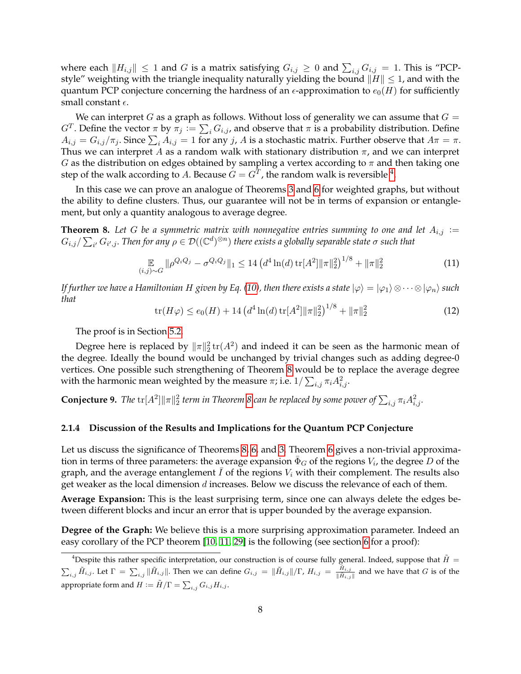where each  $||H_{i,j}|| \leq 1$  and  $G$  is a matrix satisfying  $G_{i,j} \geq 0$  and  $\sum_{i,j} G_{i,j} = 1$ . This is "PCPstyle" weighting with the triangle inequality naturally yielding the bound  $||H|| \leq 1$ , and with the quantum PCP conjecture concerning the hardness of an  $\epsilon$ -approximation to  $e_0(H)$  for sufficiently small constant  $\epsilon$ .

We can interpret G as a graph as follows. Without loss of generality we can assume that  $G =$  $G^T$ . Define the vector  $\pi$  by  $\pi_j := \sum_i G_{i,j}$ , and observe that  $\pi$  is a probability distribution. Define  $A_{i,j} = G_{i,j}/\pi_j$ . Since  $\sum_i A_{i,j} = 1$  for any  $j$ ,  $A$  is a stochastic matrix. Further observe that  $A\pi = \pi$ . Thus we can interpret A as a random walk with stationary distribution  $\pi$ , and we can interpret G as the distribution on edges obtained by sampling a vertex according to  $\pi$  and then taking one step of the walk according to A. Because  $G = G^T$ , the random walk is reversible <sup>[4](#page-7-1)</sup>.

In this case we can prove an analogue of Theorems [3](#page-5-2) and [6](#page-6-2) for weighted graphs, but without the ability to define clusters. Thus, our guarantee will not be in terms of expansion or entanglement, but only a quantity analogous to average degree.

<span id="page-7-2"></span>**Theorem 8.** Let G be a symmetric matrix with nonnegative entries summing to one and let  $A_{i,j} :=$  $G_{i,j}/\sum_{i'}G_{i',j}.$  Then for any  $\rho\in \mathcal D((\mathbb C^d)^{\otimes n})$  there exists a globally separable state  $\sigma$  such that

$$
\mathop{\mathbb{E}}_{(i,j)\sim G} \|\rho^{Q_i Q_j} - \sigma^{Q_i Q_j}\|_1 \le 14 \left(d^4 \ln(d) \operatorname{tr}[A^2] \|\pi\|_2^2\right)^{1/8} + \|\pi\|_2^2 \tag{11}
$$

*If further we have a Hamiltonian H given by Eq.* [\(10\)](#page-6-3), then there exists a state  $|\varphi\rangle = |\varphi_1\rangle \otimes \cdots \otimes |\varphi_n\rangle$  such *that*  $1/8$ 

$$
\operatorname{tr}(H\varphi) \le e_0(H) + 14 \left( d^4 \ln(d) \operatorname{tr}[A^2] \|\pi\|_2^2 \right)^{1/8} + \|\pi\|_2^2 \tag{12}
$$

The proof is in Section [5.2.](#page-25-0)

Degree here is replaced by  $\|\pi\|_2^2\mathop{\rm tr}(A^2)$  and indeed it can be seen as the harmonic mean of the degree. Ideally the bound would be unchanged by trivial changes such as adding degree-0 vertices. One possible such strengthening of Theorem [8](#page-7-2) would be to replace the average degree with the harmonic mean weighted by the measure  $\pi$ ; i.e.  $1/\sum_{i,j}\pi_{i}A_{i,j}^{2}$ .

<span id="page-7-3"></span>**Conjecture 9.** The  $\text{tr}[A^2] \| \pi \|^2_2$  term in Theorem [8](#page-7-2) can be replaced by some power of  $\sum_{i,j} \pi_i A_{i,j}^2$ .

#### <span id="page-7-0"></span>**2.1.4 Discussion of the Results and Implications for the Quantum PCP Conjecture**

Let us discuss the significance of Theorems [8,](#page-7-2) [6,](#page-6-2) and [3.](#page-5-2) Theorem [6](#page-6-2) gives a non-trivial approximation in terms of three parameters: the average expansion  $\bar{\Phi}_G$  of the regions  $V_i$ , the degree D of the graph, and the average entanglement  $\bar{I}$  of the regions  $V_i$  with their complement. The results also get weaker as the local dimension  $d$  increases. Below we discuss the relevance of each of them.

**Average Expansion:** This is the least surprising term, since one can always delete the edges between different blocks and incur an error that is upper bounded by the average expansion.

**Degree of the Graph:** We believe this is a more surprising approximation parameter. Indeed an easy corollary of the PCP theorem [\[10,](#page-40-3) [11,](#page-40-4) [29\]](#page-41-0) is the following (see section [6](#page-28-0) for a proof):

<span id="page-7-1"></span><sup>&</sup>lt;sup>4</sup>Despite this rather specific interpretation, our construction is of course fully general. Indeed, suppose that  $\tilde{H}$  =  $\sum_{i,j} \tilde{H}_{i,j}$ . Let  $\Gamma = \sum_{i,j} \|\tilde{H}_{i,j}\|$ . Then we can define  $G_{i,j} = \|\tilde{H}_{i,j}\|/\Gamma$ ,  $H_{i,j} = \frac{\tilde{H}_{i,j}}{\|\tilde{H}_{i,j}\|}$  and we have that G is of the appropriate form and  $H \mathrel{\mathop:}= \tilde{H}/\Gamma = \sum_{i,j} G_{i,j} H_{i,j}.$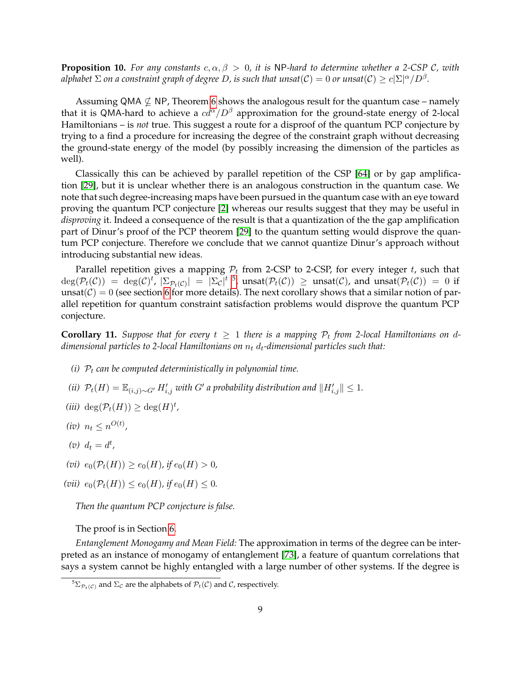<span id="page-8-1"></span>**Proposition 10.** *For any constants*  $c, \alpha, \beta > 0$ , *it is* NP-hard to determine whether a 2-CSP C, with  $a$ lphabet  $\Sigma$  on a constraint graph of degree  $D$ , is such that unsat $(\mathcal{C})=0$  or unsat $(\mathcal{C})\geq c|\Sigma|^\alpha/D^\beta.$ 

Assuming QMA  $\nsubseteq$  NP, Theorem [6](#page-6-2) shows the analogous result for the quantum case – namely that it is QMA-hard to achieve a  $cd^{\alpha}/D^{\beta}$  approximation for the ground-state energy of 2-local Hamiltonians – is *not* true. This suggest a route for a disproof of the quantum PCP conjecture by trying to a find a procedure for increasing the degree of the constraint graph without decreasing the ground-state energy of the model (by possibly increasing the dimension of the particles as well).

Classically this can be achieved by parallel repetition of the CSP [\[64\]](#page-43-6) or by gap amplification [\[29\]](#page-41-0), but it is unclear whether there is an analogous construction in the quantum case. We note that such degree-increasing maps have been pursued in the quantum case with an eye toward proving the quantum PCP conjecture [\[2\]](#page-40-5) whereas our results suggest that they may be useful in *disproving* it. Indeed a consequence of the result is that a quantization of the the gap amplification part of Dinur's proof of the PCP theorem [\[29\]](#page-41-0) to the quantum setting would disprove the quantum PCP conjecture. Therefore we conclude that we cannot quantize Dinur's approach without introducing substantial new ideas.

Parallel repetition gives a mapping  $P_t$  from 2-CSP to 2-CSP, for every integer t, such that  $\deg(\mathcal{P}_t(\mathcal{C})) = \deg(\mathcal{C})^t$ ,  $|\Sigma_{\mathcal{P}_t(\mathcal{C})}| = |\Sigma_{\mathcal{C}}|^{t-5}$  $|\Sigma_{\mathcal{P}_t(\mathcal{C})}| = |\Sigma_{\mathcal{C}}|^{t-5}$  $|\Sigma_{\mathcal{P}_t(\mathcal{C})}| = |\Sigma_{\mathcal{C}}|^{t-5}$ ,  $\mathrm{unsat}(\mathcal{P}_t(\mathcal{C})) \geq \mathrm{unsat}(\mathcal{C})$ , and  $\mathrm{unsat}(\mathcal{P}_t(\mathcal{C})) = 0$  if unsat( $C$ ) = 0 (see section [6](#page-28-0) for more details). The next corollary shows that a similar notion of parallel repetition for quantum constraint satisfaction problems would disprove the quantum PCP conjecture.

<span id="page-8-2"></span>**Corollary 11.** Suppose that for every  $t \geq 1$  there is a mapping  $\mathcal{P}_t$  from 2-local Hamiltonians on d*dimensional particles to 2-local Hamiltonians on*  $n_t$   $d_t$ -dimensional particles such that:

- *(i)*  $P_t$  *can be computed deterministically in polynomial time.*
- *(ii)*  $\mathcal{P}_t(H) = \mathbb{E}_{(i,j)\sim G'} H'_{i,j}$  with  $G'$  a probability distribution and  $||H'_{i,j}|| ≤ 1$ .
- $(iii) \deg(\mathcal{P}_t(H)) \geq \deg(H)^t$ ,
- $(iv)$   $n_t \leq n^{O(t)}$ ,
- $(v)$   $d_t = d^t$ ,
- (*vi*)  $e_0(\mathcal{P}_t(H)) \ge e_0(H)$ , if  $e_0(H) > 0$ ,
- (*vii*)  $e_0(\mathcal{P}_t(H)) \leq e_0(H)$ , if  $e_0(H) \leq 0$ .

*Then the quantum PCP conjecture is false.*

The proof is in Section [6.](#page-28-0)

*Entanglement Monogamy and Mean Field:* The approximation in terms of the degree can be interpreted as an instance of monogamy of entanglement [\[73\]](#page-44-4), a feature of quantum correlations that says a system cannot be highly entangled with a large number of other systems. If the degree is

<span id="page-8-0"></span><sup>&</sup>lt;sup>5</sup> $\Sigma_{\mathcal{P}_t(\mathcal{C})}$  and  $\Sigma_{\mathcal{C}}$  are the alphabets of  $\mathcal{P}_t(\mathcal{C})$  and  $\mathcal{C}$ , respectively.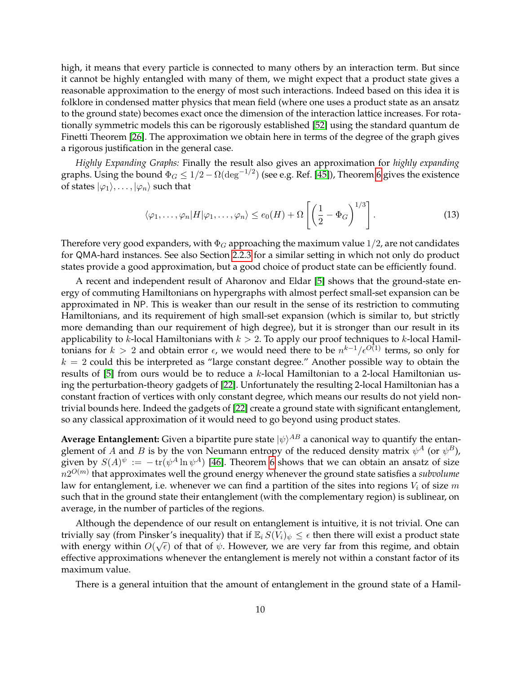high, it means that every particle is connected to many others by an interaction term. But since it cannot be highly entangled with many of them, we might expect that a product state gives a reasonable approximation to the energy of most such interactions. Indeed based on this idea it is folklore in condensed matter physics that mean field (where one uses a product state as an ansatz to the ground state) becomes exact once the dimension of the interaction lattice increases. For rotationally symmetric models this can be rigorously established [\[52\]](#page-43-7) using the standard quantum de Finetti Theorem [\[26\]](#page-41-4). The approximation we obtain here in terms of the degree of the graph gives a rigorous justification in the general case.

*Highly Expanding Graphs:* Finally the result also gives an approximation for *highly expanding* graphs. Using the bound  $\Phi_G \leq 1/2 - \Omega(\deg^{-1/2})$  (see e.g. Ref. [\[45\]](#page-42-7)), Theorem [6](#page-6-2) gives the existence of states  $|\varphi_1\rangle, \ldots, |\varphi_n\rangle$  such that

$$
\langle \varphi_1, \dots, \varphi_n | H | \varphi_1, \dots, \varphi_n \rangle \le e_0(H) + \Omega \left[ \left( \frac{1}{2} - \Phi_G \right)^{1/3} \right]. \tag{13}
$$

Therefore very good expanders, with  $\Phi_G$  approaching the maximum value 1/2, are not candidates for QMA-hard instances. See also Section [2.2.3](#page-13-1) for a similar setting in which not only do product states provide a good approximation, but a good choice of product state can be efficiently found.

A recent and independent result of Aharonov and Eldar [\[5\]](#page-40-11) shows that the ground-state energy of commuting Hamiltonians on hypergraphs with almost perfect small-set expansion can be approximated in NP. This is weaker than our result in the sense of its restriction to commuting Hamiltonians, and its requirement of high small-set expansion (which is similar to, but strictly more demanding than our requirement of high degree), but it is stronger than our result in its applicability to k-local Hamiltonians with  $k > 2$ . To apply our proof techniques to k-local Hamiltonians for  $k > 2$  and obtain error  $\epsilon$ , we would need there to be  $n^{k-1}/\epsilon^{O(1)}$  terms, so only for  $k = 2$  could this be interpreted as "large constant degree." Another possible way to obtain the results of [\[5\]](#page-40-11) from ours would be to reduce a k-local Hamiltonian to a 2-local Hamiltonian using the perturbation-theory gadgets of [\[22\]](#page-41-1). Unfortunately the resulting 2-local Hamiltonian has a constant fraction of vertices with only constant degree, which means our results do not yield nontrivial bounds here. Indeed the gadgets of [\[22\]](#page-41-1) create a ground state with significant entanglement, so any classical approximation of it would need to go beyond using product states.

**Average Entanglement:** Given a bipartite pure state  $|\psi\rangle^{AB}$  a canonical way to quantify the entanglement of A and B is by the von Neumann entropy of the reduced density matrix  $\psi^A$  (or  $\psi^B$ ), given by  $S(A)^\psi \, := \, - \operatorname{tr}(\psi^A \ln \psi^A)$  [\[46\]](#page-42-8). Theorem [6](#page-6-2) shows that we can obtain an ansatz of size  $n2^{O(m)}$  that approximates well the ground energy whenever the ground state satisfies a subvolume law for entanglement, i.e. whenever we can find a partition of the sites into regions  $V_i$  of size m such that in the ground state their entanglement (with the complementary region) is sublinear, on average, in the number of particles of the regions.

Although the dependence of our result on entanglement is intuitive, it is not trivial. One can trivially say (from Pinsker's inequality) that if  $\mathbb{E}_i S(\bar{V}_i)_\psi \leq \epsilon$  then there will exist a product state with energy within  $O(\sqrt{\epsilon})$  of that of  $\psi$ . However, we are very far from this regime, and obtain effective approximations whenever the entanglement is merely not within a constant factor of its maximum value.

There is a general intuition that the amount of entanglement in the ground state of a Hamil-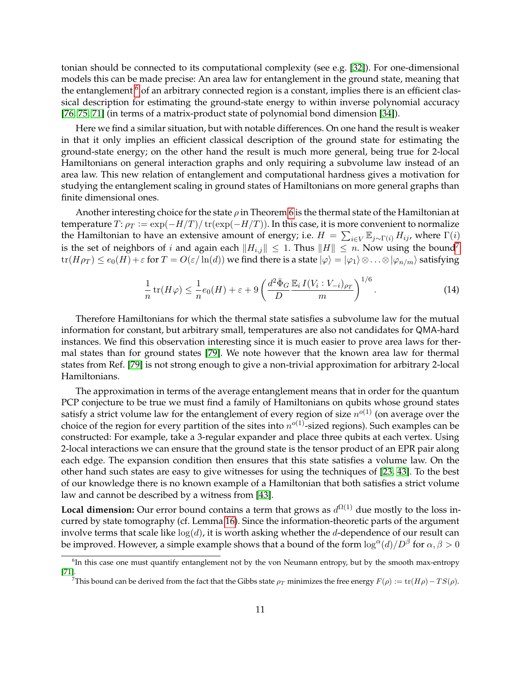tonian should be connected to its computational complexity (see e.g. [\[32\]](#page-41-5)). For one-dimensional models this can be made precise: An area law for entanglement in the ground state, meaning that the entanglement  $6$  of an arbitrary connected region is a constant, implies there is an efficient classical description for estimating the ground-state energy to within inverse polynomial accuracy [\[76,](#page-44-5) [75,](#page-44-6) [71\]](#page-44-7) (in terms of a matrix-product state of polynomial bond dimension [\[34\]](#page-42-9)).

Here we find a similar situation, but with notable differences. On one hand the result is weaker in that it only implies an efficient classical description of the ground state for estimating the ground-state energy; on the other hand the result is much more general, being true for 2-local Hamiltonians on general interaction graphs and only requiring a subvolume law instead of an area law. This new relation of entanglement and computational hardness gives a motivation for studying the entanglement scaling in ground states of Hamiltonians on more general graphs than finite dimensional ones.

Another interesting choice for the state  $\rho$  in Theorem [6](#page-6-2) is the thermal state of the Hamiltonian at temperature  $T: \rho_T := \exp(-H/T)/\operatorname{tr}(\exp(-H/T))$ . In this case, it is more convenient to normalize the Hamiltonian to have an extensive amount of energy; i.e.  $H = \sum_{i \in V} \mathbb{E}_{j \sim \Gamma(i)} H_{ij}$ , where  $\Gamma(i)$ is the set of neighbors of i and again each  $||H_{i,j}|| \leq 1$ . Thus  $||H|| \leq n$ . Now using the bound<sup>[7](#page-10-1)</sup>  $tr(H\rho_T) \leq e_0(H) + \varepsilon$  for  $T = O(\varepsilon/\ln(d))$  we find there is a state  $|\varphi\rangle = |\varphi_1\rangle \otimes \ldots \otimes |\varphi_{n/m}\rangle$  satisfying

$$
\frac{1}{n}\operatorname{tr}(H\varphi) \le \frac{1}{n}e_0(H) + \varepsilon + 9\left(\frac{d^2\bar{\Phi}_G}{D}\frac{\mathbb{E}_i I(V_i:V_{-i})_{\rho_T}}{m}\right)^{1/6}.\tag{14}
$$

Therefore Hamiltonians for which the thermal state satisfies a subvolume law for the mutual information for constant, but arbitrary small, temperatures are also not candidates for QMA-hard instances. We find this observation interesting since it is much easier to prove area laws for thermal states than for ground states [\[79\]](#page-44-8). We note however that the known area law for thermal states from Ref. [\[79\]](#page-44-8) is not strong enough to give a non-trivial approximation for arbitrary 2-local Hamiltonians.

The approximation in terms of the average entanglement means that in order for the quantum PCP conjecture to be true we must find a family of Hamiltonians on qubits whose ground states satisfy a strict volume law for the entanglement of every region of size  $n^{o(1)}$  (on average over the choice of the region for every partition of the sites into  $n^{o(1)}$ -sized regions). Such examples can be constructed: For example, take a 3-regular expander and place three qubits at each vertex. Using 2-local interactions we can ensure that the ground state is the tensor product of an EPR pair along each edge. The expansion condition then ensures that this state satisfies a volume law. On the other hand such states are easy to give witnesses for using the techniques of [\[23,](#page-41-6) [43\]](#page-42-4). To the best of our knowledge there is no known example of a Hamiltonian that both satisfies a strict volume law and cannot be described by a witness from [\[43\]](#page-42-4).

**Local dimension:** Our error bound contains a term that grows as  $d^{\Omega(1)}$  due mostly to the loss incurred by state tomography (cf. Lemma [16\)](#page-16-0). Since the information-theoretic parts of the argument involve terms that scale like  $log(d)$ , it is worth asking whether the d-dependence of our result can be improved. However, a simple example shows that a bound of the form  $\log^{\alpha}(d)/D^{\beta}$  for  $\alpha, \beta > 0$ 

<span id="page-10-0"></span><sup>&</sup>lt;sup>6</sup>In this case one must quantify entanglement not by the von Neumann entropy, but by the smooth max-entropy [\[71\]](#page-44-7).

<span id="page-10-1"></span>This bound can be derived from the fact that the Gibbs state  $\rho_T$  minimizes the free energy  $F(\rho) := \text{tr}(H\rho) - TS(\rho)$ .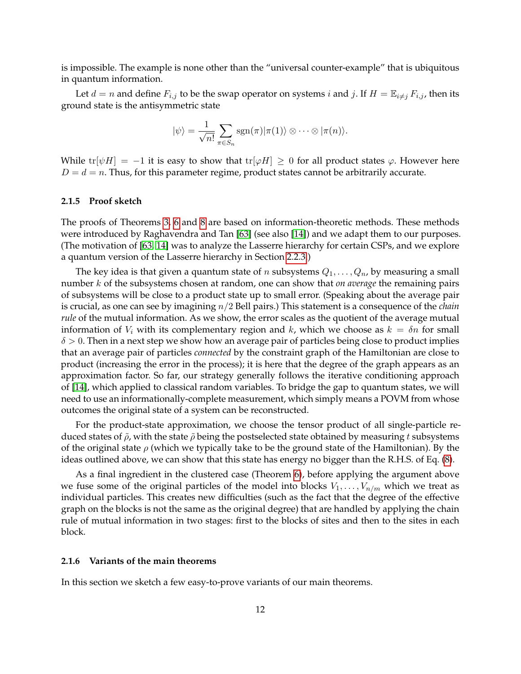is impossible. The example is none other than the "universal counter-example" that is ubiquitous in quantum information.

Let  $d = n$  and define  $F_{i,j}$  to be the swap operator on systems i and j. If  $H = \mathbb{E}_{i \neq j} F_{i,j}$ , then its ground state is the antisymmetric state

$$
|\psi\rangle = \frac{1}{\sqrt{n!}} \sum_{\pi \in S_n} \text{sgn}(\pi) |\pi(1)\rangle \otimes \cdots \otimes |\pi(n)\rangle.
$$

While tr[ $\psi H$ ] = -1 it is easy to show that tr[ $\varphi H$ ] ≥ 0 for all product states  $\varphi$ . However here  $D = d = n$ . Thus, for this parameter regime, product states cannot be arbitrarily accurate.

#### <span id="page-11-0"></span>**2.1.5 Proof sketch**

The proofs of Theorems [3,](#page-5-2) [6](#page-6-2) and [8](#page-7-2) are based on information-theoretic methods. These methods were introduced by Raghavendra and Tan [\[63\]](#page-43-3) (see also [\[14\]](#page-40-8)) and we adapt them to our purposes. (The motivation of [\[63,](#page-43-3) [14\]](#page-40-8) was to analyze the Lasserre hierarchy for certain CSPs, and we explore a quantum version of the Lasserre hierarchy in Section [2.2.3.](#page-13-1))

The key idea is that given a quantum state of *n* subsystems  $Q_1, \ldots, Q_n$ , by measuring a small number k of the subsystems chosen at random, one can show that *on average* the remaining pairs of subsystems will be close to a product state up to small error. (Speaking about the average pair is crucial, as one can see by imagining n/2 Bell pairs.) This statement is a consequence of the *chain rule* of the mutual information. As we show, the error scales as the quotient of the average mutual information of  $V_i$  with its complementary region and k, which we choose as  $k = \delta n$  for small  $\delta > 0$ . Then in a next step we show how an average pair of particles being close to product implies that an average pair of particles *connected* by the constraint graph of the Hamiltonian are close to product (increasing the error in the process); it is here that the degree of the graph appears as an approximation factor. So far, our strategy generally follows the iterative conditioning approach of [\[14\]](#page-40-8), which applied to classical random variables. To bridge the gap to quantum states, we will need to use an informationally-complete measurement, which simply means a POVM from whose outcomes the original state of a system can be reconstructed.

For the product-state approximation, we choose the tensor product of all single-particle reduced states of  $\tilde{\rho}$ , with the state  $\tilde{\rho}$  being the postselected state obtained by measuring t subsystems of the original state  $\rho$  (which we typically take to be the ground state of the Hamiltonian). By the ideas outlined above, we can show that this state has energy no bigger than the R.H.S. of Eq. [\(8\)](#page-6-4).

As a final ingredient in the clustered case (Theorem [6\)](#page-6-2), before applying the argument above we fuse some of the original particles of the model into blocks  $V_1, \ldots, V_{n/m}$  which we treat as individual particles. This creates new difficulties (such as the fact that the degree of the effective graph on the blocks is not the same as the original degree) that are handled by applying the chain rule of mutual information in two stages: first to the blocks of sites and then to the sites in each block.

#### <span id="page-11-1"></span>**2.1.6 Variants of the main theorems**

In this section we sketch a few easy-to-prove variants of our main theorems.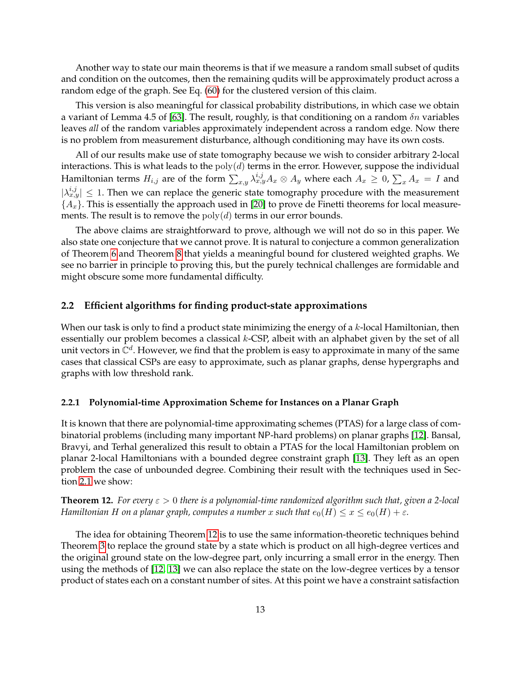Another way to state our main theorems is that if we measure a random small subset of qudits and condition on the outcomes, then the remaining qudits will be approximately product across a random edge of the graph. See Eq. [\(60\)](#page-24-0) for the clustered version of this claim.

This version is also meaningful for classical probability distributions, in which case we obtain a variant of Lemma 4.5 of [\[63\]](#page-43-3). The result, roughly, is that conditioning on a random  $\delta n$  variables leaves *all* of the random variables approximately independent across a random edge. Now there is no problem from measurement disturbance, although conditioning may have its own costs.

All of our results make use of state tomography because we wish to consider arbitrary 2-local interactions. This is what leads to the  $poly(d)$  terms in the error. However, suppose the individual Hamiltonian terms  $H_{i,j}$  are of the form  $\sum_{x,y}\lambda_{x,y}^{i,j}A_x\otimes A_y$  where each  $A_x\geq 0$ ,  $\sum_xA_x=I$  and  $|\lambda_{x,y}^{i,j}| \leq 1$ . Then we can replace the generic state tomography procedure with the measurement  $\{A_x\}$ . This is essentially the approach used in [\[20\]](#page-41-3) to prove de Finetti theorems for local measurements. The result is to remove the  $poly(d)$  terms in our error bounds.

The above claims are straightforward to prove, although we will not do so in this paper. We also state one conjecture that we cannot prove. It is natural to conjecture a common generalization of Theorem [6](#page-6-2) and Theorem [8](#page-7-2) that yields a meaningful bound for clustered weighted graphs. We see no barrier in principle to proving this, but the purely technical challenges are formidable and might obscure some more fundamental difficulty.

#### <span id="page-12-0"></span>**2.2 Efficient algorithms for finding product-state approximations**

When our task is only to find a product state minimizing the energy of a  $k$ -local Hamiltonian, then essentially our problem becomes a classical  $k$ -CSP, albeit with an alphabet given by the set of all unit vectors in  $\mathbb{C}^d$ . However, we find that the problem is easy to approximate in many of the same cases that classical CSPs are easy to approximate, such as planar graphs, dense hypergraphs and graphs with low threshold rank.

#### <span id="page-12-1"></span>**2.2.1 Polynomial-time Approximation Scheme for Instances on a Planar Graph**

It is known that there are polynomial-time approximating schemes (PTAS) for a large class of combinatorial problems (including many important NP-hard problems) on planar graphs [\[12\]](#page-40-12). Bansal, Bravyi, and Terhal generalized this result to obtain a PTAS for the local Hamiltonian problem on planar 2-local Hamiltonians with a bounded degree constraint graph [\[13\]](#page-40-1). They left as an open problem the case of unbounded degree. Combining their result with the techniques used in Section [2.1](#page-5-0) we show:

<span id="page-12-2"></span>**Theorem 12.** *For every* ε > 0 *there is a polynomial-time randomized algorithm such that, given a 2-local Hamiltonian H on a planar graph, computes a number* x *such that*  $e_0(H) \le x \le e_0(H) + \varepsilon$ .

The idea for obtaining Theorem [12](#page-12-2) is to use the same information-theoretic techniques behind Theorem [3](#page-5-2) to replace the ground state by a state which is product on all high-degree vertices and the original ground state on the low-degree part, only incurring a small error in the energy. Then using the methods of [\[12,](#page-40-12) [13\]](#page-40-1) we can also replace the state on the low-degree vertices by a tensor product of states each on a constant number of sites. At this point we have a constraint satisfaction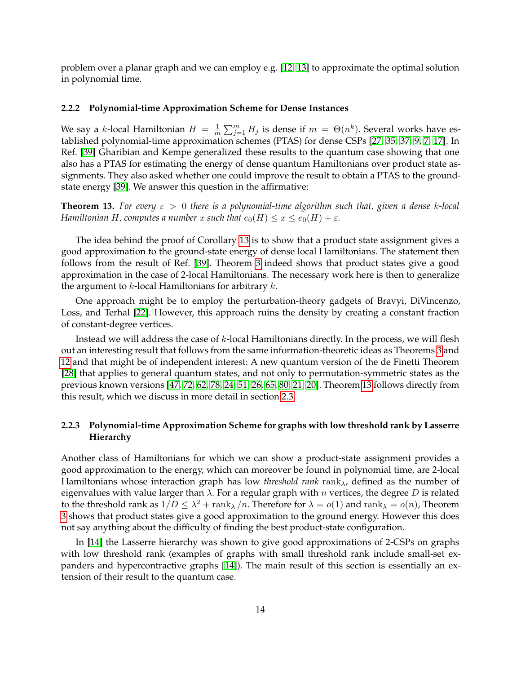problem over a planar graph and we can employ e.g. [\[12,](#page-40-12) [13\]](#page-40-1) to approximate the optimal solution in polynomial time.

#### <span id="page-13-0"></span>**2.2.2 Polynomial-time Approximation Scheme for Dense Instances**

We say a k-local Hamiltonian  $H = \frac{1}{m}$  $\frac{1}{m}\sum_{j=1}^m H_j$  is dense if  $m~=~\Theta(n^k).$  Several works have established polynomial-time approximation schemes (PTAS) for dense CSPs [\[27,](#page-41-7) [35,](#page-42-10) [37,](#page-42-11) [9,](#page-40-13) [7,](#page-40-14) [17\]](#page-41-8). In Ref. [\[39\]](#page-42-3) Gharibian and Kempe generalized these results to the quantum case showing that one also has a PTAS for estimating the energy of dense quantum Hamiltonians over product state assignments. They also asked whether one could improve the result to obtain a PTAS to the groundstate energy [\[39\]](#page-42-3). We answer this question in the affirmative:

<span id="page-13-2"></span>**Theorem 13.** For every  $\varepsilon > 0$  there is a polynomial-time algorithm such that, given a dense k-local *Hamiltonian H, computes a number* x *such that*  $e_0(H) \le x \le e_0(H) + \varepsilon$ .

The idea behind the proof of Corollary [13](#page-13-2) is to show that a product state assignment gives a good approximation to the ground-state energy of dense local Hamiltonians. The statement then follows from the result of Ref. [\[39\]](#page-42-3). Theorem [3](#page-5-2) indeed shows that product states give a good approximation in the case of 2-local Hamiltonians. The necessary work here is then to generalize the argument to  $k$ -local Hamiltonians for arbitrary  $k$ .

One approach might be to employ the perturbation-theory gadgets of Bravyi, DiVincenzo, Loss, and Terhal [\[22\]](#page-41-1). However, this approach ruins the density by creating a constant fraction of constant-degree vertices.

Instead we will address the case of k-local Hamiltonians directly. In the process, we will flesh out an interesting result that follows from the same information-theoretic ideas as Theorems [3](#page-5-2) and [12](#page-12-2) and that might be of independent interest: A new quantum version of the de Finetti Theorem [\[28\]](#page-41-9) that applies to general quantum states, and not only to permutation-symmetric states as the previous known versions [\[47,](#page-42-12) [72,](#page-44-9) [62,](#page-43-8) [78,](#page-44-10) [24,](#page-41-10) [51,](#page-43-9) [26,](#page-41-4) [65,](#page-43-10) [80,](#page-44-11) [21,](#page-41-11) [20\]](#page-41-3). Theorem [13](#page-13-2) follows directly from this result, which we discuss in more detail in section [2.3.](#page-14-0)

### <span id="page-13-1"></span>**2.2.3 Polynomial-time Approximation Scheme for graphs with low threshold rank by Lasserre Hierarchy**

Another class of Hamiltonians for which we can show a product-state assignment provides a good approximation to the energy, which can moreover be found in polynomial time, are 2-local Hamiltonians whose interaction graph has low *threshold rank* rank<sub>λ</sub>, defined as the number of eigenvalues with value larger than  $\lambda$ . For a regular graph with n vertices, the degree D is related to the threshold rank as  $1/D \leq \lambda^2 + \text{rank}_{\lambda}/n$ . Therefore for  $\lambda = o(1)$  and  $\text{rank}_{\lambda} = o(n)$ , Theorem [3](#page-5-2) shows that product states give a good approximation to the ground energy. However this does not say anything about the difficulty of finding the best product-state configuration.

In [\[14\]](#page-40-8) the Lasserre hierarchy was shown to give good approximations of 2-CSPs on graphs with low threshold rank (examples of graphs with small threshold rank include small-set expanders and hypercontractive graphs [\[14\]](#page-40-8)). The main result of this section is essentially an extension of their result to the quantum case.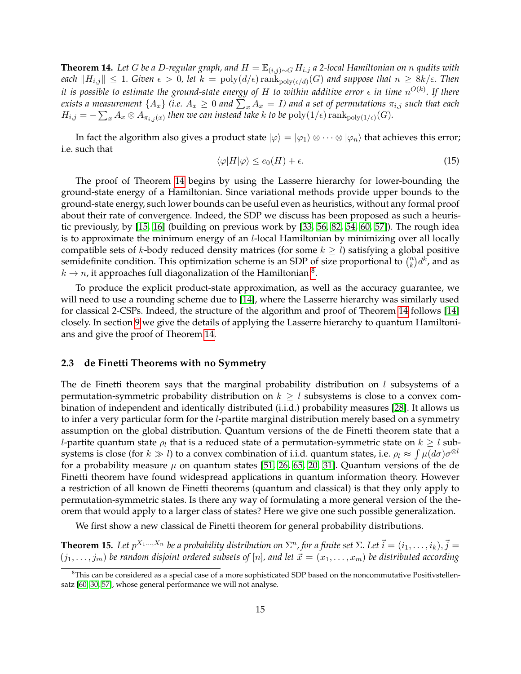<span id="page-14-1"></span>**Theorem 14.** *Let* G *be a D-regular graph, and*  $H = \mathbb{E}_{(i,j) \sim G} H_{i,j}$  *a* 2-local Hamiltonian on n qudits with *each*  $||H_{i,j}|| \leq 1$ *. Given*  $\epsilon > 0$ , let  $k = \text{poly}(d/\epsilon) \, \text{rank}_{\text{poly}(\epsilon/d)}(G)$  and suppose that  $n \geq 8k/\varepsilon$ . Then it is possible to estimate the ground-state energy of H to within additive error  $\epsilon$  in time  $n^{O(k)}.$  If there exists a measurement  $\{A_x\}$  (i.e.  $A_x\geq 0$  and  $\sum_x A_x=I$ ) and a set of permutations  $\pi_{i,j}$  such that each  $H_{i,j} = -\sum_x A_x \otimes A_{\pi_{i,j}(x)}$  then we can instead take k to be  $\mathrm{poly}(1/\epsilon)\operatorname{rank}_{\mathrm{poly}(1/\epsilon)}(G)$ .

In fact the algorithm also gives a product state  $|\varphi\rangle = |\varphi_1\rangle \otimes \cdots \otimes |\varphi_n\rangle$  that achieves this error; i.e. such that

$$
\langle \varphi | H | \varphi \rangle \le e_0(H) + \epsilon. \tag{15}
$$

The proof of Theorem [14](#page-14-1) begins by using the Lasserre hierarchy for lower-bounding the ground-state energy of a Hamiltonian. Since variational methods provide upper bounds to the ground-state energy, such lower bounds can be useful even as heuristics, without any formal proof about their rate of convergence. Indeed, the SDP we discuss has been proposed as such a heuristic previously, by [\[15,](#page-40-9) [16\]](#page-40-10) (building on previous work by [\[33,](#page-42-6) [56,](#page-43-4) [82,](#page-44-3) [54,](#page-43-5) [60,](#page-43-11) [57\]](#page-43-12)). The rough idea is to approximate the minimum energy of an l-local Hamiltonian by minimizing over all locally compatible sets of k-body reduced density matrices (for some  $k \geq l$ ) satisfying a global positive semidefinite condition. This optimization scheme is an SDP of size proportional to  $\binom{n}{k}$  $\binom{n}{k}$  $d^k$ , and as  $k \to n$ , it approaches full diagonalization of the Hamiltonian  $^8.$  $^8.$  $^8.$ 

To produce the explicit product-state approximation, as well as the accuracy guarantee, we will need to use a rounding scheme due to [\[14\]](#page-40-8), where the Lasserre hierarchy was similarly used for classical 2-CSPs. Indeed, the structure of the algorithm and proof of Theorem [14](#page-14-1) follows [\[14\]](#page-40-8) closely. In section [9](#page-34-0) we give the details of applying the Lasserre hierarchy to quantum Hamiltonians and give the proof of Theorem [14.](#page-14-1)

#### <span id="page-14-0"></span>**2.3 de Finetti Theorems with no Symmetry**

The de Finetti theorem says that the marginal probability distribution on  $l$  subsystems of a permutation-symmetric probability distribution on  $k \geq l$  subsystems is close to a convex combination of independent and identically distributed (i.i.d.) probability measures [\[28\]](#page-41-9). It allows us to infer a very particular form for the l-partite marginal distribution merely based on a symmetry assumption on the global distribution. Quantum versions of the de Finetti theorem state that a *l*-partite quantum state  $\rho_l$  that is a reduced state of a permutation-symmetric state on  $k \geq l$  subsystems is close (for  $k\gg l$ ) to a convex combination of i.i.d. quantum states, i.e.  $\rho_l\approx\int\mu(d\sigma)\sigma^{\otimes l}$ for a probability measure  $\mu$  on quantum states [\[51,](#page-43-9) [26,](#page-41-4) [65,](#page-43-10) [20,](#page-41-3) [31\]](#page-41-12). Quantum versions of the de Finetti theorem have found widespread applications in quantum information theory. However a restriction of all known de Finetti theorems (quantum and classical) is that they only apply to permutation-symmetric states. Is there any way of formulating a more general version of the theorem that would apply to a larger class of states? Here we give one such possible generalization.

We first show a new classical de Finetti theorem for general probability distributions.

<span id="page-14-3"></span>**Theorem 15.** Let  $p^{X_1,...,X_n}$  be a probability distribution on  $\Sigma^n$ , for a finite set  $\Sigma$ . Let  $\vec{i} = (i_1,...,i_k), \vec{j} =$  $(j_1, \ldots, j_m)$  be random disjoint ordered subsets of  $[n]$ , and let  $\vec{x} = (x_1, \ldots, x_m)$  be distributed according

<span id="page-14-2"></span><sup>&</sup>lt;sup>8</sup>This can be considered as a special case of a more sophisticated SDP based on the noncommutative Positivstellensatz [\[60,](#page-43-11) [30,](#page-41-13) [57\]](#page-43-12), whose general performance we will not analyse.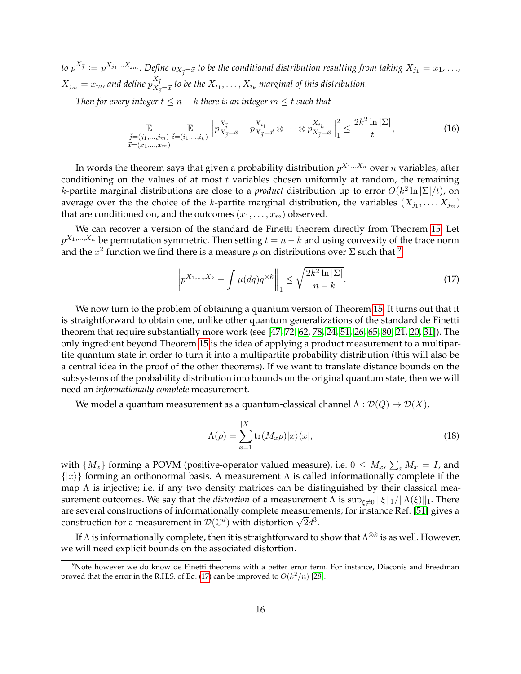*to*  $p^{X_{\vec{j}}}:=p^{X_{j_1}...X_{j_m}}.$  *Define*  $p_{X_{\vec{j}}=\vec{x}}$  *to be the conditional distribution resulting from taking*  $X_{j_1}=x_1,$  $\ldots$ *,*  $X_{j_m}=x_m$ , and define  $p_{X_{\vec{j}}=\vec{x}}^{X_{\vec{i}}}$  to be the  $X_{i_1},\ldots,X_{i_k}$  marginal of this distribution.

*Then for every integer*  $t \leq n - k$  *there is an integer*  $m \leq t$  *such that* 

$$
\mathbb{E}_{\substack{\vec{j}=(j_1,\ldots,j_m) \\ \vec{x}=(x_1,\ldots,x_m)}} \mathbb{E}_{\vec{j}=(i_1,\ldots,i_k)} \left\| p_{X_{\vec{j}}=\vec{x}}^{X_{\vec{i}}} - p_{X_{\vec{j}}=\vec{x}}^{X_{i_1}} \otimes \cdots \otimes p_{X_{\vec{j}}=\vec{x}}^{X_{i_k}} \right\|_1^2 \le \frac{2k^2 \ln|\Sigma|}{t},\tag{16}
$$

In words the theorem says that given a probability distribution  $p^{X_1...X_n}$  over  $n$  variables, after conditioning on the values of at most  $t$  variables chosen uniformly at random, the remaining k-partite marginal distributions are close to a *product* distribution up to error  $O(k^2 \ln |\Sigma|/t)$ , on average over the the choice of the k-partite marginal distribution, the variables  $(X_{j_1},\ldots,X_{j_m})$ that are conditioned on, and the outcomes  $(x_1, \ldots, x_m)$  observed.

We can recover a version of the standard de Finetti theorem directly from Theorem [15.](#page-14-3) Let  $p^{X_{1},...,X_{n}}$  be permutation symmetric. Then setting  $t=n-k$  and using convexity of the trace norm and the  $x^2$  function we find there is a measure  $\mu$  on distributions over  $\Sigma$  such that  $^9$  $^9$ 

<span id="page-15-1"></span>
$$
\left\| p^{X_1,\dots,X_k} - \int \mu(dq)q^{\otimes k} \right\|_1 \le \sqrt{\frac{2k^2 \ln |\Sigma|}{n-k}}.\tag{17}
$$

We now turn to the problem of obtaining a quantum version of Theorem [15.](#page-14-3) It turns out that it is straightforward to obtain one, unlike other quantum generalizations of the standard de Finetti theorem that require substantially more work (see [\[47,](#page-42-12) [72,](#page-44-9) [62,](#page-43-8) [78,](#page-44-10) [24,](#page-41-10) [51,](#page-43-9) [26,](#page-41-4) [65,](#page-43-10) [80,](#page-44-11) [21,](#page-41-11) [20,](#page-41-3) [31\]](#page-41-12)). The only ingredient beyond Theorem [15](#page-14-3) is the idea of applying a product measurement to a multipartite quantum state in order to turn it into a multipartite probability distribution (this will also be a central idea in the proof of the other theorems). If we want to translate distance bounds on the subsystems of the probability distribution into bounds on the original quantum state, then we will need an *informationally complete* measurement.

We model a quantum measurement as a quantum-classical channel  $\Lambda : \mathcal{D}(Q) \to \mathcal{D}(X)$ ,

$$
\Lambda(\rho) = \sum_{x=1}^{|X|} \text{tr}(M_x \rho)|x\rangle\langle x|,\tag{18}
$$

with  $\{M_x\}$  forming a POVM (positive-operator valued measure), i.e.  $0 \le M_x$ ,  $\sum_x M_x = I$ , and  $\{|x\rangle\}$  forming an orthonormal basis. A measurement  $\Lambda$  is called informationally complete if the map  $\Lambda$  is injective; i.e. if any two density matrices can be distinguished by their classical measurement outcomes. We say that the *distortion* of a measurement  $\Lambda$  is  $\sup_{\xi\neq 0} ||\xi||_1/||\Lambda(\xi)||_1$ . There are several constructions of informationally complete measurements; for instance Ref. [\[51\]](#page-43-9) gives a are several constructions of informationally complete measurement of  $\mathcal{D}(\mathbb{C}^d)$  with distortion  $\sqrt{2}d^3$ .

If  $\Lambda$  is informationally complete, then it is straightforward to show that  $\Lambda^{\otimes k}$  is as well. However, we will need explicit bounds on the associated distortion.

<span id="page-15-0"></span> $9$ Note however we do know de Finetti theorems with a better error term. For instance, Diaconis and Freedman proved that the error in the R.H.S. of Eq. [\(17\)](#page-15-1) can be improved to  $O(k^2/n)$  [\[28\]](#page-41-9).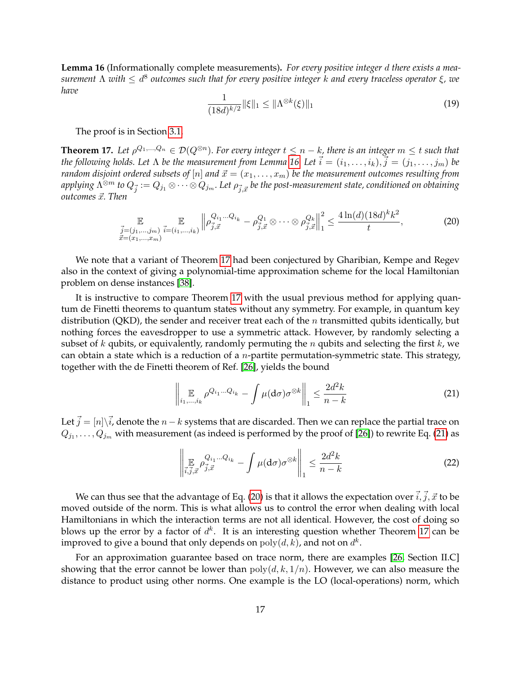<span id="page-16-0"></span>**Lemma 16** (Informationally complete measurements)**.** *For every positive integer* d *there exists a measurement* Λ *with* ≤ d 8 *outcomes such that for every positive integer* k *and every traceless operator* ξ*, we have*

<span id="page-16-4"></span>
$$
\frac{1}{(18d)^{k/2}} \|\xi\|_1 \le \|\Lambda^{\otimes k}(\xi)\|_1
$$
\n(19)

The proof is in Section [3.1.](#page-17-1)

<span id="page-16-1"></span>**Theorem 17.** Let  $\rho^{Q_1,...,Q_n} \in \mathcal{D}(Q^{\otimes n})$ . For every integer  $t \leq n-k$ , there is an integer  $m \leq t$  such that *the following holds. Let*  $\Lambda$  *be the measurement from Lemma* [16.](#page-16-0) Let  $\vec{i} = (i_1, \ldots, i_k), \vec{j} = (j_1, \ldots, j_m)$  be *random disjoint ordered subsets of*  $[n]$  *and*  $\vec{x} = (x_1, \ldots, x_m)$  *be the measurement outcomes resulting from* applying  $\Lambda^{\otimes m}$  to  $Q_{\vec{j}}:=Q_{j_1}\otimes\cdots\otimes Q_{j_m}.$  Let  $\rho_{\vec{j},\vec{x}}$  be the post-measurement state, conditioned on obtaining *outcomes*  $\vec{x}$ *. Then* 

<span id="page-16-3"></span>
$$
\mathbb{E}_{\substack{\vec{j}=(j_1,\ldots,j_m) \\ \vec{x}=(x_1,\ldots,x_m)}} \mathbb{E}_{\vec{j}=(i_1,\ldots,i_k)} \left\| \rho_{\vec{j},\vec{x}}^{Q_{i_1}\ldots Q_{i_k}} - \rho_{\vec{j},\vec{x}}^{Q_1} \otimes \cdots \otimes \rho_{\vec{j},\vec{x}}^{Q_k} \right\|_1^2 \le \frac{4\ln(d)(18d)^k k^2}{t},\tag{20}
$$

We note that a variant of Theorem [17](#page-16-1) had been conjectured by Gharibian, Kempe and Regev also in the context of giving a polynomial-time approximation scheme for the local Hamiltonian problem on dense instances [\[38\]](#page-42-13).

It is instructive to compare Theorem [17](#page-16-1) with the usual previous method for applying quantum de Finetti theorems to quantum states without any symmetry. For example, in quantum key distribution (QKD), the sender and receiver treat each of the  $n$  transmitted qubits identically, but nothing forces the eavesdropper to use a symmetric attack. However, by randomly selecting a subset of k qubits, or equivalently, randomly permuting the n qubits and selecting the first  $k$ , we can obtain a state which is a reduction of a *n*-partite permutation-symmetric state. This strategy, together with the de Finetti theorem of Ref. [\[26\]](#page-41-4), yields the bound

<span id="page-16-2"></span>
$$
\left\| \mathop{\mathbb{E}}_{i_1,\dots,i_k} \rho^{Q_{i_1}\dots Q_{i_k}} - \int \mu(d\sigma) \sigma^{\otimes k} \right\|_1 \leq \frac{2d^2k}{n-k} \tag{21}
$$

Let  $\vec{j} = [n]\backslash \vec{i}$ , denote the  $n-k$  systems that are discarded. Then we can replace the partial trace on  $Q_{j_1},\ldots,Q_{j_m}$  with measurement (as indeed is performed by the proof of [\[26\]](#page-41-4)) to rewrite Eq. [\(21\)](#page-16-2) as

$$
\left\| \mathop{\mathbb{E}}_{\vec{i},\vec{j},\vec{x}} \rho_{\vec{j},\vec{x}}^{Q_{i_1}...Q_{i_k}} - \int \mu(d\sigma) \sigma^{\otimes k} \right\|_1 \leq \frac{2d^2k}{n-k}
$$
 (22)

We can thus see that the advantage of Eq. [\(20\)](#page-16-3) is that it allows the expectation over  $\vec{i}, \vec{j}, \vec{x}$  to be moved outside of the norm. This is what allows us to control the error when dealing with local Hamiltonians in which the interaction terms are not all identical. However, the cost of doing so blows up the error by a factor of  $d^k$ . It is an interesting question whether Theorem [17](#page-16-1) can be improved to give a bound that only depends on  $\mathrm{poly}(d,k)$ , and not on  $d^k.$ 

For an approximation guarantee based on trace norm, there are examples [\[26,](#page-41-4) Section II.C] showing that the error cannot be lower than  $poly(d, k, 1/n)$ . However, we can also measure the distance to product using other norms. One example is the LO (local-operations) norm, which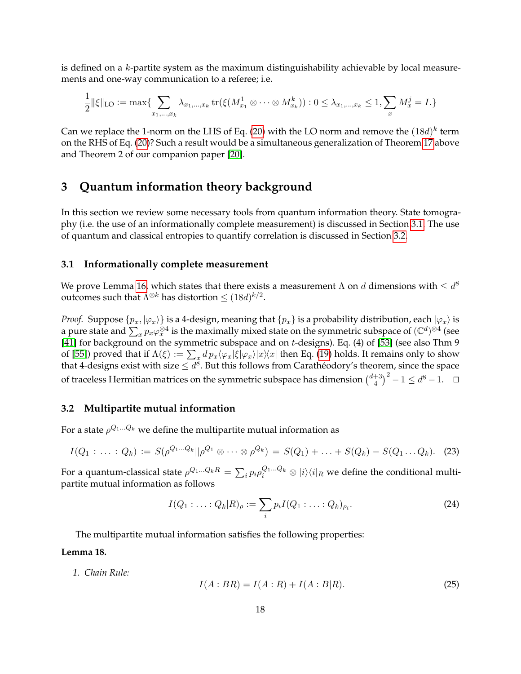is defined on a  $k$ -partite system as the maximum distinguishability achievable by local measurements and one-way communication to a referee; i.e.

$$
\frac{1}{2} \|\xi\|_{\text{LO}} := \max \{ \sum_{x_1, \dots, x_k} \lambda_{x_1, \dots, x_k} \operatorname{tr}(\xi(M_{x_1}^1 \otimes \dots \otimes M_{x_k}^k)) : 0 \le \lambda_{x_1, \dots, x_k} \le 1, \sum_x M_x^j = I. \}
$$

Can we replace the 1-norm on the LHS of Eq. [\(20\)](#page-16-3) with the LO norm and remove the  $(18d)^k$  term on the RHS of Eq. [\(20\)](#page-16-3)? Such a result would be a simultaneous generalization of Theorem [17](#page-16-1) above and Theorem 2 of our companion paper [\[20\]](#page-41-3).

### <span id="page-17-2"></span>**3 Quantum information theory background**

In this section we review some necessary tools from quantum information theory. State tomography (i.e. the use of an informationally complete measurement) is discussed in Section [3.1.](#page-17-1) The use of quantum and classical entropies to quantify correlation is discussed in Section [3.2.](#page-17-0)

#### <span id="page-17-1"></span>**3.1 Informationally complete measurement**

We prove Lemma [16,](#page-16-0) which states that there exists a measurement  $\Lambda$  on  $d$  dimensions with  $\leq d^8$ outcomes such that  $\Lambda^{\otimes k}$  has distortion  $\leq (18d)^{k/2}.$ 

*Proof.* Suppose  $\{p_x, |\varphi_x\rangle\}$  is a 4-design, meaning that  $\{p_x\}$  is a probability distribution, each  $|\varphi_x\rangle$  is a pure state and  $\sum_x p_x\varphi_x^{\otimes 4}$  is the maximally mixed state on the symmetric subspace of  $(\mathbb{C}^d)^{\otimes 4}$  (see [\[41\]](#page-42-14) for background on the symmetric subspace and on t-designs). Eq. (4) of [\[53\]](#page-43-13) (see also Thm 9 of [\[55\]](#page-43-14)) proved that if  $\Lambda(\xi) := \sum_x dp_x \langle \varphi_x | \xi | \varphi_x \rangle | x \rangle \langle x |$  then Eq. [\(19\)](#page-16-4) holds. It remains only to show that 4-designs exist with size  $\leq d^8$ . But this follows from Carathéodory's theorem, since the space of traceless Hermitian matrices on the symmetric subspace has dimension  $\binom{d+3}{4}$  $\binom{+3}{4}^2 - 1 \leq d^8 - 1.$ 

#### <span id="page-17-0"></span>**3.2 Multipartite mutual information**

For a state  $\rho^{Q_1...Q_k}$  we define the multipartite mutual information as

$$
I(Q_1: \ldots: Q_k) := S(\rho^{Q_1 \ldots Q_k} || \rho^{Q_1} \otimes \cdots \otimes \rho^{Q_k}) = S(Q_1) + \ldots + S(Q_k) - S(Q_1 \ldots Q_k). \tag{23}
$$

For a quantum-classical state  $\rho^{Q_1...Q_kR}=\sum_ip_i\rho_i^{Q_1...Q_k}\otimes|i\rangle\langle i|_R$  we define the conditional multipartite mutual information as follows

$$
I(Q_1: \ldots: Q_k | R)_{\rho} := \sum_i p_i I(Q_1: \ldots: Q_k)_{\rho_i}.
$$
 (24)

The multipartite mutual information satisfies the following properties:

#### <span id="page-17-3"></span>**Lemma 18.**

*1. Chain Rule:*

<span id="page-17-4"></span>
$$
I(A:BR) = I(A:R) + I(A:B|R).
$$
 (25)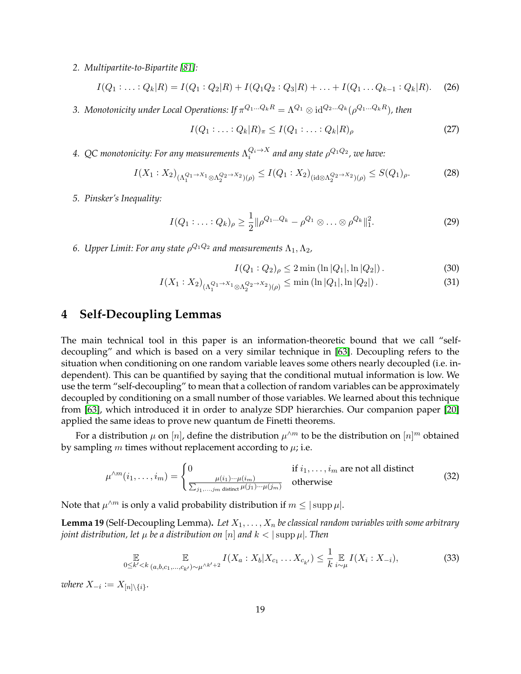*2. Multipartite-to-Bipartite [\[81\]](#page-44-12):*

<span id="page-18-4"></span>
$$
I(Q_1:...:Q_k|R) = I(Q_1:Q_2|R) + I(Q_1Q_2:Q_3|R) + ... + I(Q_1...Q_{k-1}:Q_k|R).
$$
 (26)

3. Monotonicity under Local Operations: If  $\pi^{Q_1...Q_kR} = \Lambda^{Q_1}\otimes \mathrm{id}^{Q_2...Q_k}(\rho^{Q_1...Q_kR})$ , then

<span id="page-18-5"></span>
$$
I(Q_1: \ldots: Q_k | R)_{\pi} \leq I(Q_1: \ldots: Q_k | R)_{\rho}
$$
\n
$$
(27)
$$

4. QC monotonicity: For any measurements  $\Lambda_i^{Q_i\to X}$  and any state  $\rho^{Q_1Q_2}$ , we have:

$$
I(X_1: X_2)_{(\Lambda_1^{Q_1 \to X_1} \otimes \Lambda_2^{Q_2 \to X_2})(\rho)} \le I(Q_1: X_2)_{(\mathrm{id} \otimes \Lambda_2^{Q_2 \to X_2})(\rho)} \le S(Q_1)_{\rho}.
$$
 (28)

*5. Pinsker's Inequality:*

<span id="page-18-6"></span>
$$
I(Q_1:...:Q_k)_{\rho} \ge \frac{1}{2} ||\rho^{Q_1...Q_k} - \rho^{Q_1} \otimes ... \otimes \rho^{Q_k}||_1^2.
$$
 (29)

6. Upper Limit: For any state  $\rho^{Q_1 Q_2}$  and measurements  $\Lambda_1, \Lambda_2,$ 

<span id="page-18-3"></span><span id="page-18-2"></span>
$$
I(Q_1:Q_2)_{\rho} \le 2 \min\left(\ln|Q_1|,\ln|Q_2|\right). \tag{30}
$$

$$
I(X_1: X_2)_{(\Lambda_1^{Q_1 \to X_1} \otimes \Lambda_2^{Q_2 \to X_2})(\rho)} \le \min\left(\ln|Q_1|, \ln|Q_2|\right). \tag{31}
$$

## <span id="page-18-1"></span>**4 Self-Decoupling Lemmas**

The main technical tool in this paper is an information-theoretic bound that we call "selfdecoupling" and which is based on a very similar technique in [\[63\]](#page-43-3). Decoupling refers to the situation when conditioning on one random variable leaves some others nearly decoupled (i.e. independent). This can be quantified by saying that the conditional mutual information is low. We use the term "self-decoupling" to mean that a collection of random variables can be approximately decoupled by conditioning on a small number of those variables. We learned about this technique from [\[63\]](#page-43-3), which introduced it in order to analyze SDP hierarchies. Our companion paper [\[20\]](#page-41-3) applied the same ideas to prove new quantum de Finetti theorems.

For a distribution  $\mu$  on  $[n]$ , define the distribution  $\mu^{\wedge m}$  to be the distribution on  $[n]^m$  obtained by sampling m times without replacement according to  $\mu$ ; i.e.

$$
\mu^{\wedge m}(i_1,\ldots,i_m) = \begin{cases} 0 & \text{if } i_1,\ldots,i_m \text{ are not all distinct} \\ \frac{\mu(i_1)\cdots\mu(i_m)}{\sum_{j_1,\ldots,j_m \text{ distinct }} \mu(j_1)\cdots\mu(j_m)} & \text{otherwise} \end{cases}
$$
(32)

Note that  $\mu^{\wedge m}$  is only a valid probability distribution if  $m \leq |\operatorname{supp} \mu|.$ 

<span id="page-18-0"></span>**Lemma 19** (Self-Decoupling Lemma). Let  $X_1, \ldots, X_n$  be classical random variables with some arbitrary *joint distribution, let*  $\mu$  *be a distribution on* [n] *and*  $k < |\text{supp }\mu|$ *. Then* 

$$
\mathop{\mathbb{E}}_{0 \le k' < k} \mathop{\mathbb{E}}_{(a,b,c_1,\ldots,c_{k'}) \sim \mu^{\wedge k'+2}} I(X_a : X_b | X_{c_1} \ldots X_{c_{k'}}) \le \frac{1}{k} \mathop{\mathbb{E}}_{i \sim \mu} I(X_i : X_{-i}),\tag{33}
$$

 $where X_{-i} := X_{[n] \setminus \{i\}}.$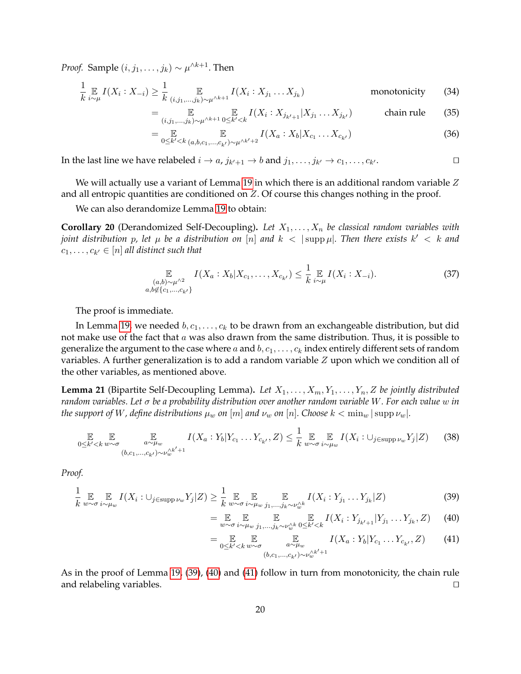*Proof.* Sample  $(i, j_1, \ldots, j_k) \sim \mu^{\wedge k+1}$ . Then

$$
\frac{1}{k} \underset{i \sim \mu}{\mathbb{E}} I(X_i : X_{-i}) \ge \frac{1}{k} \underset{(i,j_1,\dots,j_k) \sim \mu^{\wedge k+1}}{\mathbb{E}} I(X_i : X_{j_1} \dots X_{j_k})
$$
 monotonicity (34)

$$
= \mathop{\mathbb{E}}_{(i,j_1,...,j_k)\sim\mu^{\wedge k+1}} \mathop{\mathbb{E}}_{0\leq k'
$$

$$
= \mathop{\mathbb{E}}_{0 \leq k' < k} \mathop{\mathbb{E}}_{(a,b,c_1,...,c_{k'}) \sim \mu^{\wedge k'+2}} I(X_a : X_b | X_{c_1} \dots X_{c_{k'}})
$$
(36)

In the last line we have relabeled  $i\to a$ ,  $j_{k'+1}\to b$  and  $j_1,\ldots,j_{k'}\to c_1,\ldots,c_k$  $\overline{\phantom{a}}$ 

We will actually use a variant of Lemma [19](#page-18-0) in which there is an additional random variable  $Z$ and all entropic quantities are conditioned on Z. Of course this changes nothing in the proof.

We can also derandomize Lemma [19](#page-18-0) to obtain:

**Corollary 20** (Derandomized Self-Decoupling). Let  $X_1, \ldots, X_n$  be classical random variables with *joint distribution p, let*  $\mu$  *be a distribution on*  $[n]$  *and*  $k < |\text{supp }\mu|$ . Then there exists  $k' < k$  and  $c_1, \ldots, c_{k'} \in [n]$  all distinct such that

$$
\mathbb{E}_{(a,b)\sim\mu^{\wedge 2} \atop a,b\notin\{c_1,\ldots,c_{k'}\}} I(X_a: X_b | X_{c_1},\ldots,X_{c_{k'}}) \leq \frac{1}{k} \mathbb{E}_{i\sim\mu} I(X_i: X_{-i}).\tag{37}
$$

The proof is immediate.

In Lemma [19,](#page-18-0) we needed  $b, c_1, \ldots, c_k$  to be drawn from an exchangeable distribution, but did not make use of the fact that  $a$  was also drawn from the same distribution. Thus, it is possible to generalize the argument to the case where a and  $b, c_1, \ldots, c_k$  index entirely different sets of random variables. A further generalization is to add a random variable  $Z$  upon which we condition all of the other variables, as mentioned above.

<span id="page-19-3"></span>**Lemma 21** (Bipartite Self-Decoupling Lemma). Let  $X_1, \ldots, X_m, Y_1, \ldots, Y_n, Z$  be jointly distributed *random variables. Let* σ *be a probability distribution over another random variable* W*. For each value* w *in the support of* W, define distributions  $\mu_w$  on  $[m]$  and  $\nu_w$  on  $[n]$ . Choose  $k < \min_w |\sup \nu_w|$ .

$$
\mathbb{E}_{0 \le k' < k \le \omega} \mathbb{E}_{a \sim \mu_w} \prod_{\substack{a \sim \mu_w \\ (b,c_1,\ldots,c_{k'}) \sim \nu_w^{\wedge k'+1}}} I(X_a : Y_b | Y_{c_1} \ldots Y_{c_{k'}}, Z) \le \frac{1}{k} \mathbb{E}_{w \sim \sigma} \mathbb{E}_{i \sim \mu_w} I(X_i : \cup_{j \in \text{supp } \nu_w} Y_j | Z) \tag{38}
$$

*Proof.*

$$
\frac{1}{k} \mathop{\mathbb{E}}_{w \sim \sigma} \mathop{\mathbb{E}}_{i \sim \mu_w} I(X_i : \cup_{j \in \text{supp}\nu_w} Y_j | Z) \ge \frac{1}{k} \mathop{\mathbb{E}}_{w \sim \sigma} \mathop{\mathbb{E}}_{i \sim \mu_w} \mathop{\mathbb{E}}_{j_1, \dots, j_k \sim \nu_w^{A}} I(X_i : Y_{j_1} \dots Y_{j_k} | Z)
$$
\n(39)

<span id="page-19-1"></span><span id="page-19-0"></span>
$$
= \mathop{\mathbb{E}}_{w \sim \sigma} \mathop{\mathbb{E}}_{i \sim \mu_w} \mathop{\mathbb{E}}_{j_1, \dots, j_k \sim \nu_w^{Ak}} \mathop{\mathbb{E}}_{0 \le k' < k} I(X_i : Y_{j_{k'+1}} | Y_{j_1} \dots Y_{j_k}, Z) \tag{40}
$$

<span id="page-19-2"></span>
$$
= \underset{0 \leq k' < k \ w \sim \sigma}{\mathbb{E}} \underset{(b,c_1,\ldots,c_{k'}) \sim \nu_w^{(k'+1)}}{\mathbb{E}} I(X_a : Y_b | Y_{c_1} \ldots Y_{c_{k'}}, Z) \tag{41}
$$

As in the proof of Lemma [19,](#page-18-0) [\(39\)](#page-19-0), [\(40\)](#page-19-1) and [\(41\)](#page-19-2) follow in turn from monotonicity, the chain rule and relabeling variables.  $\Box$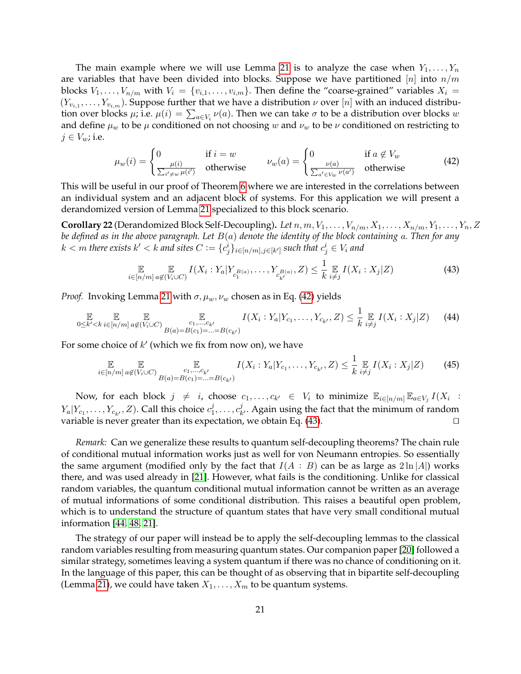The main example where we will use Lemma [21](#page-19-3) is to analyze the case when  $Y_1, \ldots, Y_n$ are variables that have been divided into blocks. Suppose we have partitioned  $[n]$  into  $n/m$ blocks  $V_1, \ldots, V_{n/m}$  with  $V_i = \{v_{i,1}, \ldots, v_{i,m}\}\.$  Then define the "coarse-grained" variables  $X_i =$  $(Y_{v_{i,1}},\ldots,Y_{v_{i,m}})$ . Suppose further that we have a distribution  $\nu$  over  $[n]$  with an induced distribution over blocks  $\mu$ ; i.e.  $\mu(i) = \sum_{a \in V_i} \nu(a)$ . Then we can take  $\sigma$  to be a distribution over blocks  $w$ and define  $\mu_w$  to be  $\mu$  conditioned on not choosing w and  $\nu_w$  to be  $\nu$  conditioned on restricting to  $j \in V_w$ ; i.e.

<span id="page-20-0"></span>
$$
\mu_w(i) = \begin{cases} 0 & \text{if } i = w \\ \frac{\mu(i)}{\sum_{i' \neq w} \mu(i')} & \text{otherwise} \end{cases} \qquad \nu_w(a) = \begin{cases} 0 & \text{if } a \notin V_w \\ \frac{\nu(a)}{\sum_{a' \in V_w} \nu(a')} & \text{otherwise} \end{cases} \tag{42}
$$

This will be useful in our proof of Theorem [6](#page-6-2) where we are interested in the correlations between an individual system and an adjacent block of systems. For this application we will present a derandomized version of Lemma [21](#page-19-3) specialized to this block scenario.

<span id="page-20-2"></span>**Corollary 22** (Derandomized Block Self-Decoupling). Let  $n, m, V_1, \ldots, V_{n/m}, X_1, \ldots, X_{n/m}, Y_1, \ldots, Y_n, Z$ *be defined as in the above paragraph. Let* B(a) *denote the identity of the block containing* a*. Then for any*  $k < m$  there exists  $k' < k$  and sites  $C := \{c^i_j\}_{i \in [n/m], j \in [k']}$  such that  $c^i_j \in V_i$  and

<span id="page-20-1"></span>
$$
\mathop{\mathbb{E}}_{i \in [n/m]} \mathop{\mathbb{E}}_{a \notin (V_i \cup C)} I(X_i : Y_a | Y_{c_1^{B(a)}}, \dots, Y_{c_{k'}^{B(a)}}, Z) \leq \frac{1}{k} \mathop{\mathbb{E}}_{i \neq j} I(X_i : X_j | Z)
$$
(43)

*Proof.* Invoking Lemma [21](#page-19-3) with  $\sigma$ ,  $\mu_w$ ,  $\nu_w$  chosen as in Eq. [\(42\)](#page-20-0) yields

$$
\mathbb{E}_{0 \le k' < k} \mathbb{E}_{i \in [n/m]} \mathbb{E}_{a \notin (V_i \cup C)} \mathbb{E}_{B(a) = B(c_1) = \ldots = B(c_{k'})} I(X_i : Y_a | Y_{c_1}, \ldots, Y_{c_{k'}}, Z) \le \frac{1}{k} \mathbb{E}_{i \ne j} I(X_i : X_j | Z) \tag{44}
$$

For some choice of  $k'$  (which we fix from now on), we have

$$
\mathbb{E}_{i \in [n/m]} \mathbb{E}_{a \notin (V_i \cup C)} \mathbb{E}_{B(a) = B(c_1) = \ldots = B(c_{k'})} I(X_i : Y_a | Y_{c_1}, \ldots, Y_{c_{k'}}, Z) \leq \frac{1}{k} \mathbb{E}_{i \neq j} I(X_i : X_j | Z)
$$
(45)

Now, for each block  $j \neq i$ , choose  $c_1, \ldots, c_{k'} \in V_i$  to minimize  $\mathbb{E}_{i \in [n/m]} \mathbb{E}_{a \in V_j} I(X_i)$ :  $Y_a|Y_{c_1},\ldots,Y_{c_{k'}},Z).$  Call this choice  $c_1^j$  $i_1^j, \ldots, c_k^j$  $\mu_{k'}^{\jmath}$ . Again using the fact that the minimum of random variable is never greater than its expectation, we obtain Eq. [\(43\)](#page-20-1).

*Remark:* Can we generalize these results to quantum self-decoupling theorems? The chain rule of conditional mutual information works just as well for von Neumann entropies. So essentially the same argument (modified only by the fact that  $I(A : B)$  can be as large as  $2 \ln |A|$ ) works there, and was used already in [\[21\]](#page-41-11). However, what fails is the conditioning. Unlike for classical random variables, the quantum conditional mutual information cannot be written as an average of mutual informations of some conditional distribution. This raises a beautiful open problem, which is to understand the structure of quantum states that have very small conditional mutual information [\[44,](#page-42-15) [48,](#page-42-16) [21\]](#page-41-11).

The strategy of our paper will instead be to apply the self-decoupling lemmas to the classical random variables resulting from measuring quantum states. Our companion paper [\[20\]](#page-41-3) followed a similar strategy, sometimes leaving a system quantum if there was no chance of conditioning on it. In the language of this paper, this can be thought of as observing that in bipartite self-decoupling (Lemma [21\)](#page-19-3), we could have taken  $X_1, \ldots, X_m$  to be quantum systems.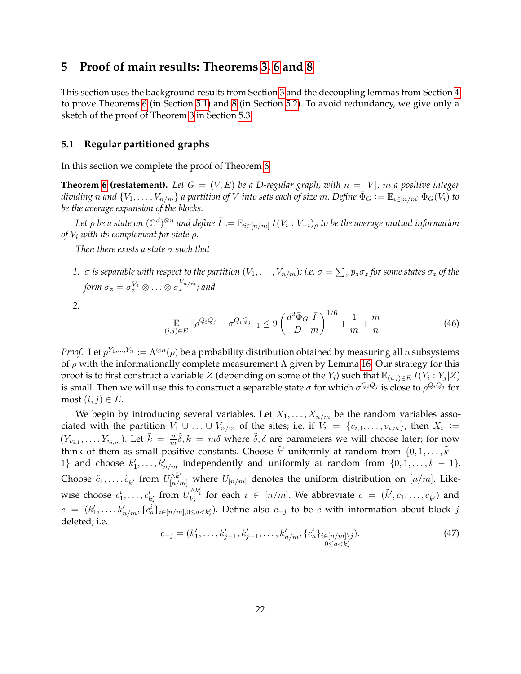### **5 Proof of main results: Theorems [3,](#page-5-2) [6](#page-6-2) and [8](#page-7-2)**

This section uses the background results from Section [3](#page-17-2) and the decoupling lemmas from Section [4](#page-18-1) to prove Theorems [6](#page-6-2) (in Section [5.1\)](#page-21-0) and [8](#page-7-2) (in Section [5.2\)](#page-25-0). To avoid redundancy, we give only a sketch of the proof of Theorem [3](#page-5-2) in Section [5.3.](#page-28-1)

### <span id="page-21-0"></span>**5.1 Regular partitioned graphs**

In this section we complete the proof of Theorem [6.](#page-6-2)

**Theorem [6](#page-6-2) (restatement).** Let  $G = (V, E)$  be a D-regular graph, with  $n = |V|$ , m a positive integer *dividing* n and  $\{V_1,\ldots,V_{n/m}\}$  a partition of V into sets each of size m. Define  $\bar{\Phi}_G := \mathbb{E}_{i\in[n/m]}\Phi_G(V_i)$  to *be the average expansion of the blocks.*

Let  $\rho$  be a state on  $(\mathbb{C}^d)^{\otimes n}$  and define  $\bar{I}:=\mathbb{E}_{i\in[n/m]}$   $I(V_i:V_{-i})_\rho$  to be the average mutual information *of* V<sup>i</sup> *with its complement for state* ρ*.*

*Then there exists a state* σ *such that*

 $1.~\sigma$  *is separable with respect to the partition*  $(V_1,\ldots,V_{n/m})$ *; i.e.*  $\sigma=\sum_zp_z\sigma_z$  *for some states*  $\sigma_z$  *of the* form  $\sigma_z = \sigma_z^{V_1} \otimes \ldots \otimes \sigma_z^{V_{n/m}}$ ; and

*2.*

$$
\mathop{\mathbb{E}}_{(i,j)\in E} \|\rho^{Q_i Q_j} - \sigma^{Q_i Q_j}\|_1 \le 9\left(\frac{d^2 \bar{\Phi}_G}{D} \frac{\bar{I}}{m}\right)^{1/6} + \frac{1}{m} + \frac{m}{n} \tag{46}
$$

*Proof.* Let  $p^{Y_1,...,Y_n} := \Lambda^{\otimes n}(\rho)$  be a probability distribution obtained by measuring all n subsystems of  $\rho$  with the informationally complete measurement  $\Lambda$  given by Lemma [16.](#page-16-0) Our strategy for this proof is to first construct a variable  $Z$  (depending on some of the  $Y_i$ ) such that  $\mathbb{E}_{(i,j)\in E} I(Y_i:Y_j|Z)$ is small. Then we will use this to construct a separable state  $\sigma$  for which  $\sigma^{Q_iQ_j}$  is close to  $\rho^{Q_iQ_j}$  for most  $(i, j) \in E$ .

We begin by introducing several variables. Let  $X_1, \ldots, X_{n/m}$  be the random variables associated with the partition  $V_1 \cup ... \cup V_{n/m}$  of the sites; i.e. if  $V_i = \{v_{i,1},...,v_{i,m}\}$ , then  $X_i :=$  $(Y_{v_{i,1}}, \ldots, Y_{v_{i,m}})$ . Let  $\tilde{k} = \frac{m}{m}$  $\frac{n}{m}\tilde{\delta}$ ,  $k = m\delta$  where  $\tilde{\delta}$ ,  $\delta$  are parameters we will choose later; for now think of them as small positive constants. Choose  $\tilde{k}'$  uniformly at random from  $\{0, 1, \ldots, \tilde{k} - \tilde{k}'\}$ 1} and choose  $k'_1, \ldots, k'_{n/m}$  independently and uniformly at random from  $\{0, 1, \ldots, k - 1\}$ . Choose  $\tilde c_1,\ldots,\tilde c_{\tilde k'}$  from  $U^{ \wedge \tilde k'}_{[n/m]}$  where  $U_{[n/m]}$  denotes the uniform distribution on  $[n/m].$  Likewise choose  $c_1^i, \ldots, c_{k'_i}^i$  from  $U_{V_i}^{\wedge k'_i}$  for each  $i \in [n/m]$ . We abbreviate  $\tilde{c} = (\tilde{k}', \tilde{c}_1, \ldots, \tilde{c}_{\tilde{k}'})$  and  $c = (k'_1, \ldots, k'_{n/m}, \{c^i_a\}_{i \in [n/m], 0 \le a < k'_i})$ . Define also  $c_{-j}$  to be c with information about block j deleted; i.e.

$$
c_{-j} = (k'_1, \dots, k'_{j-1}, k'_{j+1}, \dots, k'_{n/m}, \{c^i_a\}_{i \in [n/m]\setminus j}).
$$
\n(47)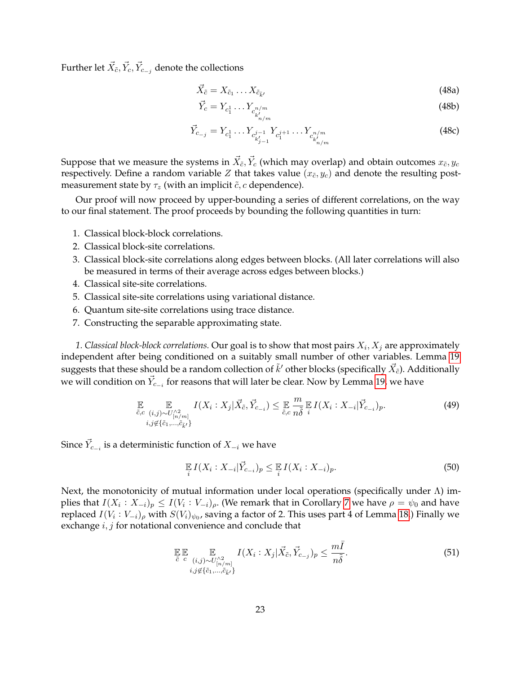Further let  $\vec{X}_{\tilde{c}}, \vec{Y}_c, \vec{Y}_{c_{-j}}$  denote the collections

$$
\vec{X}_{\tilde{c}} = X_{\tilde{c}_1} \dots X_{\tilde{c}_{\tilde{k}'}}
$$
\n(48a)

$$
\vec{Y}_c = Y_{c_1^1} \dots Y_{c_{k'_{n/m}}^{n/m}} \tag{48b}
$$

$$
\vec{Y}_{c_{-j}} = Y_{c_1^1} \dots Y_{c_{k'_{j-1}}^{j-1}} Y_{c_1^{j+1}} \dots Y_{c_{k'_{n/m}}^{j/m}}
$$
\n(48c)

Suppose that we measure the systems in  $\vec{X}_{\tilde{c}}, \vec{Y}_{c}$  (which may overlap) and obtain outcomes  $x_{\tilde{c}}, y_c$ respectively. Define a random variable Z that takes value  $(x_{\tilde{c}}, y_c)$  and denote the resulting postmeasurement state by  $\tau_z$  (with an implicit  $\tilde{c}$ , *c* dependence).

Our proof will now proceed by upper-bounding a series of different correlations, on the way to our final statement. The proof proceeds by bounding the following quantities in turn:

- 1. Classical block-block correlations.
- 2. Classical block-site correlations.
- 3. Classical block-site correlations along edges between blocks. (All later correlations will also be measured in terms of their average across edges between blocks.)
- 4. Classical site-site correlations.
- 5. Classical site-site correlations using variational distance.
- 6. Quantum site-site correlations using trace distance.
- 7. Constructing the separable approximating state.

1. Classical block-block correlations. Our goal is to show that most pairs  $X_i, X_j$  are approximately independent after being conditioned on a suitably small number of other variables. Lemma [19](#page-18-0) suggests that these should be a random collection of  $\tilde k'$  other blocks (specifically  $\vec X_{\tilde c}$ ). Additionally we will condition on  $\vec{Y}_{c_{-i}}$  for reasons that will later be clear. Now by Lemma [19,](#page-18-0) we have

$$
\mathbb{E}_{\tilde{c},c} \mathbb{E}_{(i,j)\sim U_{[n/m]}^{(2)}} I(X_i : X_j | \vec{X}_{\tilde{c}}, \vec{Y}_{c_{-i}}) \leq \mathbb{E}_{\tilde{c},c} \frac{m}{n\tilde{\delta}} \mathbb{E}_{\tilde{d}} I(X_i : X_{-i} | \vec{Y}_{c_{-i}})_p.
$$
\n
$$
i, j \notin {\tilde{c}_1, ..., \tilde{c}_{\tilde{k}'}}
$$
\n
$$
(49)
$$

Since  $\vec{Y}_{c_{-i}}$  is a deterministic function of  $X_{-i}$  we have

$$
\mathop{\mathbb{E}}_{i} I(X_{i} : X_{-i} | \vec{Y}_{c_{-i}})_{p} \leq \mathop{\mathbb{E}}_{i} I(X_{i} : X_{-i})_{p}.
$$
\n(50)

Next, the monotonicity of mutual information under local operations (specifically under Λ) implies that  $I(X_i: X_{-i})_p \leq I(V_i: V_{-i})_p$ . (We remark that in Corollary [7](#page-6-5) we have  $\rho = \psi_0$  and have replaced  $I(V_i:V_{-i})_\rho$  with  $S(V_i)_{\psi_0}$ , saving a factor of 2. This uses part 4 of Lemma [18.](#page-17-3)) Finally we exchange *i*, *j* for notational convenience and conclude that

<span id="page-22-0"></span>
$$
\mathbb{E}\mathbb{E}\mathbb{E}\mathbb{E}\mathbb{E}\mathbb{E}\left\{\mathbb{E}\left[\left(X_i: X_j | \vec{X}_{\tilde{c}}, \vec{Y}_{c-j}\right)_p \leq \frac{mI}{n\tilde{\delta}}\right]\right\}\substack{\tilde{c} \ c \ (i,j) \sim U_{\lfloor n/m \rfloor}^{\wedge 2} \\ i,j \notin \{\tilde{c}_1, \dots, \tilde{c}_{\tilde{k}'}\}\end{math> (51)
$$

 $\overline{1}$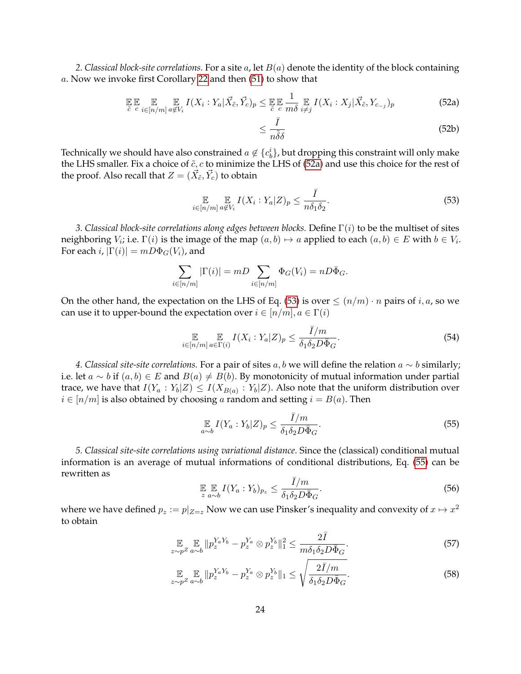*2. Classical block-site correlations.* For a site a, let B(a) denote the identity of the block containing a. Now we invoke first Corollary [22](#page-20-2) and then [\(51\)](#page-22-0) to show that

$$
\mathbb{E}\mathbb{E}\mathop{\mathbb{E}}_{\tilde{c} \ c} \mathop{\mathbb{E}}_{i \in [n/m]} \mathop{\mathbb{E}}_{a \notin V_i} I(X_i : Y_a | \vec{X}_{\tilde{c}}, \vec{Y}_c)_p \leq \mathop{\mathbb{E}}_{\tilde{c} \ c} \mathop{\mathbb{E}}_{m\delta} \mathop{\mathbb{E}}_{i \neq j} I(X_i : X_j | \vec{X}_{\tilde{c}}, Y_{c_{-j}})_p
$$
\n(52a)

<span id="page-23-0"></span>
$$
\leq \frac{\bar{I}}{n\tilde{\delta}\delta} \tag{52b}
$$

Technically we should have also constrained  $a\not\in\{c_b^i\}$ , but dropping this constraint will only make the LHS smaller. Fix a choice of  $\tilde{c}$ , c to minimize the LHS of [\(52a\)](#page-23-0) and use this choice for the rest of the proof. Also recall that  $Z=(\vec{X}_{\tilde{c}},\vec{Y}_{c})$  to obtain

<span id="page-23-1"></span>
$$
\mathop{\mathbb{E}}_{i \in [n/m]} \mathop{\mathbb{E}}_{a \notin V_i} I(X_i : Y_a | Z)_p \le \frac{\bar{I}}{n \delta_1 \delta_2}.
$$
\n(53)

*3. Classical block-site correlations along edges between blocks.* Define Γ(i) to be the multiset of sites neighboring  $V_i$ ; i.e.  $\Gamma(i)$  is the image of the map  $(a, b) \mapsto a$  applied to each  $(a, b) \in E$  with  $b \in V_i$ . For each i,  $|\Gamma(i)| = mD\Phi_G(V_i)$ , and

$$
\sum_{i \in [n/m]} |\Gamma(i)| = mD \sum_{i \in [n/m]} \Phi_G(V_i) = nD\overline{\Phi}_G.
$$

On the other hand, the expectation on the LHS of Eq. [\(53\)](#page-23-1) is over  $\leq (n/m) \cdot n$  pairs of i, a, so we can use it to upper-bound the expectation over  $i \in [n/m]$ ,  $a \in \Gamma(i)$ 

$$
\mathop{\mathbb{E}}_{i \in [n/m]} \mathop{\mathbb{E}}_{a \in \Gamma(i)} I(X_i : Y_a | Z)_p \le \frac{\bar{I}/m}{\delta_1 \delta_2 D \bar{\Phi}_G}.
$$
\n(54)

*4. Classical site-site correlations.* For a pair of sites a, b we will define the relation a ∼ b similarly; i.e. let  $a \sim b$  if  $(a, b) \in E$  and  $B(a) \neq B(b)$ . By monotonicity of mutual information under partial trace, we have that  $I(Y_a: Y_b|Z) \leq I(X_{B(a)}: Y_b|Z)$ . Also note that the uniform distribution over  $i \in [n/m]$  is also obtained by choosing a random and setting  $i = B(a)$ . Then

<span id="page-23-2"></span>
$$
\mathop{\mathbb{E}}_{a \sim b} I(Y_a : Y_b | Z)_p \le \frac{\bar{I}/m}{\delta_1 \delta_2 D \bar{\Phi}_G}.\tag{55}
$$

*5. Classical site-site correlations using variational distance.* Since the (classical) conditional mutual information is an average of mutual informations of conditional distributions, Eq. [\(55\)](#page-23-2) can be rewritten as  $\overline{\phantom{1}}$ 

<span id="page-23-3"></span>
$$
\mathbb{E}_{z} \mathbb{E}_{a \sim b} I(Y_a : Y_b)_{p_z} \le \frac{I/m}{\delta_1 \delta_2 D \bar{\Phi}_G}.
$$
\n(56)

where we have defined  $p_z := p|_{Z=z}$  Now we can use Pinsker's inequality and convexity of  $x \mapsto x^2$ to obtain

$$
\mathbb{E}_{z \sim p^Z} \mathbb{E}_{a \sim b} \| p_z^{Y_a Y_b} - p_z^{Y_a} \otimes p_z^{Y_b} \|_1^2 \le \frac{2\bar{I}}{m \delta_1 \delta_2 D \bar{\Phi}_G}.
$$
\n
$$
(57)
$$

$$
\mathbb{E}_{z \sim p^Z} \mathbb{E}_{a \sim b} \| p_z^{Y_a Y_b} - p_z^{Y_a} \otimes p_z^{Y_b} \|_1 \le \sqrt{\frac{2\bar{I}/m}{\delta_1 \delta_2 D \bar{\Phi}_G}}.
$$
\n(58)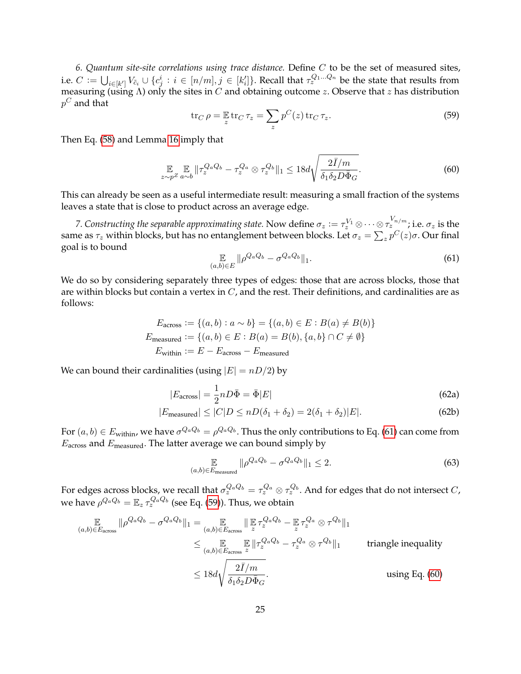*6. Quantum site-site correlations using trace distance.* Define C to be the set of measured sites, i.e.  $C:=\bigcup_{i\in[k']}V_{\tilde{c}_i}\cup\{c_j^i:\,i\in[n/m],j\in[k_i']\}.$  Recall that  $\tau_z^{Q_1...Q_n}$  be the state that results from measuring (using  $\Lambda$ ) only the sites in C and obtaining outcome z. Observe that z has distribution  $p^C$  and that

<span id="page-24-2"></span>
$$
\operatorname{tr}_C \rho = \mathop{\mathbb{E}}_z \operatorname{tr}_C \tau_z = \sum_z p^C(z) \operatorname{tr}_C \tau_z.
$$
 (59)

Then Eq. [\(58\)](#page-23-3) and Lemma [16](#page-16-0) imply that

<span id="page-24-0"></span>
$$
\mathbb{E}_{z \sim p^Z} \mathbb{E}_{a \sim b} \| \tau_z^{Q_a Q_b} - \tau_z^{Q_a} \otimes \tau_z^{Q_b} \|_1 \le 18d \sqrt{\frac{2\bar{I}/m}{\delta_1 \delta_2 D \bar{\Phi}_G}}.\tag{60}
$$

This can already be seen as a useful intermediate result: measuring a small fraction of the systems leaves a state that is close to product across an average edge.

7. Constructing the separable approximating state. Now define  $\sigma_z:=\tau_z^{V_1}\otimes\cdots\otimes\tau_z^{V_n/m}$ ; i.e.  $\sigma_z$  is the same as  $\tau_z$  within blocks, but has no entanglement between blocks. Let  $\sigma_z=\sum_z p^C(z)\sigma.$  Our final goal is to bound

<span id="page-24-1"></span>
$$
\mathop{\mathbb{E}}_{(a,b)\in E} \|\rho^{Q_a Q_b} - \sigma^{Q_a Q_b}\|_1. \tag{61}
$$

We do so by considering separately three types of edges: those that are across blocks, those that are within blocks but contain a vertex in  $C$ , and the rest. Their definitions, and cardinalities are as follows:

$$
E_{\text{across}} := \{(a, b) : a \sim b\} = \{(a, b) \in E : B(a) \neq B(b)\}
$$

$$
E_{\text{measured}} := \{(a, b) \in E : B(a) = B(b), \{a, b\} \cap C \neq \emptyset\}
$$

$$
E_{\text{within}} := E - E_{\text{across}} - E_{\text{measured}}
$$

We can bound their cardinalities (using  $|E| = nD/2$ ) by

$$
|E_{\text{across}}| = \frac{1}{2}nD\bar{\Phi} = \bar{\Phi}|E| \tag{62a}
$$

$$
|E_{\text{measured}}| \le |C|D \le nD(\delta_1 + \delta_2) = 2(\delta_1 + \delta_2)|E|.
$$
 (62b)

For  $(a,b)\in E_{\rm within}$ , we have  $\sigma^{Q_aQ_b}=\rho^{Q_aQ_b}.$  Thus the only contributions to Eq. [\(61\)](#page-24-1) can come from  $E_{\text{across}}$  and  $E_{\text{measured}}$ . The latter average we can bound simply by

$$
\mathbb{E}_{(a,b)\in E_{\text{measured}}} \|\rho^{Q_a Q_b} - \sigma^{Q_a Q_b}\|_1 \le 2. \tag{63}
$$

For edges across blocks, we recall that  $\sigma_z^{Q_aQ_b}=\tau_z^{Q_a}\otimes\tau_z^{Q_b}.$  And for edges that do not intersect  $C$ , we have  $\rho^{Q_a Q_b} = \mathbb{E}_z \, \tau_z^{Q_a Q_b}$  (see Eq. [\(59\)](#page-24-2)). Thus, we obtain

$$
\mathbb{E}_{(a,b)\in E_{\text{across}}} \|\rho^{Q_a Q_b} - \sigma^{Q_a Q_b}\|_1 = \mathbb{E}_{(a,b)\in E_{\text{across}}} \|\mathbb{E}_{z} \tau_z^{Q_a Q_b} - \mathbb{E}_{z} \tau_z^{Q_a} \otimes \tau^{Q_b}\|_1
$$
\n
$$
\leq \mathbb{E}_{(a,b)\in E_{\text{across}}} \|\tau_z^{Q_a Q_b} - \tau_z^{Q_a} \otimes \tau^{Q_b}\|_1 \qquad \text{triangle inequality}
$$
\n
$$
\leq 18d\sqrt{\frac{2\bar{I}/m}{\delta_1 \delta_2 D\bar{\Phi}_G}}.
$$
\nusing Eq. (60)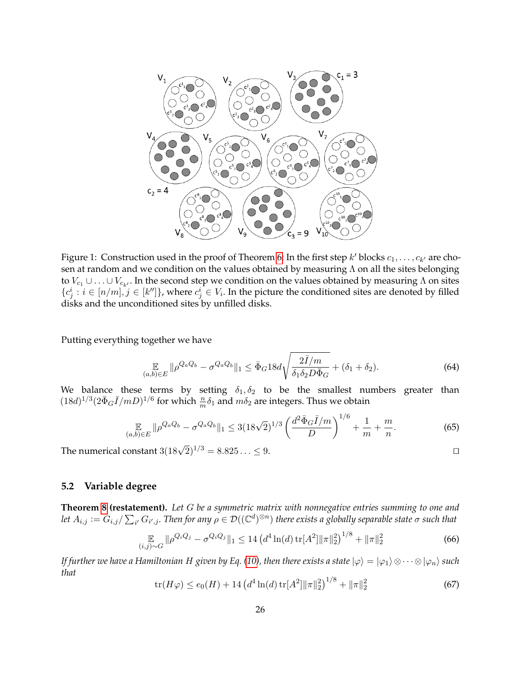

Figure 1: Construction used in the proof of Theorem [6:](#page-6-2) In the first step  $k'$  blocks  $c_1, \ldots, c_{k'}$  are chosen at random and we condition on the values obtained by measuring  $\Lambda$  on all the sites belonging to  $V_{c_1} \cup \ldots \cup V_{c_{k'}}$ . In the second step we condition on the values obtained by measuring  $\Lambda$  on sites  ${c_j^i : i \in [n/m], j \in [k'']},$  where  $c_j^i \in V_i$ . In the picture the conditioned sites are denoted by filled disks and the unconditioned sites by unfilled disks.

Putting everything together we have

$$
\mathop{\mathbb{E}}_{(a,b)\in E} \|\rho^{Q_a Q_b} - \sigma^{Q_a Q_b}\|_1 \le \bar{\Phi}_G 18d\sqrt{\frac{2\bar{I}/m}{\delta_1 \delta_2 D\bar{\Phi}_G}} + (\delta_1 + \delta_2). \tag{64}
$$

We balance these terms by setting  $\delta_1, \delta_2$  to be the smallest numbers greater than  $(18d)^{1/3} (2\bar{\Phi}_G \bar{I}/mD)^{1/6}$  for which  $\frac{n}{m}\delta_1$  and  $m\delta_2$  are integers. Thus we obtain

$$
\mathop{\mathbb{E}}_{(a,b)\in E} \|\rho^{Q_a Q_b} - \sigma^{Q_a Q_b}\|_1 \le 3(18\sqrt{2})^{1/3} \left(\frac{d^2 \bar{\Phi}_G \bar{I}/m}{D}\right)^{1/6} + \frac{1}{m} + \frac{m}{n}.\tag{65}
$$

The numerical constant  $3(18\sqrt{2})^{1/3} = 8.825... \leq 9$ .

### <span id="page-25-0"></span>**5.2 Variable degree**

**Theorem [8](#page-7-2) (restatement).** *Let* G *be a symmetric matrix with nonnegative entries summing to one and* let  $A_{i,j}:=G_{i,j}/\sum_{i'}G_{i',j}.$  Then for any  $\rho\in \mathcal D((\mathbb C^d)^{\otimes n})$  there exists a globally separable state  $\sigma$  such that

$$
\mathbb{E}_{(i,j)\sim G} \|\rho^{Q_i Q_j} - \sigma^{Q_i Q_j}\|_1 \le 14 \left(d^4 \ln(d) \operatorname{tr}[A^2] \|\pi\|_2^2\right)^{1/8} + \|\pi\|_2^2 \tag{66}
$$

*If further we have a Hamiltonian H given by Eq.* [\(10\)](#page-6-3), then there exists a state  $|\varphi\rangle = |\varphi_1\rangle \otimes \cdots \otimes |\varphi_n\rangle$  such *that*

<span id="page-25-1"></span>
$$
\operatorname{tr}(H\varphi) \le e_0(H) + 14 \left( d^4 \ln(d) \operatorname{tr}[A^2] \|\pi\|_2^2 \right)^{1/8} + \|\pi\|_2^2 \tag{67}
$$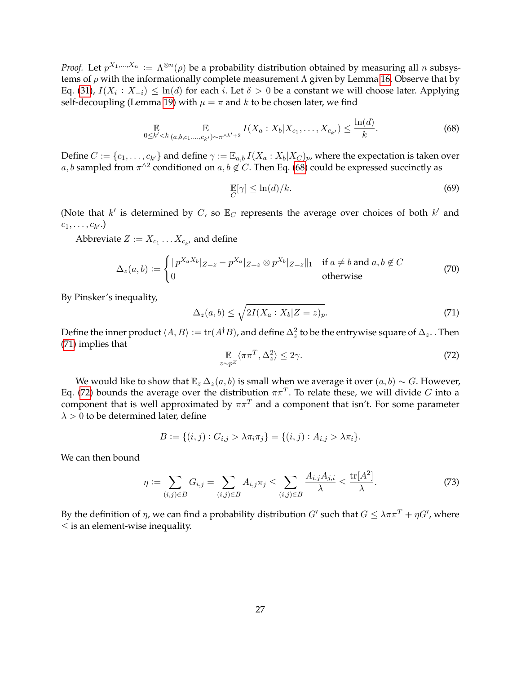*Proof.* Let  $p^{X_1,...,X_n} := \Lambda^{\otimes n}(\rho)$  be a probability distribution obtained by measuring all n subsystems of  $\rho$  with the informationally complete measurement  $\Lambda$  given by Lemma [16.](#page-16-0) Observe that by Eq. [\(31\)](#page-18-2),  $I(X_i : X_{-i}) \leq \ln(d)$  for each i. Let  $\delta > 0$  be a constant we will choose later. Applying self-decoupling (Lemma [19\)](#page-18-0) with  $\mu = \pi$  and k to be chosen later, we find

<span id="page-26-0"></span>
$$
\mathbb{E}_{0 \le k' < k} \mathbb{E}_{(a,b,c_1,\ldots,c_{k'}) \sim \pi^{\wedge k'+2}} I(X_a : X_b | X_{c_1},\ldots,X_{c_{k'}}) \le \frac{\ln(d)}{k}.\tag{68}
$$

Define  $C := \{c_1, \ldots, c_{k'}\}$  and define  $\gamma := \mathbb{E}_{a,b} I(X_a : X_b | X_C)_{p}$ , where the expectation is taken over a, b sampled from  $\pi^{\wedge 2}$  conditioned on  $a, b \notin C$ . Then Eq. [\(68\)](#page-26-0) could be expressed succinctly as

<span id="page-26-4"></span>
$$
\mathbb{E}[\gamma] \le \ln(d)/k. \tag{69}
$$

(Note that  $k'$  is determined by C, so  $\mathbb{E}_C$  represents the average over choices of both  $k'$  and  $c_1, \ldots, c_{k'}.)$ 

Abbreviate  $Z \vcentcolon= X_{c_1} \dots X_{c_{k'}}$  and define

$$
\Delta_z(a,b) := \begin{cases} ||p^{X_a X_b}|_{Z=z} - p^{X_a}|_{Z=z} \otimes p^{X_b}|_{Z=z}||_1 & \text{if } a \neq b \text{ and } a, b \notin C \\ 0 & \text{otherwise} \end{cases}
$$
(70)

By Pinsker's inequality,

<span id="page-26-1"></span>
$$
\Delta_z(a,b) \le \sqrt{2I(X_a : X_b|Z=z)_p}.\tag{71}
$$

Define the inner product  $\langle A, B\rangle:=\mathrm{tr}(A^\dag B)$ , and define  $\Delta_z^2$  to be the entrywise square of  $\Delta_z$  . Then [\(71\)](#page-26-1) implies that

<span id="page-26-2"></span>
$$
\mathbb{E}_{z \sim p^Z} \langle \pi \pi^T, \Delta_z^2 \rangle \le 2\gamma. \tag{72}
$$

We would like to show that  $\mathbb{E}_z \Delta_z(a, b)$  is small when we average it over  $(a, b) \sim G$ . However, Eq. [\(72\)](#page-26-2) bounds the average over the distribution  $\pi\pi^{T}.$  To relate these, we will divide  $G$  into a component that is well approximated by  $\pi \pi^T$  and a component that isn't. For some parameter  $\lambda > 0$  to be determined later, define

$$
B := \{(i, j) : G_{i,j} > \lambda \pi_i \pi_j\} = \{(i, j) : A_{i,j} > \lambda \pi_i\}.
$$

We can then bound

<span id="page-26-3"></span>
$$
\eta := \sum_{(i,j)\in B} G_{i,j} = \sum_{(i,j)\in B} A_{i,j} \pi_j \le \sum_{(i,j)\in B} \frac{A_{i,j} A_{j,i}}{\lambda} \le \frac{\text{tr}[A^2]}{\lambda}.
$$
 (73)

By the definition of  $\eta$ , we can find a probability distribution  $G'$  such that  $G \leq \lambda \pi \pi^T + \eta G'$ , where  $\leq$  is an element-wise inequality.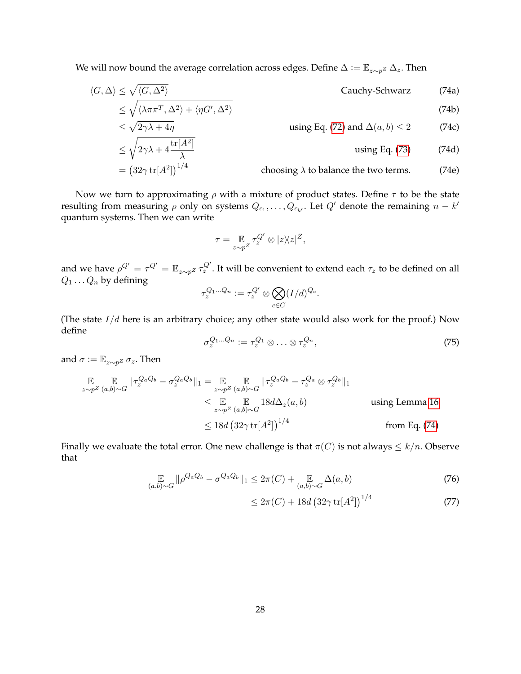We will now bound the average correlation across edges. Define  $\Delta := \mathbb{E}_{z \sim p^Z} \Delta_z$ . Then

$$
\langle G, \Delta \rangle \le \sqrt{\langle G, \Delta^2 \rangle}
$$
 Cauchy-Schwarz (74a)

$$
\leq \sqrt{\langle \lambda \pi \pi^T, \Delta^2 \rangle + \langle \eta G', \Delta^2 \rangle}
$$
\n
$$
\leq \sqrt{2\gamma \lambda + 4\eta}
$$
\n
$$
\leq \sqrt{2\gamma \lambda + 4\eta}
$$
\n(74b)

\nusing Eq. (72) and  $\Delta(a, b) \leq 2$ 

\n(74c)

$$
\leq \sqrt{2\gamma\lambda + 4\frac{\text{tr}[A^2]}{\lambda}}
$$
 using Eq. (73) (74d)  
=  $(32\gamma \text{ tr}[A^2])^{1/4}$  choosing  $\lambda$  to balance the two terms. (74e)

Now we turn to approximating  $\rho$  with a mixture of product states. Define  $\tau$  to be the state resulting from measuring  $\rho$  only on systems  $Q_{c_1}, \ldots, Q_{c_{k'}}$ . Let  $Q'$  denote the remaining  $n - k'$ quantum systems. Then we can write

<span id="page-27-0"></span>
$$
\tau = \mathop{\mathbb{E}}\limits_{z \sim p^Z} \tau_z^{Q'} \otimes |z\rangle\langle z|^Z,
$$

and we have  $\rho^{Q'}=\tau^{Q'}=\mathbb{E}_{z\sim p^Z}\tau_z^{Q'}$ . It will be convenient to extend each  $\tau_z$  to be defined on all  $Q_1 \ldots Q_n$  by defining

$$
\tau_z^{Q_1...Q_n} := \tau_z^{Q'} \otimes \bigotimes_{c \in C} (I/d)^{Q_c}.
$$

(The state  $I/d$  here is an arbitrary choice; any other state would also work for the proof.) Now define

$$
\sigma_z^{Q_1...Q_n} := \tau_z^{Q_1} \otimes \ldots \otimes \tau_z^{Q_n},\tag{75}
$$

and  $\sigma := \mathbb{E}_{z \sim p^Z} \sigma_z$ . Then

$$
\mathbb{E} \mathbb{E}_{z \sim p^{Z}(a,b) \sim G} \|\tau_{z}^{Q_{a}Q_{b}} - \sigma_{z}^{Q_{a}Q_{b}}\|_{1} = \mathbb{E}_{z \sim p^{Z}(a,b) \sim G} \|\tau_{z}^{Q_{a}Q_{b}} - \tau_{z}^{Q_{a}} \otimes \tau_{z}^{Q_{b}}\|_{1}
$$
\n
$$
\leq \mathbb{E}_{z \sim p^{Z}(a,b) \sim G} \|\mathcal{A} \Delta_{z}(a,b) \|_{1}
$$
\n
$$
\leq 18d \left(32\gamma \operatorname{tr}[A^{2}]\right)^{1/4} \qquad \text{from Eq. (74)}
$$

Finally we evaluate the total error. One new challenge is that  $\pi(C)$  is not always  $\leq k/n$ . Observe that

$$
\mathop{\mathbb{E}}_{(a,b)\sim G} \|\rho^{Q_a Q_b} - \sigma^{Q_a Q_b}\|_1 \leq 2\pi(C) + \mathop{\mathbb{E}}_{(a,b)\sim G} \Delta(a,b)
$$
\n(76)

<span id="page-27-1"></span>
$$
\leq 2\pi(C) + 18d \left(32\gamma \, \text{tr}[A^2]\right)^{1/4} \tag{77}
$$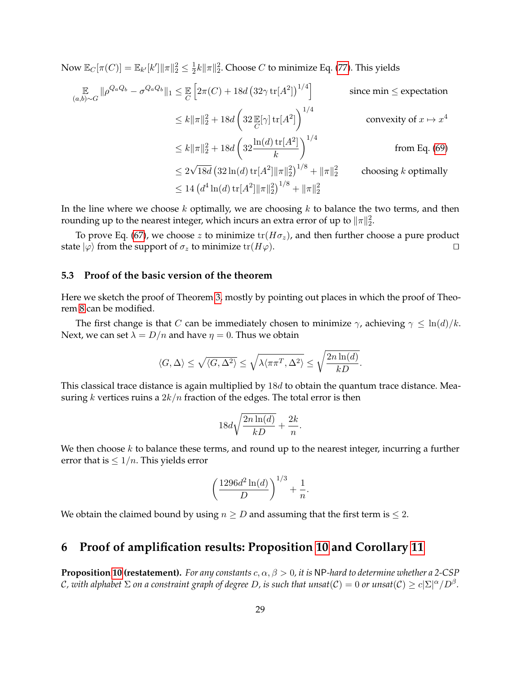Now  $\mathbb{E}_C[\pi(C)] = \mathbb{E}_{k'}[k']\|\pi\|_2^2 \leq \frac{1}{2}$  $\frac{1}{2}k\|\pi\|_2^2$ . Choose  $C$  to minimize Eq. [\(77\)](#page-27-1). This yields

$$
\mathbb{E}_{(a,b)\sim G} \|\rho^{Q_a Q_b} - \sigma^{Q_a Q_b}\|_1 \leq \mathbb{E}_{C} \left[2\pi(C) + 18d \left(32\gamma \operatorname{tr}[A^2]\right)^{1/4}\right] \qquad \text{since } \min \leq \text{expectation}
$$
\n
$$
\leq k \|\pi\|_2^2 + 18d \left(32 \mathbb{E}[\gamma] \operatorname{tr}[A^2]\right)^{1/4} \qquad \text{convexity of } x \mapsto x^4
$$
\n
$$
\leq k \|\pi\|_2^2 + 18d \left(32 \frac{\ln(d) \operatorname{tr}[A^2]}{k}\right)^{1/4} \qquad \text{from Eq. (69)}
$$
\n
$$
\leq 2\sqrt{18d} \left(32 \ln(d) \operatorname{tr}[A^2] \|\pi\|_2^2\right)^{1/8} + \|\pi\|_2^2 \qquad \text{choosing } k \text{ optimally}
$$
\n
$$
\leq 14 \left(d^4 \ln(d) \operatorname{tr}[A^2] \|\pi\|_2^2\right)^{1/8} + \|\pi\|_2^2
$$

In the line where we choose  $k$  optimally, we are choosing  $k$  to balance the two terms, and then rounding up to the nearest integer, which incurs an extra error of up to  $\|\pi\|_2^2$ .

To prove Eq. [\(67\)](#page-25-1), we choose z to minimize  $tr(H\sigma_z)$ , and then further choose a pure product state  $|\varphi\rangle$  from the support of  $\sigma_z$  to minimize tr( $H\varphi$ ).  $\square$ 

### <span id="page-28-1"></span>**5.3 Proof of the basic version of the theorem**

Here we sketch the proof of Theorem [3,](#page-5-2) mostly by pointing out places in which the proof of Theorem [8](#page-7-2) can be modified.

The first change is that C can be immediately chosen to minimize  $\gamma$ , achieving  $\gamma \leq \ln(d)/k$ . Next, we can set  $\lambda = D/n$  and have  $\eta = 0$ . Thus we obtain

$$
\langle G, \Delta \rangle \leq \sqrt{\langle G, \Delta^2 \rangle} \leq \sqrt{\lambda \langle \pi \pi^T, \Delta^2 \rangle} \leq \sqrt{\frac{2n \ln(d)}{kD}}.
$$

This classical trace distance is again multiplied by  $18d$  to obtain the quantum trace distance. Measuring k vertices ruins a  $2k/n$  fraction of the edges. The total error is then

$$
18d\sqrt{\frac{2n\ln(d)}{kD}} + \frac{2k}{n}.
$$

We then choose  $k$  to balance these terms, and round up to the nearest integer, incurring a further error that is  $\leq 1/n$ . This yields error

$$
\left(\frac{1296d^2\ln(d)}{D}\right)^{1/3} + \frac{1}{n}.
$$

We obtain the claimed bound by using  $n \geq D$  and assuming that the first term is  $\leq 2$ .

## <span id="page-28-0"></span>**6 Proof of amplification results: Proposition [10](#page-8-1) and Corollary [11](#page-8-2)**

**Proposition [10](#page-8-1) (restatement).** *For any constants*  $c, \alpha, \beta > 0$ , *it is* NP-hard to determine whether a 2-CSP  $C$ , with alphabet  $\Sigma$  on a constraint graph of degree  $D$ , is such that unsat( $\mathcal C)=0$  or unsat( $\mathcal C)\ge c|\Sigma|^\alpha/D^\beta.$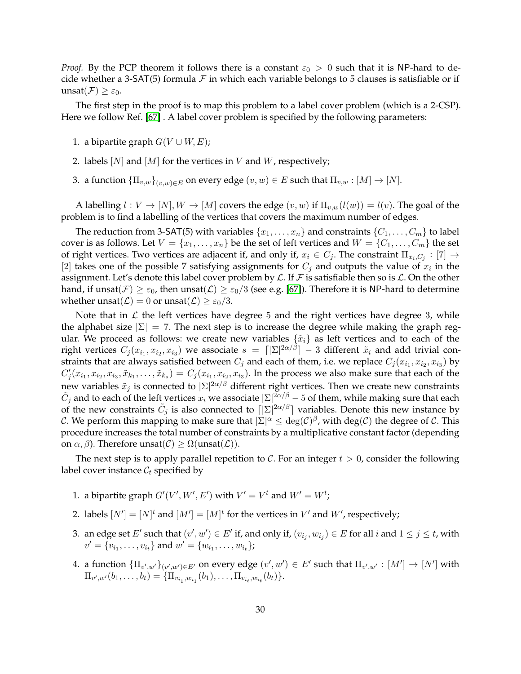*Proof.* By the PCP theorem it follows there is a constant  $\varepsilon_0 > 0$  such that it is NP-hard to decide whether a 3-SAT(5) formula  $\mathcal F$  in which each variable belongs to 5 clauses is satisfiable or if  $\text{unsat}(\mathcal{F}) \geq \varepsilon_0$ .

The first step in the proof is to map this problem to a label cover problem (which is a 2-CSP). Here we follow Ref. [\[67\]](#page-43-15) . A label cover problem is specified by the following parameters:

- 1. a bipartite graph  $G(V \cup W, E)$ ;
- 2. labels  $[N]$  and  $[M]$  for the vertices in V and W, respectively;
- 3. a function  ${\{\Pi_{v,w}\}}_{(v,w)\in E}$  on every edge  $(v,w)\in E$  such that  $\Pi_{v,w}:[M]\to [N]$ .

A labelling  $l: V \to [N], W \to [M]$  covers the edge  $(v, w)$  if  $\Pi_{v,w}(l(w)) = l(v)$ . The goal of the problem is to find a labelling of the vertices that covers the maximum number of edges.

The reduction from 3-SAT(5) with variables  $\{x_1, \ldots, x_n\}$  and constraints  $\{C_1, \ldots, C_m\}$  to label cover is as follows. Let  $V = \{x_1, \ldots, x_n\}$  be the set of left vertices and  $W = \{C_1, \ldots, C_m\}$  the set of right vertices. Two vertices are adjacent if, and only if,  $x_i \in C_j$ . The constraint  $\Pi_{x_i,C_j} : [7] \to$ [2] takes one of the possible 7 satisfying assignments for  $C_j$  and outputs the value of  $x_i$  in the assignment. Let's denote this label cover problem by  $\mathcal L$ . If  $\mathcal F$  is satisfiable then so is  $\mathcal L$ . On the other hand, if unsat $(\mathcal{F}) \geq \varepsilon_0$ , then unsat $(\mathcal{L}) \geq \varepsilon_0/3$  (see e.g. [\[67\]](#page-43-15)). Therefore it is NP-hard to determine whether unsat( $\mathcal{L}$ ) = 0 or unsat( $\mathcal{L}$ )  $\geq \varepsilon_0/3$ .

Note that in  $\mathcal L$  the left vertices have degree 5 and the right vertices have degree 3, while the alphabet size  $|\Sigma| = 7$ . The next step is to increase the degree while making the graph regular. We proceed as follows: we create new variables  $\{\tilde{x}_i\}$  as left vertices and to each of the right vertices  $C_j(x_{i_1},x_{i_2},x_{i_3})$  we associate  $s~=~\lceil |\Sigma|^{2\alpha/\beta}\rceil-3$  different  $\tilde{x}_i$  and add trivial constraints that are always satisfied between  $C_j$  and each of them, i.e. we replace  $C_j(x_{i_1},x_{i_2},x_{i_3})$  by  $C'_j(x_{i_1},x_{i_2},x_{i_3},\tilde{x}_{k_1},\ldots,\tilde{x}_{k_s})=C_j(x_{i_1},x_{i_2},x_{i_3}).$  In the process we also make sure that each of the new variables  $\tilde x_j$  is connected to  $|\Sigma|^{2\alpha/\beta}$  different right vertices. Then we create new constraints  $\tilde C_j$  and to each of the left vertices  $x_i$  we associate  $|\Sigma|^{2\alpha/\beta}$  – 5 of them, while making sure that each of the new constraints  $\tilde{C}_j$  is also connected to  $\lceil |\Sigma|^{2\alpha/\beta} \rceil$  variables. Denote this new instance by  $\cal C$ . We perform this mapping to make sure that  $|\Sigma|^\alpha \leq \deg(\cal C)^\beta$ , with  $\deg(\cal C)$  the degree of  $\cal C$ . This procedure increases the total number of constraints by a multiplicative constant factor (depending on  $\alpha$ ,  $\beta$ ). Therefore unsat( $C$ )  $\geq \Omega(\text{unsat}(\mathcal{L}))$ .

The next step is to apply parallel repetition to C. For an integer  $t > 0$ , consider the following label cover instance  $\mathcal{C}_t$  specified by

- 1. a bipartite graph  $G'(V', W', E')$  with  $V' = V^t$  and  $W' = W^t$ ;
- 2. labels  $[N'] = [N]^t$  and  $[M'] = [M]^t$  for the vertices in  $V'$  and  $W'$ , respectively;
- 3. an edge set  $E'$  such that  $(v', w') \in E'$  if, and only if,  $(v_{i_j}, w_{i_j}) \in E$  for all  $i$  and  $1 \leq j \leq t$ , with  $v' = \{v_{i_1}, \ldots, v_{i_t}\}$  and  $w' = \{w_{i_1}, \ldots, w_{i_t}\}\;$
- 4. a function  $\{\Pi_{v',w'}\}_{(v',w')\in E'}$  on every edge  $(v',w')\in E'$  such that  $\Pi_{v',w'}:[M']\to [N']$  with  $\Pi_{v',w'}(b_1,\ldots,b_t) = \{\Pi_{v_{i_1},w_{i_1}}(b_1),\ldots,\Pi_{v_{i_t},w_{i_t}}(b_t)\}.$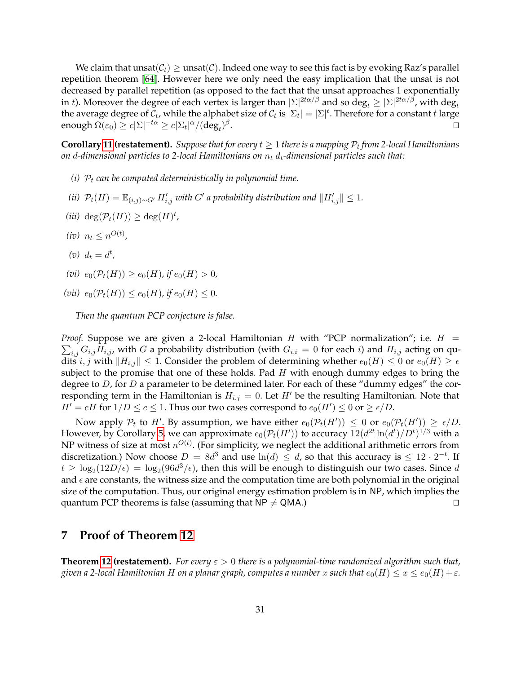We claim that  $\text{unsat}(\mathcal{C}_t) \geq \text{unsat}(\mathcal{C})$ . Indeed one way to see this fact is by evoking Raz's parallel repetition theorem [\[64\]](#page-43-6). However here we only need the easy implication that the unsat is not decreased by parallel repetition (as opposed to the fact that the unsat approaches 1 exponentially in *t*). Moreover the degree of each vertex is larger than  $|\Sigma|^{2t\alpha/\beta}$  and so deg $_t\geq |\Sigma|^{2t\alpha/\beta}$ , with deg $_t$ the average degree of  $\mathcal{C}_t$ , while the alphabet size of  $\mathcal{C}_t$  is  $|\Sigma_t|=|\Sigma|^t.$  Therefore for a constant  $t$  large enough  $\Omega(\varepsilon_0) \geq c |\Sigma|^{-t\alpha} \geq c |\Sigma_t|^\alpha/(\deg_t)^\beta$ . The contract of the contract of the contract of the contract of the contract of the contract of the contract of the contract of the contract of the contract of the contract of the contract of the contract of the contract

 $\bf{Corollary~11}$  ( $\bf{restatement}$ ). Suppose that for every  $t\geq 1$  there is a mapping  $\mathcal{P}_t$  from 2-local Hamiltonians *on* d-dimensional particles to 2-local Hamiltonians on  $n_t$   $d_t$ -dimensional particles such that:

- *(i)*  $P_t$  *can be computed deterministically in polynomial time.*
- *(ii)*  $\mathcal{P}_t(H) = \mathbb{E}_{(i,j)\sim G'} H'_{i,j}$  with  $G'$  a probability distribution and  $||H'_{i,j}|| ≤ 1$ .
- $(iii) \deg(\mathcal{P}_t(H)) \geq \deg(H)^t$ ,
- $(iv)$   $n_t \leq n^{O(t)}$ ,
- $(v)$   $d_t = d^t$ ,
- $(vi)$   $e_0(\mathcal{P}_t(H)) \ge e_0(H)$ *, if*  $e_0(H) > 0$ *,*
- (*vii*)  $e_0(\mathcal{P}_t(H)) \leq e_0(H)$ , if  $e_0(H) \leq 0$ .

*Then the quantum PCP conjecture is false.*

*Proof.* Suppose we are given a 2-local Hamiltonian H with "PCP normalization"; i.e.  $H =$  $\sum_{i,j} G_{i,j} H_{i,j}$ , with  $G$  a probability distribution (with  $G_{i,i} = 0$  for each  $i$ ) and  $H_{i,j}$  acting on qudits i, j with  $||H_{i,j}|| \leq 1$ . Consider the problem of determining whether  $e_0(H) \leq 0$  or  $e_0(H) \geq \epsilon$ subject to the promise that one of these holds. Pad  $H$  with enough dummy edges to bring the degree to  $D$ , for  $D$  a parameter to be determined later. For each of these "dummy edges" the corresponding term in the Hamiltonian is  $H_{i,j} = 0$ . Let H' be the resulting Hamiltonian. Note that  $H' = cH$  for  $1/D \le c \le 1$ . Thus our two cases correspond to  $e_0(H') \le 0$  or  $\ge \epsilon/D$ .

Now apply  $P_t$  to H'. By assumption, we have either  $e_0(\mathcal{P}_t(H')) \leq 0$  or  $e_0(\mathcal{P}_t(H')) \geq \epsilon/D$ . However, by Corollary [5,](#page-5-4) we can approximate  $e_0(\mathcal{P}_t(H'))$  to accuracy  $12(d^{2t}\ln(d^t)/D^t)^{1/3}$  with a NP witness of size at most  $n^{O(t)}$ . (For simplicity, we neglect the additional arithmetic errors from discretization.) Now choose  $D = 8d^3$  and use  $ln(d) \le d$ , so that this accuracy is  $\le 12 \cdot 2^{-t}$ . If  $t \geq \log_2(12D/\epsilon) = \log_2(96d^3/\epsilon)$ , then this will be enough to distinguish our two cases. Since  $d$ and  $\epsilon$  are constants, the witness size and the computation time are both polynomial in the original size of the computation. Thus, our original energy estimation problem is in NP, which implies the quantum PCP theorems is false (assuming that  $NP \neq QMA$ .)  $\Box$ 

## **7 Proof of Theorem [12](#page-12-2)**

**Theorem [12](#page-12-2) (restatement).** *For every* ε > 0 *there is a polynomial-time randomized algorithm such that, given a 2-local Hamiltonian H on a planar graph, computes a number* x *such that*  $e_0(H) \le x \le e_0(H) + \varepsilon$ .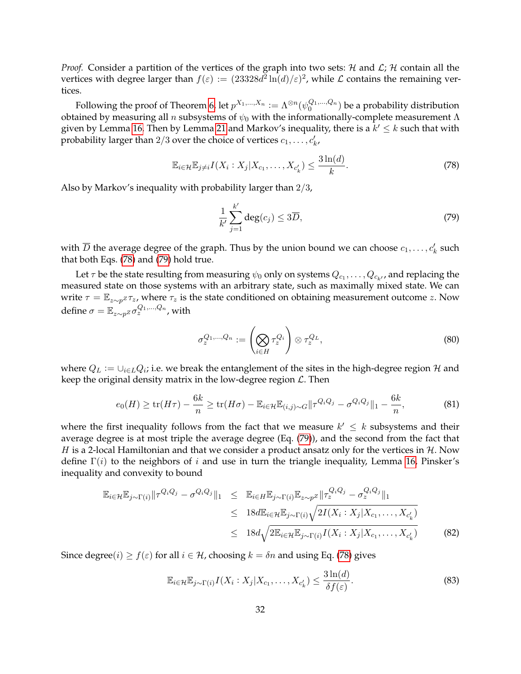*Proof.* Consider a partition of the vertices of the graph into two sets:  $H$  and  $L$ ;  $H$  contain all the vertices with degree larger than  $f(\varepsilon) := (23328d^2 \ln(d)/\varepsilon)^2$ , while  $\mathcal L$  contains the remaining vertices.

Following the proof of Theorem [6,](#page-6-2) let  $p^{X_1,...,X_n}:=\Lambda^{\otimes n}(\psi_0^{Q_1,...,Q_n})$  be a probability distribution obtained by measuring all *n* subsystems of  $\psi_0$  with the informationally-complete measurement Λ given by Lemma [16.](#page-16-0) Then by Lemma [21](#page-19-3) and Markov's inequality, there is a  $k' \leq k$  such that with probability larger than 2/3 over the choice of vertices  $c_1, \ldots, c'_k$ ,

<span id="page-31-0"></span>
$$
\mathbb{E}_{i \in \mathcal{H}} \mathbb{E}_{j \neq i} I(X_i : X_j | X_{c_1}, \dots, X_{c'_k}) \leq \frac{3 \ln(d)}{k}.
$$
\n
$$
(78)
$$

Also by Markov's inequality with probability larger than 2/3,

<span id="page-31-1"></span>
$$
\frac{1}{k'}\sum_{j=1}^{k'} \deg(c_j) \le 3\overline{D},\tag{79}
$$

with  $\overline{D}$  the average degree of the graph. Thus by the union bound we can choose  $c_1,\ldots,c'_k$  such that both Eqs. [\(78\)](#page-31-0) and [\(79\)](#page-31-1) hold true.

Let  $\tau$  be the state resulting from measuring  $\psi_0$  only on systems  $Q_{c_1},\ldots,Q_{c_{k'}}$ , and replacing the measured state on those systems with an arbitrary state, such as maximally mixed state. We can write  $\tau = \mathbb{E}_{z \sim p^Z} \tau_z$ , where  $\tau_z$  is the state conditioned on obtaining measurement outcome z. Now define  $\sigma = \mathbb{E}_{z \sim p^Z} \sigma_z^{Q_1,...,Q_n}$  , with

<span id="page-31-3"></span>
$$
\sigma_z^{Q_1,\ldots,Q_n} := \left(\bigotimes_{i \in H} \tau_z^{Q_i}\right) \otimes \tau_z^{Q_L},\tag{80}
$$

where  $Q_L := \cup_{i \in L} Q_i$ ; i.e. we break the entanglement of the sites in the high-degree region  ${\mathcal H}$  and keep the original density matrix in the low-degree region  $\mathcal{L}$ . Then

<span id="page-31-2"></span>
$$
e_0(H) \ge \text{tr}(H\tau) - \frac{6k}{n} \ge \text{tr}(H\sigma) - \mathbb{E}_{i \in \mathcal{H}} \mathbb{E}_{(i,j) \sim G} ||\tau^{Q_i Q_j} - \sigma^{Q_i Q_j}||_1 - \frac{6k}{n},\tag{81}
$$

where the first inequality follows from the fact that we measure  $k' \leq k$  subsystems and their average degree is at most triple the average degree (Eq. [\(79\)](#page-31-1)), and the second from the fact that H is a 2-local Hamiltonian and that we consider a product ansatz only for the vertices in  $\mathcal{H}$ . Now define  $\Gamma(i)$  to the neighbors of i and use in turn the triangle inequality, Lemma [16,](#page-16-0) Pinsker's inequality and convexity to bound

$$
\mathbb{E}_{i \in \mathcal{H}} \mathbb{E}_{j \sim \Gamma(i)} ||\tau^{Q_i Q_j} - \sigma^{Q_i Q_j}||_1 \leq \mathbb{E}_{i \in H} \mathbb{E}_{j \sim \Gamma(i)} \mathbb{E}_{z \sim p^Z} ||\tau_z^{Q_i Q_j} - \sigma_z^{Q_i Q_j}||_1
$$
  
\n
$$
\leq 18 d \mathbb{E}_{i \in \mathcal{H}} \mathbb{E}_{j \sim \Gamma(i)} \sqrt{2I(X_i : X_j | X_{c_1}, \dots, X_{c'_k})}
$$
  
\n
$$
\leq 18 d \sqrt{2 \mathbb{E}_{i \in \mathcal{H}} \mathbb{E}_{j \sim \Gamma(i)} I(X_i : X_j | X_{c_1}, \dots, X_{c'_k})}
$$
(82)

Since degree( $i) \ge f(\varepsilon)$  for all  $i \in \mathcal{H}$ , choosing  $k = \delta n$  and using Eq. [\(78\)](#page-31-0) gives

$$
\mathbb{E}_{i \in \mathcal{H}} \mathbb{E}_{j \sim \Gamma(i)} I(X_i : X_j | X_{c_1}, \dots, X_{c'_k}) \le \frac{3 \ln(d)}{\delta f(\varepsilon)}.
$$
\n(83)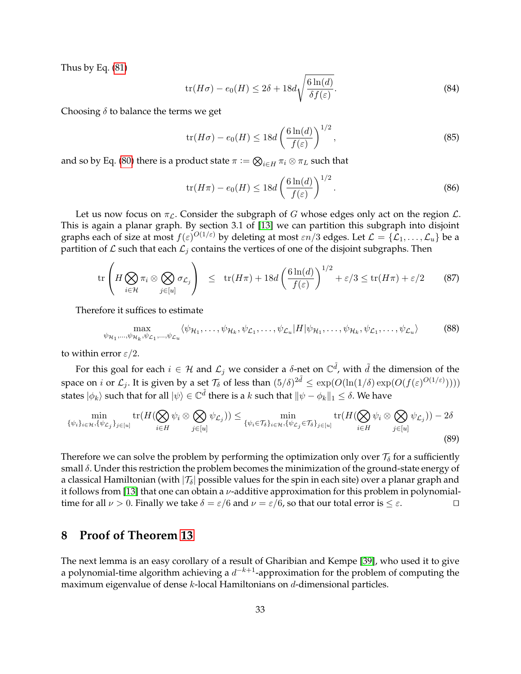Thus by Eq. [\(81\)](#page-31-2)

$$
\operatorname{tr}(H\sigma) - e_0(H) \le 2\delta + 18d\sqrt{\frac{6\ln(d)}{\delta f(\varepsilon)}}.\tag{84}
$$

Choosing  $\delta$  to balance the terms we get

$$
\text{tr}(H\sigma) - e_0(H) \le 18d \left(\frac{6\ln(d)}{f(\varepsilon)}\right)^{1/2},\tag{85}
$$

and so by Eq. [\(80\)](#page-31-3) there is a product state  $\pi \vcentcolon= \bigotimes_{i \in H} \pi_i \otimes \pi_L$  such that

$$
\operatorname{tr}(H\pi) - e_0(H) \le 18d \left(\frac{6\ln(d)}{f(\varepsilon)}\right)^{1/2}.\tag{86}
$$

Let us now focus on  $\pi_{\mathcal{L}}$ . Consider the subgraph of G whose edges only act on the region  $\mathcal{L}$ . This is again a planar graph. By section 3.1 of [\[13\]](#page-40-1) we can partition this subgraph into disjoint graphs each of size at most  $f(\varepsilon)^{O(1/\varepsilon)}$  by deleting at most  $\varepsilon n/3$  edges. Let  $\mathcal{L}=\{\mathcal{L}_1,\ldots,\mathcal{L}_u\}$  be a partition of  $\mathcal L$  such that each  $\mathcal L_i$  contains the vertices of one of the disjoint subgraphs. Then

$$
\operatorname{tr}\left(H\bigotimes_{i\in\mathcal{H}}\pi_i\otimes\bigotimes_{j\in[u]}\sigma_{\mathcal{L}_j}\right) \leq \operatorname{tr}(H\pi) + 18d\left(\frac{6\ln(d)}{f(\varepsilon)}\right)^{1/2} + \varepsilon/3 \leq \operatorname{tr}(H\pi) + \varepsilon/2 \tag{87}
$$

Therefore it suffices to estimate

$$
\max_{\psi_{\mathcal{H}_1},\dots,\psi_{\mathcal{H}_k},\psi_{\mathcal{L}_1},\dots,\psi_{\mathcal{L}_u}} \langle \psi_{\mathcal{H}_1},\dots,\psi_{\mathcal{H}_k},\psi_{\mathcal{L}_1},\dots,\psi_{\mathcal{L}_u} | H | \psi_{\mathcal{H}_1},\dots,\psi_{\mathcal{H}_k},\psi_{\mathcal{L}_1},\dots,\psi_{\mathcal{L}_u} \rangle \tag{88}
$$

to within error  $\varepsilon/2$ .

For this goal for each  $i\in\mathcal{H}$  and  $\mathcal{L}_j$  we consider a  $\delta$ -net on  $\mathbb{C}^{\tilde{d}}$ , with  $\tilde{d}$  the dimension of the space on *i* or  $\mathcal{L}_j$ . It is given by a set  $\mathcal{T}_\delta$  of less than  $(5/\delta)^{2\tilde{d}} \leq \exp(O(\ln(1/\delta) \exp(O(f(\varepsilon^{O(1/\varepsilon)}))))$ states  $|\phi_k\rangle$  such that for all  $|\psi\rangle\in\mathbb{C}^{\tilde{d}}$  there is a  $k$  such that  $\|\psi-\phi_k\|_1\leq\delta.$  We have

$$
\min_{\{\psi_i\}_{i\in\mathcal{H}},\{\psi_{\mathcal{L}_j}\}_{j\in[u]}} \text{tr}(H(\bigotimes_{i\in H} \psi_i \otimes \bigotimes_{j\in[u]} \psi_{\mathcal{L}_j})) \le \min_{\{\psi_i\in\mathcal{T}_\delta\}_{i\in\mathcal{H}},\{\psi_{\mathcal{L}_j}\in\mathcal{T}_\delta\}_{j\in[u]}} \text{tr}(H(\bigotimes_{i\in H} \psi_i \otimes \bigotimes_{j\in[u]} \psi_{\mathcal{L}_j})) - 2\delta
$$
\n(89)

Therefore we can solve the problem by performing the optimization only over  $\mathcal{T}_{\delta}$  for a sufficiently small  $\delta$ . Under this restriction the problem becomes the minimization of the ground-state energy of a classical Hamiltonian (with  $|\mathcal{T}_{\delta}|$  possible values for the spin in each site) over a planar graph and it follows from [\[13\]](#page-40-1) that one can obtain a  $\nu$ -additive approximation for this problem in polynomialtime for all  $\nu > 0$ . Finally we take  $\delta = \varepsilon/6$  and  $\nu = \varepsilon/6$ , so that our total error is  $\leq \varepsilon$ .

## **8 Proof of Theorem [13](#page-13-2)**

The next lemma is an easy corollary of a result of Gharibian and Kempe [\[39\]](#page-42-3), who used it to give a polynomial-time algorithm achieving a  $d^{-k+1}$ -approximation for the problem of computing the maximum eigenvalue of dense k-local Hamiltonians on d-dimensional particles.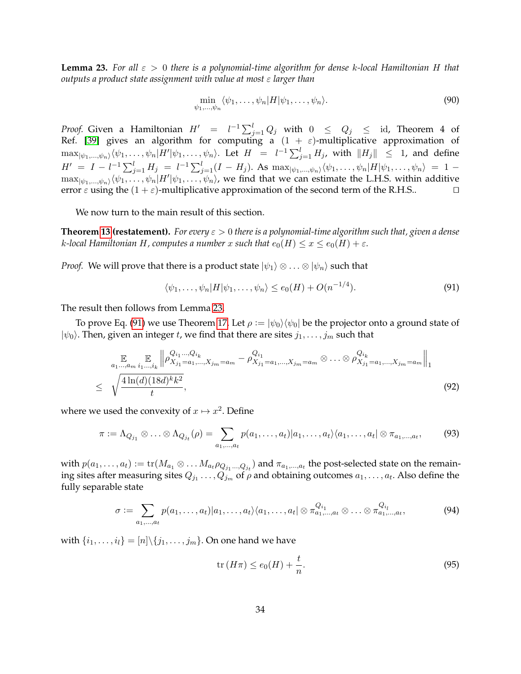<span id="page-33-0"></span>**Lemma 23.** *For all* ε > 0 *there is a polynomial-time algorithm for dense* k*-local Hamiltonian* H *that outputs a product state assignment with value at most* ε *larger than*

$$
\min_{\psi_1,\ldots,\psi_n} \langle \psi_1,\ldots,\psi_n | H | \psi_1,\ldots,\psi_n \rangle.
$$
\n(90)

*Proof.* Given a Hamiltonian  $H' = l^{-1} \sum_{j=1}^{l} Q_j$  with  $0 \le Q_j \le$  id, Theorem 4 of Ref. [\[39\]](#page-42-3) gives an algorithm for computing a  $(1 + \varepsilon)$ -multiplicative approximation of  $\max_{|\psi_1,...,\psi_n\rangle\langle\psi_1,\ldots,\psi_n|H'|\psi_1,\ldots,\psi_n\rangle$ . Let  $H = l^{-1}\sum_{j=1}^l H_j$ , with  $\|H_j\|\leq 1$ , and define  $H' = I - l^{-1} \sum_{j=1}^{l} H_j = l^{-1} \sum_{j=1}^{l} (I - H_j)$ . As  $\max_{|\psi_1,...,\psi_n\rangle} \langle \psi_1,..., \psi_n | H | \psi_1,..., \psi_n \rangle = 1 \max_{|\psi_1,...,\psi_n\rangle\langle\psi_1,...,\psi_n|H'|\psi_1,...,\psi_n\rangle}$ , we find that we can estimate the L.H.S. within additive error  $\varepsilon$  using the  $(1 + \varepsilon)$ -multiplicative approximation of the second term of the R.H.S..

We now turn to the main result of this section.

**Theorem [13](#page-13-2) (restatement).** *For every* ε > 0 *there is a polynomial-time algorithm such that, given a dense k*-local Hamiltonian H, computes a number x such that  $e_0(H) \le x \le e_0(H) + \varepsilon$ .

*Proof.* We will prove that there is a product state  $|\psi_1\rangle \otimes \ldots \otimes |\psi_n\rangle$  such that

<span id="page-33-1"></span>
$$
\langle \psi_1, \dots, \psi_n | H | \psi_1, \dots, \psi_n \rangle \le e_0(H) + O(n^{-1/4}). \tag{91}
$$

The result then follows from Lemma [23.](#page-33-0)

To prove Eq. [\(91\)](#page-33-1) we use Theorem [17.](#page-16-1) Let  $\rho := |\psi_0\rangle \langle \psi_0|$  be the projector onto a ground state of  $|\psi_0\rangle$ . Then, given an integer t, we find that there are sites  $j_1, \ldots, j_m$  such that

<span id="page-33-2"></span>
$$
\mathbb{E}_{a_1 \dots, a_m} \mathbb{E}_{i_1 \dots, i_k} \left\| \rho_{X_{j_1} = a_1, \dots, X_{j_m} = a_m}^{Q_{i_1} \dots Q_{i_k}} - \rho_{X_{j_1} = a_1, \dots, X_{j_m} = a_m}^{Q_{i_1}} \otimes \dots \otimes \rho_{X_{j_1} = a_1, \dots, X_{j_m} = a_m}^{Q_{i_k}} \right\|_1
$$
\n
$$
\leq \sqrt{\frac{4 \ln(d)(18d)^k k^2}{t}}, \tag{92}
$$

where we used the convexity of  $x \mapsto x^2$ . Define

$$
\pi := \Lambda_{Q_{j_1}} \otimes \ldots \otimes \Lambda_{Q_{j_t}}(\rho) = \sum_{a_1,\ldots,a_t} p(a_1,\ldots,a_t) |a_1,\ldots,a_t\rangle\langle a_1,\ldots,a_t| \otimes \pi_{a_1,\ldots,a_t},\tag{93}
$$

with  $p(a_1,\ldots,a_t):=\mathrm{tr}(M_{a_1}\otimes\ldots M_{a_t}\rho_{Q_{j_1}...Q_{j_t}})$  and  $\pi_{a_1,...,a_t}$  the post-selected state on the remaining sites after measuring sites  $Q_{j_1}\ldots,Q_{j_m}$  of  $\rho$  and obtaining outcomes  $a_1,\ldots,a_t.$  Also define the fully separable state

$$
\sigma := \sum_{a_1,\ldots,a_t} p(a_1,\ldots,a_t) | a_1,\ldots,a_t \rangle \langle a_1,\ldots,a_t | \otimes \pi_{a_1,\ldots,a_t}^{Q_{i_1}} \otimes \ldots \otimes \pi_{a_1,\ldots,a_t}^{Q_{i_l}}, \qquad (94)
$$

with  $\{i_1, ..., i_l\} = [n] \setminus \{j_1, ..., j_m\}$ . On one hand we have

$$
\operatorname{tr}\left(H\pi\right) \le e_0(H) + \frac{t}{n}.\tag{95}
$$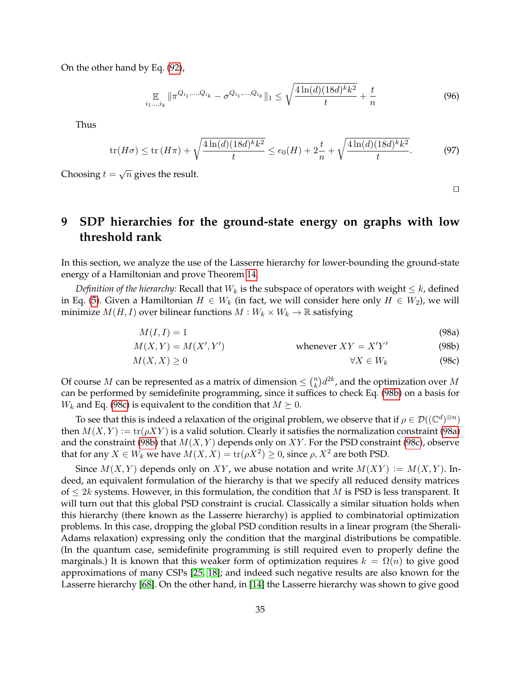On the other hand by Eq. [\(92\)](#page-33-2),

$$
\mathbb{E}_{i_1,\dots,i_k} \left\| \pi^{Q_{i_1},\dots,Q_{i_k}} - \sigma^{Q_{i_1},\dots,Q_{i_k}} \right\|_1 \le \sqrt{\frac{4\ln(d)(18d)^k k^2}{t}} + \frac{t}{n}
$$
\n(96)

Thus

$$
\operatorname{tr}(H\sigma) \le \operatorname{tr}(H\pi) + \sqrt{\frac{4\ln(d)(18d)^k k^2}{t}} \le e_0(H) + 2\frac{t}{n} + \sqrt{\frac{4\ln(d)(18d)^k k^2}{t}}.\tag{97}
$$

Choosing  $t = \sqrt{n}$  gives the result.

<span id="page-34-4"></span><span id="page-34-3"></span><span id="page-34-2"></span><span id="page-34-1"></span> $\Box$ 

# <span id="page-34-0"></span>**9 SDP hierarchies for the ground-state energy on graphs with low threshold rank**

In this section, we analyze the use of the Lasserre hierarchy for lower-bounding the ground-state energy of a Hamiltonian and prove Theorem [14.](#page-14-1)

*Definition of the hierarchy:* Recall that  $W_k$  is the subspace of operators with weight  $\leq k$ , defined in Eq. [\(5\)](#page-4-0). Given a Hamiltonian  $H \in W_k$  (in fact, we will consider here only  $H \in W_2$ ), we will minimize  $M(H, I)$  over bilinear functions  $M: W_k \times W_k \to \mathbb{R}$  satisfying

$$
M(I, I) = 1 \tag{98a}
$$

$$
M(X,Y) = M(X',Y') \qquad \text{whenever } XY = X'Y' \tag{98b}
$$

$$
M(X,X) \ge 0 \qquad \qquad \forall X \in W_k \tag{98c}
$$

Of course M can be represented as a matrix of dimension  $\leq \binom{n}{k}$  $\binom{n}{k}d^{2k}$ , and the optimization over  $M$ can be performed by semidefinite programming, since it suffices to check Eq. [\(98b\)](#page-34-1) on a basis for  $W_k$  and Eq. [\(98c\)](#page-34-2) is equivalent to the condition that  $M \succeq 0$ .

To see that this is indeed a relaxation of the original problem, we observe that if  $\rho \in \mathcal{D}((\mathbb{C}^d)^{\otimes n})$ then  $M(X, Y) := \text{tr}(\rho XY)$  is a valid solution. Clearly it satisfies the normalization constraint [\(98a\)](#page-34-3) and the constraint [\(98b\)](#page-34-1) that  $M(X, Y)$  depends only on  $XY$ . For the PSD constraint [\(98c\)](#page-34-2), observe that for any  $X \in W_k$  we have  $M(X,X) = \text{tr}(\rho X^2) \geq 0$ , since  $\rho, X^2$  are both PSD.

Since  $M(X, Y)$  depends only on XY, we abuse notation and write  $M(XY) := M(X, Y)$ . Indeed, an equivalent formulation of the hierarchy is that we specify all reduced density matrices of  $\leq 2k$  systems. However, in this formulation, the condition that M is PSD is less transparent. It will turn out that this global PSD constraint is crucial. Classically a similar situation holds when this hierarchy (there known as the Lasserre hierarchy) is applied to combinatorial optimization problems. In this case, dropping the global PSD condition results in a linear program (the Sherali-Adams relaxation) expressing only the condition that the marginal distributions be compatible. (In the quantum case, semidefinite programming is still required even to properly define the marginals.) It is known that this weaker form of optimization requires  $k = \Omega(n)$  to give good approximations of many CSPs [\[25,](#page-41-14) [18\]](#page-41-15); and indeed such negative results are also known for the Lasserre hierarchy [\[68\]](#page-44-13). On the other hand, in [\[14\]](#page-40-8) the Lasserre hierarchy was shown to give good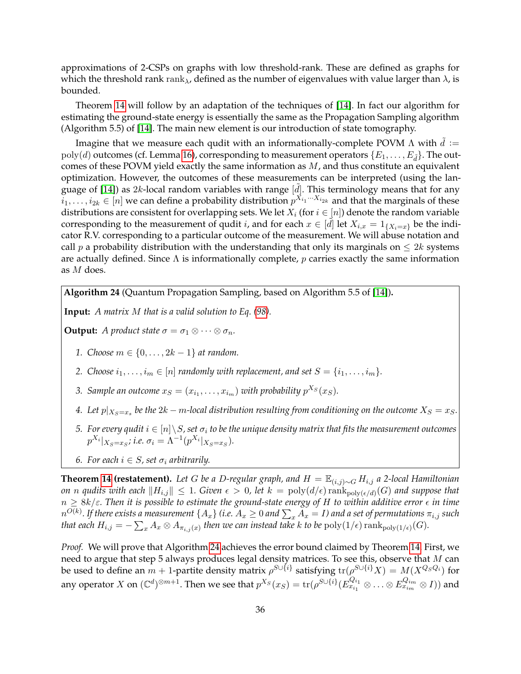approximations of 2-CSPs on graphs with low threshold-rank. These are defined as graphs for which the threshold rank rank<sub> $\lambda$ </sub>, defined as the number of eigenvalues with value larger than  $\lambda$ , is bounded.

Theorem [14](#page-14-1) will follow by an adaptation of the techniques of [\[14\]](#page-40-8). In fact our algorithm for estimating the ground-state energy is essentially the same as the Propagation Sampling algorithm (Algorithm 5.5) of [\[14\]](#page-40-8). The main new element is our introduction of state tomography.

Imagine that we measure each qudit with an informationally-complete POVM  $\Lambda$  with  $\tilde{d} :=$  $poly(d)$  outcomes (cf. Lemma [16\)](#page-16-0), corresponding to measurement operators  $\{E_1, \ldots, E_d\}$ . The outcomes of these POVM yield exactly the same information as  $M$ , and thus constitute an equivalent optimization. However, the outcomes of these measurements can be interpreted (using the lan-guage of [\[14\]](#page-40-8)) as 2k-local random variables with range [ $d$ ]. This terminology means that for any  $i_1,\ldots,i_{2k}\in[n]$  we can define a probability distribution  $p^{X_{i_1}\cdots X_{i_{2k}}}$  and that the marginals of these distributions are consistent for overlapping sets. We let  $X_i$  (for  $i \in [n]$ ) denote the random variable corresponding to the measurement of qudit *i*, and for each  $x \in [\tilde{d}]$  let  $X_{i,x} = 1_{\{X_i = x\}}$  be the indicator R.V. corresponding to a particular outcome of the measurement. We will abuse notation and call p a probability distribution with the understanding that only its marginals on  $\leq 2k$  systems are actually defined. Since  $\Lambda$  is informationally complete, p carries exactly the same information as M does.

<span id="page-35-0"></span>**Algorithm 24** (Quantum Propagation Sampling, based on Algorithm 5.5 of [\[14\]](#page-40-8))**.**

**Input:** *A matrix* M *that is a valid solution to Eq. [\(98\)](#page-34-4).*

**Output:** *A product state*  $\sigma = \sigma_1 \otimes \cdots \otimes \sigma_n$ *.* 

- *1. Choose m* ∈ {0, . . . , 2*k* − 1} *at random.*
- *2. Choose*  $i_1, \ldots, i_m \in [n]$  *randomly with replacement, and set*  $S = \{i_1, \ldots, i_m\}$ *.*
- 3. Sample an outcome  $x_S = (x_{i_1}, \ldots, x_{i_m})$  with probability  $p^{X_S}(x_S)$ .
- <span id="page-35-1"></span>4. Let  $p|_{X_S=x_s}$  be the  $2k-m$ -local distribution resulting from conditioning on the outcome  $X_S=x_S.$
- *5.* For every qudit  $i \in [n] \setminus S$ , set  $\sigma_i$  to be the unique density matrix that fits the measurement outcomes  $p^{X_i}|_{X_S=x_S}$ ; i.e.  $\sigma_i = \Lambda^{-1}(p^{X_i}|_{X_S=x_S})$ .
- *6.* For each  $i \in S$ , set  $\sigma_i$  arbitrarily.

**Theorem [14](#page-14-1)** (restatement). Let G be a D-regular graph, and  $H = \mathbb{E}_{(i,j) \sim G} H_{i,j}$  a 2-local Hamiltonian *on* n qudits with each  $||H_{i,j}|| \leq 1$ . Given  $\epsilon > 0$ , let  $k = \text{poly}(d/\epsilon) \, \text{rank}_{\text{poly}(\epsilon/d)}(G)$  and suppose that  $n \geq 8k/\varepsilon$ . Then it is possible to estimate the ground-state energy of H to within additive error  $\epsilon$  in time  $n^{O(k)}$ . If there exists a measurement  $\{A_x\}$  (i.e.  $A_x\geq 0$  and  $\sum_x A_x=I$ ) and a set of permutations  $\pi_{i,j}$  such *that each*  $H_{i,j} = -\sum_x A_x \otimes A_{\pi_{i,j}(x)}$  *then we can instead take k to be*  $\mathrm{poly}(1/\epsilon)\operatorname{rank}_{\mathrm{poly}(1/\epsilon)}(G)$ *.* 

*Proof.* We will prove that Algorithm [24](#page-35-0) achieves the error bound claimed by Theorem [14.](#page-14-1) First, we need to argue that step 5 always produces legal density matrices. To see this, observe that  $M$  can be used to define an  $m+1$ -partite density matrix  $\rho^{S\cup\{i\}}$  satisfying  $\text{tr}(\rho^{S\cup\{i\}}X)=M(X^{Q_SQ_i})$  for any operator  $X$  on  $(\mathbb{C}^d)^{\otimes m+1}.$  Then we see that  $p^{X_S}(x_S) = \text{tr}(\rho^{S \cup \{i\}}(E^{Q_{i_1}}_{x_{i_1}}))$  $\frac{Q_{i_1}}{x_{i_1}} \otimes \ldots \otimes E_{x_{i_m}}^{Q_{i_m}} \otimes I))$  and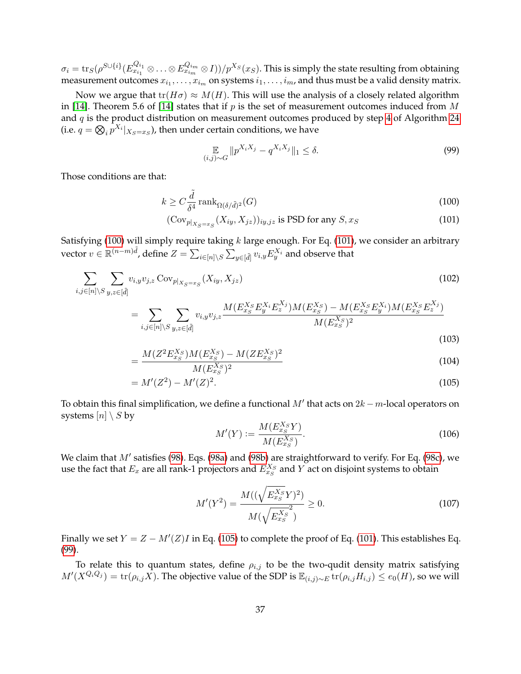$\sigma_i = \mathrm{tr}_S(\rho^{S \cup \{i\}}(E^{Q_{i_1}}_{x_{i_1}})$  $\frac{Q_{i_1}}{x_{i_1}}\otimes\ldots\otimes E_{x_{im}}^{Q_{i_m}}\otimes I))/p^{X_S}(x_S).$  This is simply the state resulting from obtaining measurement outcomes  $x_{i_1}, \ldots, x_{i_m}$  on systems  $i_1, \ldots, i_m$ , and thus must be a valid density matrix.

Now we argue that  $tr(H\sigma) \approx M(H)$ . This will use the analysis of a closely related algorithm in [\[14\]](#page-40-8). Theorem 5.6 of [14] states that if p is the set of measurement outcomes induced from M and  $q$  is the product distribution on measurement outcomes produced by step [4](#page-35-1) of Algorithm [24](#page-35-0) (i.e.  $q = \bigotimes_i p^{X_i}|_{X_S = x_S}$ ), then under certain conditions, we have

<span id="page-36-3"></span><span id="page-36-1"></span><span id="page-36-0"></span>
$$
\mathop{\mathbb{E}}_{(i,j)\sim G} \| p^{X_i X_j} - q^{X_i X_j} \|_1 \le \delta. \tag{99}
$$

Those conditions are that:

$$
k \ge C \frac{\tilde{d}}{\delta^4} \operatorname{rank}_{\Omega(\delta/\tilde{d})^2}(G) \tag{100}
$$

$$
(\text{Cov}_{p|X_{S}=x_{S}}(X_{iy}, X_{jz}))_{iy,jz} \text{ is PSD for any } S, x_{S}
$$
\n
$$
(101)
$$

Satisfying [\(100\)](#page-36-0) will simply require taking  $k$  large enough. For Eq. [\(101\)](#page-36-1), we consider an arbitrary vector  $v\in\mathbb{R}^{(n-m)\tilde{d}}$ , define  $Z=\sum_{i\in[n]\setminus S}\sum_{y\in[\tilde{d}]}v_{i,y}E_{y}^{X_{i}}$  and observe that

$$
\sum_{i,j \in [n] \setminus S} \sum_{y,z \in [\tilde{d}]} v_{i,y} v_{j,z} \operatorname{Cov}_{p|_{X_S = x_S}}(X_{iy}, X_{jz}) \tag{102}
$$

$$
= \sum_{i,j \in [n] \setminus S} \sum_{y,z \in [\tilde{d}]} v_{i,y} v_{j,z} \frac{M(E_{xs}^{X_S} E_y^{X_i} E_z^{X_j}) M(E_{xs}^{X_S}) - M(E_{xs}^{X_S} E_y^{X_i}) M(E_{xs}^{X_S} E_z^{X_j})}{M(E_{xs}^{X_S})^2}
$$
(103)

$$
=\frac{M(Z^2E_{xs}^{X_S})M(E_{xs}^{X_S})-M(ZE_{xs}^{X_S})^2}{M(E_{xs}^{X_S})^2}
$$
\n(104)

$$
= M'(Z^2) - M'(Z)^2.
$$
\n(105)

To obtain this final simplification, we define a functional  $M'$  that acts on  $2k - m$ -local operators on systems  $[n] \setminus S$  by

<span id="page-36-2"></span>
$$
M'(Y) := \frac{M(E_{x_S}^{X_S} Y)}{M(E_{x_S}^{X_S})}.
$$
\n(106)

We claim that  $M'$  satisfies [\(98\)](#page-34-4). Eqs. [\(98a\)](#page-34-3) and [\(98b\)](#page-34-1) are straightforward to verify. For Eq. [\(98c\)](#page-34-2), we use the fact that  $E_x$  are all rank-1 projectors and  $E_{x_S}^{X_S}$  and  $Y$  act on disjoint systems to obtain

$$
M'(Y^2) = \frac{M((\sqrt{E_{xs}^{X_S}}Y)^2)}{M(\sqrt{E_{xs}^{X_S}}^2)} \ge 0.
$$
\n(107)

Finally we set  $Y = Z - M'(Z)I$  in Eq. [\(105\)](#page-36-2) to complete the proof of Eq. [\(101\)](#page-36-1). This establishes Eq. [\(99\)](#page-36-3).

To relate this to quantum states, define  $\rho_{i,j}$  to be the two-qudit density matrix satisfying  $M'(X^{Q_iQ_j}) = \text{tr}(\rho_{i,j}X)$ . The objective value of the SDP is  $\mathbb{E}_{(i,j)\sim E}$  tr $(\rho_{i,j}H_{i,j}) \leq e_0(H)$ , so we will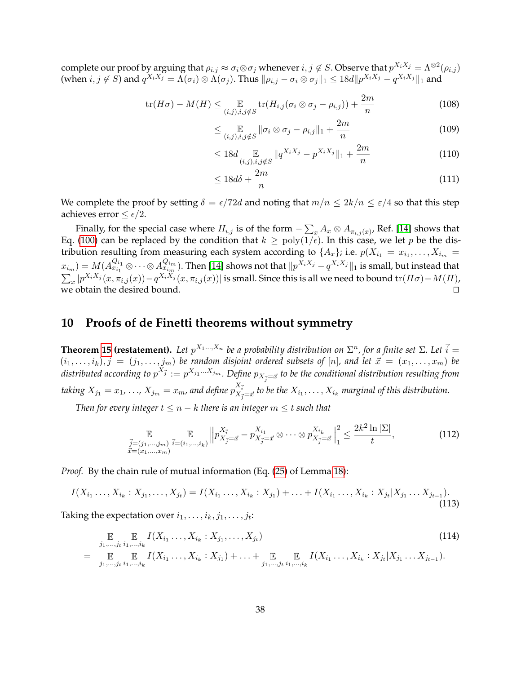complete our proof by arguing that  $\rho_{i,j}\approx\sigma_i\otimes\sigma_j$  whenever  $i,j\not\in S.$  Observe that  $p^{X_iX_j}=\Lambda^{\otimes 2}(\rho_{i,j})$ (when  $i, j \notin S$ ) and  $q^{X_i X_j} = \Lambda(\sigma_i) \otimes \Lambda(\sigma_j)$ . Thus  $\|\rho_{i,j} - \sigma_i \otimes \sigma_j\|_1 \leq 18d \|p^{X_i X_j} - q^{X_i X_j}\|_1$  and

$$
\operatorname{tr}(H\sigma) - M(H) \le \mathop{\mathbb{E}}_{(i,j),i,j \notin S} \operatorname{tr}(H_{i,j}(\sigma_i \otimes \sigma_j - \rho_{i,j})) + \frac{2m}{n}
$$
 (108)

$$
\leq \mathop{\mathbb{E}}_{(i,j),i,j \notin S} \|\sigma_i \otimes \sigma_j - \rho_{i,j}\|_1 + \frac{2m}{n} \tag{109}
$$

$$
\leq 18d \mathop{\mathbb{E}}_{(i,j),i,j \notin S} \| q^{X_i X_j} - p^{X_i X_j} \|_1 + \frac{2m}{n} \tag{110}
$$

$$
\leq 18d\delta + \frac{2m}{n} \tag{111}
$$

We complete the proof by setting  $\delta = \epsilon/72d$  and noting that  $m/n \leq 2k/n \leq \epsilon/4$  so that this step achieves error  $\leq \epsilon/2$ .

Finally, for the special case where  $H_{i,j}$  is of the form  $-\sum_x A_x \otimes A_{\pi_{i,j}(x)}$ , Ref. [\[14\]](#page-40-8) shows that Eq. [\(100\)](#page-36-0) can be replaced by the condition that  $k \geq poly(1/\epsilon)$ . In this case, we let p be the distribution resulting from measuring each system according to  $\{A_x\}$ ; i.e.  $p(X_{i_1} = x_{i_1}, \ldots, X_{i_m} = x_{i_m})$  $(x_{i_m}) = M(A_{x_{i_1}}^{Q_{i_1}})$  $Q_{i_1}^{Q_{i_1}}\otimes\cdots\otimes A_{x_{i_m}}^{Q_{i_m}}.$  Then [\[14\]](#page-40-8) shows not that  $\|p^{X_iX_j}-q^{X_iX_j}\|_1$  is small, but instead that  $\sum_x |p^{X_iX_j}(x,\pi_{i,j}(x)) - q^{X_iX_j}(x,\pi_{i,j}(x))|$  is small. Since this is all we need to bound tr $(H\sigma) - M(H)$ , we obtain the desired bound.  $\Box$ 

## **10 Proofs of de Finetti theorems without symmetry**

**Theorem [15](#page-14-3) (restatement).** Let  $p^{X_1...X_n}$  be a probability distribution on  $\Sigma^n$ , for a finite set  $\Sigma$ . Let  $\vec{i} =$  $(i_1, \ldots, i_k), \vec{j} = (j_1, \ldots, j_m)$  be random disjoint ordered subsets of  $[n]$ , and let  $\vec{x} = (x_1, \ldots, x_m)$  be distributed according to  $p^{X^*_j} := p^{X_{j_1}...X_{j_m}}.$  Define  $p_{X^*_j=\vec{x}}$  to be the conditional distribution resulting from taking  $X_{j_1}=x_1, \dots$  ,  $X_{j_m}=x_m$ , and define  $p_{X_{\vec{j}}=\vec{x}}^{X_{\vec{i}}}$  to be the  $X_{i_1},\dots,X_{i_k}$  marginal of this distribution.

*Then for every integer*  $t \leq n - k$  *there is an integer*  $m \leq t$  *such that* 

$$
\mathbb{E}_{\substack{\vec{j}=(j_1,\ldots,j_m) \\ \vec{x}=(x_1,\ldots,x_m)}} \mathbb{E}_{\vec{j}=(i_1,\ldots,i_k)} \left\| p_{X_{\vec{j}}=\vec{x}}^{X_{\vec{i}}} - p_{X_{\vec{j}}=\vec{x}}^{X_{i_1}} \otimes \cdots \otimes p_{X_{\vec{j}}=\vec{x}}^{X_{i_k}} \right\|_{1}^{2} \leq \frac{2k^2 \ln|\Sigma|}{t},
$$
(112)

*Proof.* By the chain rule of mutual information (Eq. [\(25\)](#page-17-4) of Lemma [18\)](#page-17-3):

$$
I(X_{i_1}\ldots,X_{i_k}:X_{j_1},\ldots,X_{j_t})=I(X_{i_1}\ldots,X_{i_k}:X_{j_1})+\ldots+I(X_{i_1}\ldots,X_{i_k}:X_{j_t}|X_{j_1}\ldots X_{j_{t-1}}).
$$
\n(113)

Taking the expectation over  $i_1, \ldots, i_k, j_1, \ldots, j_t$ :

$$
\mathbb{E} \mathbb{E} \mathbb{E} I(X_{i_1} \dots, X_{i_k} : X_{j_1}, \dots, X_{j_t})
$$
\n
$$
= \mathbb{E} \mathbb{E} \mathbb{E} I(X_{i_1} \dots, X_{i_k} : X_{j_1}) + \dots + \mathbb{E} \mathbb{E} I(X_{i_1} \dots, X_{i_k} : X_{j_t} | X_{j_1} \dots X_{j_{t-1}}).
$$
\n(114)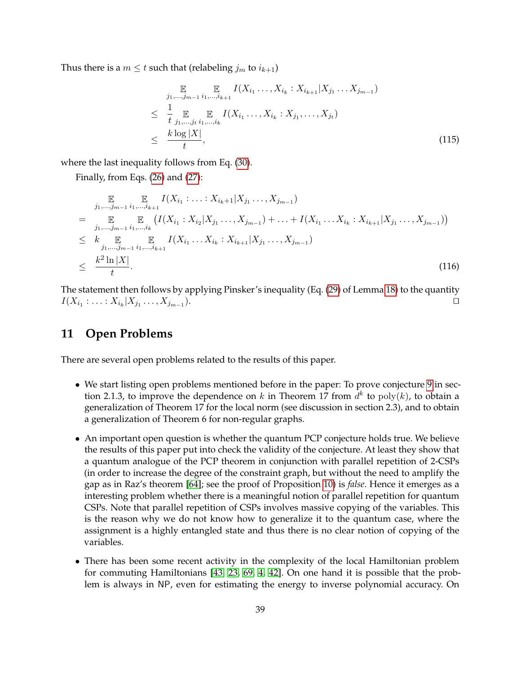Thus there is a  $m \leq t$  such that (relabeling  $j_m$  to  $i_{k+1}$ )

$$
\mathbb{E} \qquad \qquad \mathbb{E} \qquad I(X_{i_1} \ldots, X_{i_k} : X_{i_{k+1}} | X_{j_1} \ldots X_{j_{m-1}})
$$
\n
$$
\leq \frac{1}{t} \mathbb{E} \qquad \qquad \mathbb{E} \qquad I(X_{i_1} \ldots, X_{i_k} : X_{j_1}, \ldots, X_{j_t})
$$
\n
$$
\leq \frac{k \log |X|}{t}, \qquad (115)
$$

where the last inequality follows from Eq. [\(30\)](#page-18-3).

Finally, from Eqs. [\(26\)](#page-18-4) and [\(27\)](#page-18-5):

$$
\mathbb{E} \qquad \qquad \mathbb{E} \qquad I(X_{i_1} : \ldots : X_{i_k+1} | X_{j_1} \ldots, X_{j_{m-1}})
$$
\n
$$
= \qquad \qquad \mathbb{E} \qquad \qquad \mathbb{E} \qquad \qquad \mathbb{E} \qquad \qquad \left( I(X_{i_1} : X_{i_2} | X_{j_1} \ldots, X_{j_{m-1}}) + \ldots + I(X_{i_1} \ldots X_{i_k} : X_{i_{k+1}} | X_{j_1} \ldots, X_{j_{m-1}}) \right)
$$
\n
$$
\leq k \qquad \qquad \mathbb{E} \qquad \qquad \mathbb{E} \qquad \qquad \mathbb{E} \qquad I(X_{i_1} \ldots X_{i_k} : X_{i_{k+1}} | X_{j_1} \ldots, X_{j_{m-1}})
$$
\n
$$
\leq k^2 \qquad \qquad \mathbb{E} \qquad \qquad \mathbb{E} \qquad \qquad \mathbb{E} \qquad \qquad I(X_{i_1} \ldots X_{i_k} : X_{i_{k+1}} | X_{j_1} \ldots, X_{j_{m-1}})
$$
\n
$$
\leq \qquad \qquad \frac{k^2 \ln |X|}{t} . \tag{116}
$$

The statement then follows by applying Pinsker's inequality (Eq. [\(29\)](#page-18-6) of Lemma [18\)](#page-17-3) to the quantity  $I(X_{i_1} : \ldots : X_{i_k} | X_{j_1} \ldots, X_{j_{m-1}})$ ).  $\hskip10mm \square$ 

# **11 Open Problems**

There are several open problems related to the results of this paper.

- We start listing open problems mentioned before in the paper: To prove conjecture [9](#page-7-3) in section 2.1.3, to improve the dependence on k in Theorem 17 from  $d^k$  to  $poly(k)$ , to obtain a generalization of Theorem 17 for the local norm (see discussion in section 2.3), and to obtain a generalization of Theorem 6 for non-regular graphs.
- An important open question is whether the quantum PCP conjecture holds true. We believe the results of this paper put into check the validity of the conjecture. At least they show that a quantum analogue of the PCP theorem in conjunction with parallel repetition of 2-CSPs (in order to increase the degree of the constraint graph, but without the need to amplify the gap as in Raz's theorem [\[64\]](#page-43-6); see the proof of Proposition [10\)](#page-8-1) is *false*. Hence it emerges as a interesting problem whether there is a meaningful notion of parallel repetition for quantum CSPs. Note that parallel repetition of CSPs involves massive copying of the variables. This is the reason why we do not know how to generalize it to the quantum case, where the assignment is a highly entangled state and thus there is no clear notion of copying of the variables.
- There has been some recent activity in the complexity of the local Hamiltonian problem for commuting Hamiltonians [\[43,](#page-42-4) [23,](#page-41-6) [69,](#page-44-14) [4,](#page-40-15) [42\]](#page-42-17). On one hand it is possible that the problem is always in NP, even for estimating the energy to inverse polynomial accuracy. On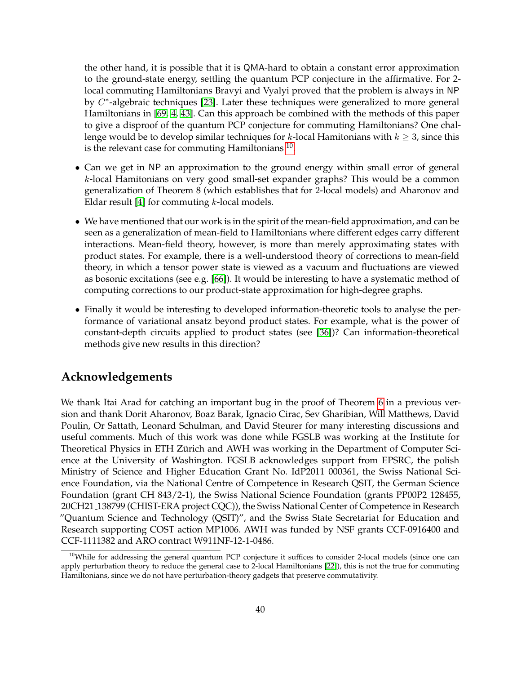the other hand, it is possible that it is QMA-hard to obtain a constant error approximation to the ground-state energy, settling the quantum PCP conjecture in the affirmative. For 2 local commuting Hamiltonians Bravyi and Vyalyi proved that the problem is always in NP by  $C^*$ -algebraic techniques [\[23\]](#page-41-6). Later these techniques were generalized to more general Hamiltonians in [\[69,](#page-44-14) [4,](#page-40-15) [43\]](#page-42-4). Can this approach be combined with the methods of this paper to give a disproof of the quantum PCP conjecture for commuting Hamiltonians? One challenge would be to develop similar techniques for k-local Hamitonians with  $k \geq 3$ , since this is the relevant case for commuting Hamiltonians  $^{10}$  $^{10}$  $^{10}$ .

- Can we get in NP an approximation to the ground energy within small error of general k-local Hamitonians on very good small-set expander graphs? This would be a common generalization of Theorem 8 (which establishes that for 2-local models) and Aharonov and Eldar result [\[4\]](#page-40-15) for commuting  $k$ -local models.
- We have mentioned that our work is in the spirit of the mean-field approximation, and can be seen as a generalization of mean-field to Hamiltonians where different edges carry different interactions. Mean-field theory, however, is more than merely approximating states with product states. For example, there is a well-understood theory of corrections to mean-field theory, in which a tensor power state is viewed as a vacuum and fluctuations are viewed as bosonic excitations (see e.g. [\[66\]](#page-43-16)). It would be interesting to have a systematic method of computing corrections to our product-state approximation for high-degree graphs.
- Finally it would be interesting to developed information-theoretic tools to analyse the performance of variational ansatz beyond product states. For example, what is the power of constant-depth circuits applied to product states (see [\[36\]](#page-42-5))? Can information-theoretical methods give new results in this direction?

## **Acknowledgements**

We thank Itai Arad for catching an important bug in the proof of Theorem [6](#page-6-2) in a previous version and thank Dorit Aharonov, Boaz Barak, Ignacio Cirac, Sev Gharibian, Will Matthews, David Poulin, Or Sattath, Leonard Schulman, and David Steurer for many interesting discussions and useful comments. Much of this work was done while FGSLB was working at the Institute for Theoretical Physics in ETH Zürich and AWH was working in the Department of Computer Science at the University of Washington. FGSLB acknowledges support from EPSRC, the polish Ministry of Science and Higher Education Grant No. IdP2011 000361, the Swiss National Science Foundation, via the National Centre of Competence in Research QSIT, the German Science Foundation (grant CH 843/2-1), the Swiss National Science Foundation (grants PP00P2 128455, 20CH21 138799 (CHIST-ERA project CQC)), the Swiss National Center of Competence in Research "Quantum Science and Technology (QSIT)", and the Swiss State Secretariat for Education and Research supporting COST action MP1006. AWH was funded by NSF grants CCF-0916400 and CCF-1111382 and ARO contract W911NF-12-1-0486.

<span id="page-39-0"></span><sup>&</sup>lt;sup>10</sup>While for addressing the general quantum PCP conjecture it suffices to consider 2-local models (since one can apply perturbation theory to reduce the general case to 2-local Hamiltonians [\[22\]](#page-41-1)), this is not the true for commuting Hamiltonians, since we do not have perturbation-theory gadgets that preserve commutativity.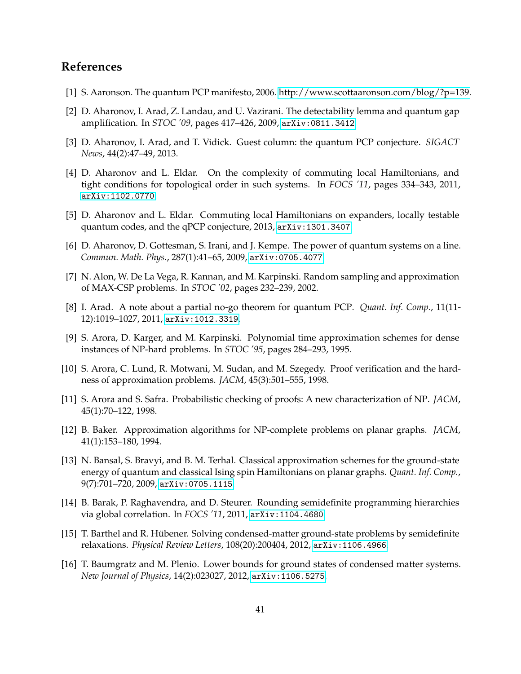# **References**

- <span id="page-40-6"></span>[1] S. Aaronson. The quantum PCP manifesto, 2006. [http://www.scottaaronson.com/blog/?p=139.](http://www.scottaaronson.com/blog/?p=139)
- <span id="page-40-5"></span>[2] D. Aharonov, I. Arad, Z. Landau, and U. Vazirani. The detectability lemma and quantum gap amplification. In *STOC '09*, pages 417–426, 2009, [arXiv:0811.3412](http://arxiv.org/abs/0811.3412).
- <span id="page-40-7"></span>[3] D. Aharonov, I. Arad, and T. Vidick. Guest column: the quantum PCP conjecture. *SIGACT News*, 44(2):47–49, 2013.
- <span id="page-40-15"></span>[4] D. Aharonov and L. Eldar. On the complexity of commuting local Hamiltonians, and tight conditions for topological order in such systems. In *FOCS '11*, pages 334–343, 2011, [arXiv:1102.0770](http://arxiv.org/abs/1102.0770).
- <span id="page-40-11"></span>[5] D. Aharonov and L. Eldar. Commuting local Hamiltonians on expanders, locally testable quantum codes, and the qPCP conjecture, 2013, [arXiv:1301.3407](http://arxiv.org/abs/1301.3407).
- <span id="page-40-0"></span>[6] D. Aharonov, D. Gottesman, S. Irani, and J. Kempe. The power of quantum systems on a line. *Commun. Math. Phys.*, 287(1):41–65, 2009, [arXiv:0705.4077](http://arxiv.org/abs/0705.4077).
- <span id="page-40-14"></span>[7] N. Alon, W. De La Vega, R. Kannan, and M. Karpinski. Random sampling and approximation of MAX-CSP problems. In *STOC '02*, pages 232–239, 2002.
- <span id="page-40-2"></span>[8] I. Arad. A note about a partial no-go theorem for quantum PCP. *Quant. Inf. Comp.*, 11(11- 12):1019–1027, 2011, [arXiv:1012.3319](http://arxiv.org/abs/1012.3319).
- <span id="page-40-13"></span>[9] S. Arora, D. Karger, and M. Karpinski. Polynomial time approximation schemes for dense instances of NP-hard problems. In *STOC '95*, pages 284–293, 1995.
- <span id="page-40-3"></span>[10] S. Arora, C. Lund, R. Motwani, M. Sudan, and M. Szegedy. Proof verification and the hardness of approximation problems. *JACM*, 45(3):501–555, 1998.
- <span id="page-40-4"></span>[11] S. Arora and S. Safra. Probabilistic checking of proofs: A new characterization of NP. *JACM*, 45(1):70–122, 1998.
- <span id="page-40-12"></span>[12] B. Baker. Approximation algorithms for NP-complete problems on planar graphs. *JACM*, 41(1):153–180, 1994.
- <span id="page-40-1"></span>[13] N. Bansal, S. Bravyi, and B. M. Terhal. Classical approximation schemes for the ground-state energy of quantum and classical Ising spin Hamiltonians on planar graphs. *Quant. Inf. Comp.*, 9(7):701–720, 2009, [arXiv:0705.1115](http://arxiv.org/abs/0705.1115).
- <span id="page-40-8"></span>[14] B. Barak, P. Raghavendra, and D. Steurer. Rounding semidefinite programming hierarchies via global correlation. In *FOCS '11*, 2011, [arXiv:1104.4680](http://arxiv.org/abs/1104.4680).
- <span id="page-40-9"></span>[15] T. Barthel and R. Hübener. Solving condensed-matter ground-state problems by semidefinite relaxations. *Physical Review Letters*, 108(20):200404, 2012, [arXiv:1106.4966](http://arxiv.org/abs/1106.4966).
- <span id="page-40-10"></span>[16] T. Baumgratz and M. Plenio. Lower bounds for ground states of condensed matter systems. *New Journal of Physics*, 14(2):023027, 2012, [arXiv:1106.5275](http://arxiv.org/abs/1106.5275).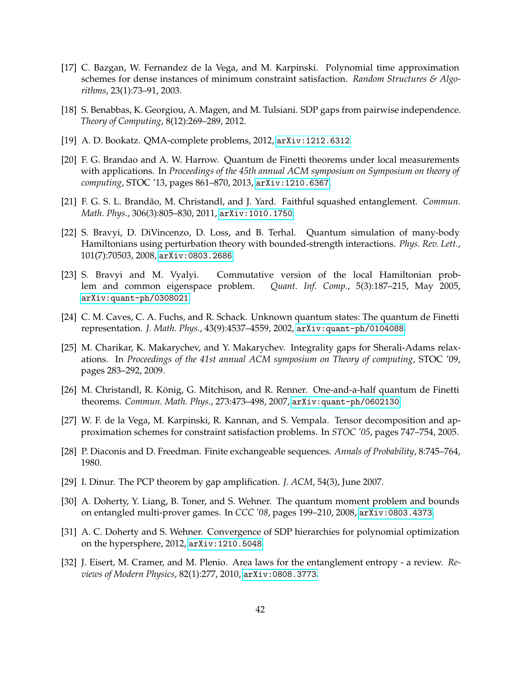- <span id="page-41-8"></span>[17] C. Bazgan, W. Fernandez de la Vega, and M. Karpinski. Polynomial time approximation schemes for dense instances of minimum constraint satisfaction. *Random Structures & Algorithms*, 23(1):73–91, 2003.
- <span id="page-41-15"></span>[18] S. Benabbas, K. Georgiou, A. Magen, and M. Tulsiani. SDP gaps from pairwise independence. *Theory of Computing*, 8(12):269–289, 2012.
- <span id="page-41-2"></span>[19] A. D. Bookatz. QMA-complete problems, 2012, [arXiv:1212.6312](http://arxiv.org/abs/1212.6312).
- <span id="page-41-3"></span>[20] F. G. Brandao and A. W. Harrow. Quantum de Finetti theorems under local measurements with applications. In *Proceedings of the 45th annual ACM symposium on Symposium on theory of computing*, STOC '13, pages 861–870, 2013, [arXiv:1210.6367](http://arxiv.org/abs/1210.6367).
- <span id="page-41-11"></span>[21] F. G. S. L. Brandão, M. Christandl, and J. Yard. Faithful squashed entanglement. *Commun. Math. Phys.*, 306(3):805–830, 2011, [arXiv:1010.1750](http://arxiv.org/abs/1010.1750).
- <span id="page-41-1"></span>[22] S. Bravyi, D. DiVincenzo, D. Loss, and B. Terhal. Quantum simulation of many-body Hamiltonians using perturbation theory with bounded-strength interactions. *Phys. Rev. Lett.*, 101(7):70503, 2008, [arXiv:0803.2686](http://arxiv.org/abs/0803.2686).
- <span id="page-41-6"></span>[23] S. Bravyi and M. Vyalyi. Commutative version of the local Hamiltonian problem and common eigenspace problem. *Quant. Inf. Comp.*, 5(3):187–215, May 2005, [arXiv:quant-ph/0308021](http://arxiv.org/abs/quant-ph/0308021).
- <span id="page-41-10"></span>[24] C. M. Caves, C. A. Fuchs, and R. Schack. Unknown quantum states: The quantum de Finetti representation. *J. Math. Phys.*, 43(9):4537–4559, 2002, [arXiv:quant-ph/0104088](http://arxiv.org/abs/quant-ph/0104088).
- <span id="page-41-14"></span>[25] M. Charikar, K. Makarychev, and Y. Makarychev. Integrality gaps for Sherali-Adams relaxations. In *Proceedings of the 41st annual ACM symposium on Theory of computing*, STOC '09, pages 283–292, 2009.
- <span id="page-41-4"></span>[26] M. Christandl, R. König, G. Mitchison, and R. Renner. One-and-a-half quantum de Finetti theorems. *Commun. Math. Phys.*, 273:473–498, 2007, [arXiv:quant-ph/0602130](http://arxiv.org/abs/quant-ph/0602130).
- <span id="page-41-7"></span>[27] W. F. de la Vega, M. Karpinski, R. Kannan, and S. Vempala. Tensor decomposition and approximation schemes for constraint satisfaction problems. In *STOC '05*, pages 747–754, 2005.
- <span id="page-41-9"></span>[28] P. Diaconis and D. Freedman. Finite exchangeable sequences. *Annals of Probability*, 8:745–764, 1980.
- <span id="page-41-0"></span>[29] I. Dinur. The PCP theorem by gap amplification. *J. ACM*, 54(3), June 2007.
- <span id="page-41-13"></span>[30] A. Doherty, Y. Liang, B. Toner, and S. Wehner. The quantum moment problem and bounds on entangled multi-prover games. In *CCC '08*, pages 199–210, 2008, [arXiv:0803.4373](http://arxiv.org/abs/0803.4373).
- <span id="page-41-12"></span>[31] A. C. Doherty and S. Wehner. Convergence of SDP hierarchies for polynomial optimization on the hypersphere, 2012, [arXiv:1210.5048](http://arxiv.org/abs/1210.5048).
- <span id="page-41-5"></span>[32] J. Eisert, M. Cramer, and M. Plenio. Area laws for the entanglement entropy - a review. *Reviews of Modern Physics*, 82(1):277, 2010, [arXiv:0808.3773](http://arxiv.org/abs/0808.3773).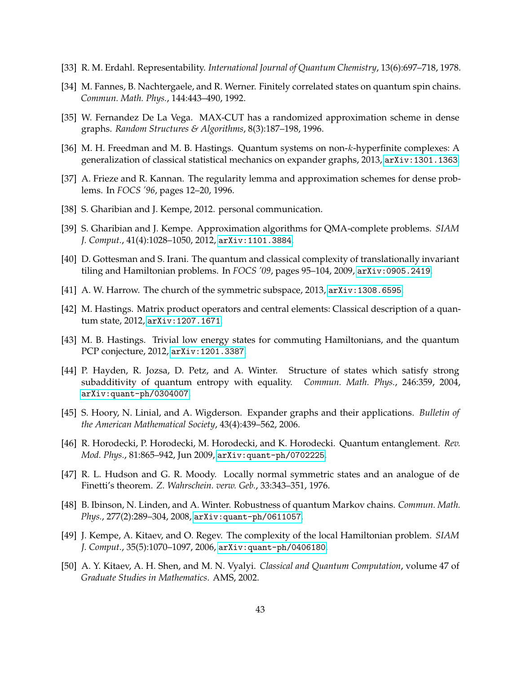- <span id="page-42-6"></span>[33] R. M. Erdahl. Representability. *International Journal of Quantum Chemistry*, 13(6):697–718, 1978.
- <span id="page-42-9"></span>[34] M. Fannes, B. Nachtergaele, and R. Werner. Finitely correlated states on quantum spin chains. *Commun. Math. Phys.*, 144:443–490, 1992.
- <span id="page-42-10"></span>[35] W. Fernandez De La Vega. MAX-CUT has a randomized approximation scheme in dense graphs. *Random Structures & Algorithms*, 8(3):187–198, 1996.
- <span id="page-42-5"></span>[36] M. H. Freedman and M. B. Hastings. Quantum systems on non-k-hyperfinite complexes: A generalization of classical statistical mechanics on expander graphs, 2013, [arXiv:1301.1363](http://arxiv.org/abs/1301.1363).
- <span id="page-42-11"></span>[37] A. Frieze and R. Kannan. The regularity lemma and approximation schemes for dense problems. In *FOCS '96*, pages 12–20, 1996.
- <span id="page-42-13"></span>[38] S. Gharibian and J. Kempe, 2012. personal communication.
- <span id="page-42-3"></span>[39] S. Gharibian and J. Kempe. Approximation algorithms for QMA-complete problems. *SIAM J. Comput.*, 41(4):1028–1050, 2012, [arXiv:1101.3884](http://arxiv.org/abs/1101.3884).
- <span id="page-42-2"></span>[40] D. Gottesman and S. Irani. The quantum and classical complexity of translationally invariant tiling and Hamiltonian problems. In *FOCS '09*, pages 95–104, 2009, [arXiv:0905.2419](http://arxiv.org/abs/0905.2419).
- <span id="page-42-14"></span>[41] A. W. Harrow. The church of the symmetric subspace, 2013, [arXiv:1308.6595](http://arxiv.org/abs/1308.6595).
- <span id="page-42-17"></span>[42] M. Hastings. Matrix product operators and central elements: Classical description of a quantum state, 2012, [arXiv:1207.1671](http://arxiv.org/abs/1207.1671).
- <span id="page-42-4"></span>[43] M. B. Hastings. Trivial low energy states for commuting Hamiltonians, and the quantum PCP conjecture, 2012, [arXiv:1201.3387](http://arxiv.org/abs/1201.3387).
- <span id="page-42-15"></span>[44] P. Hayden, R. Jozsa, D. Petz, and A. Winter. Structure of states which satisfy strong subadditivity of quantum entropy with equality. *Commun. Math. Phys.*, 246:359, 2004, [arXiv:quant-ph/0304007](http://arxiv.org/abs/quant-ph/0304007).
- <span id="page-42-7"></span>[45] S. Hoory, N. Linial, and A. Wigderson. Expander graphs and their applications. *Bulletin of the American Mathematical Society*, 43(4):439–562, 2006.
- <span id="page-42-8"></span>[46] R. Horodecki, P. Horodecki, M. Horodecki, and K. Horodecki. Quantum entanglement. *Rev. Mod. Phys.*, 81:865–942, Jun 2009, [arXiv:quant-ph/0702225](http://arxiv.org/abs/quant-ph/0702225).
- <span id="page-42-12"></span>[47] R. L. Hudson and G. R. Moody. Locally normal symmetric states and an analogue of de Finetti's theorem. *Z. Wahrschein. verw. Geb.*, 33:343–351, 1976.
- <span id="page-42-16"></span>[48] B. Ibinson, N. Linden, and A. Winter. Robustness of quantum Markov chains. *Commun. Math. Phys.*, 277(2):289–304, 2008, [arXiv:quant-ph/0611057](http://arxiv.org/abs/quant-ph/0611057).
- <span id="page-42-1"></span>[49] J. Kempe, A. Kitaev, and O. Regev. The complexity of the local Hamiltonian problem. *SIAM J. Comput.*, 35(5):1070–1097, 2006, [arXiv:quant-ph/0406180](http://arxiv.org/abs/quant-ph/0406180).
- <span id="page-42-0"></span>[50] A. Y. Kitaev, A. H. Shen, and M. N. Vyalyi. *Classical and Quantum Computation*, volume 47 of *Graduate Studies in Mathematics*. AMS, 2002.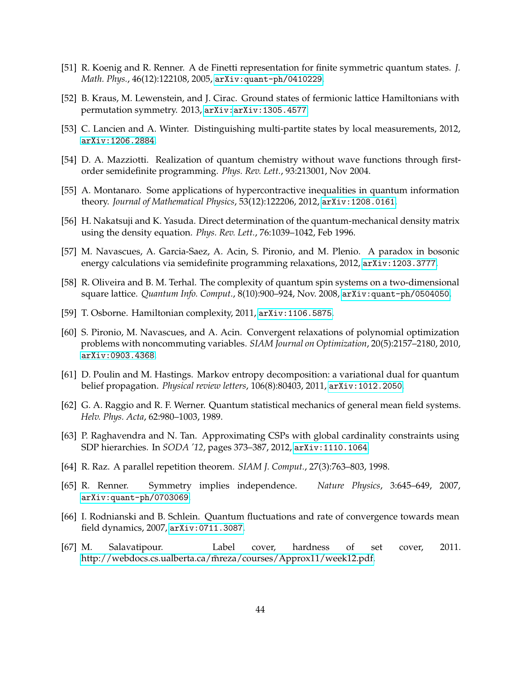- <span id="page-43-9"></span>[51] R. Koenig and R. Renner. A de Finetti representation for finite symmetric quantum states. *J. Math. Phys.*, 46(12):122108, 2005, [arXiv:quant-ph/0410229](http://arxiv.org/abs/quant-ph/0410229).
- <span id="page-43-7"></span>[52] B. Kraus, M. Lewenstein, and J. Cirac. Ground states of fermionic lattice Hamiltonians with permutation symmetry. 2013, [arXiv:arXiv:1305.4577](http://arxiv.org/abs/arXiv:1305.4577).
- <span id="page-43-13"></span>[53] C. Lancien and A. Winter. Distinguishing multi-partite states by local measurements, 2012, [arXiv:1206.2884](http://arxiv.org/abs/1206.2884).
- <span id="page-43-5"></span>[54] D. A. Mazziotti. Realization of quantum chemistry without wave functions through firstorder semidefinite programming. *Phys. Rev. Lett.*, 93:213001, Nov 2004.
- <span id="page-43-14"></span>[55] A. Montanaro. Some applications of hypercontractive inequalities in quantum information theory. *Journal of Mathematical Physics*, 53(12):122206, 2012, [arXiv:1208.0161](http://arxiv.org/abs/1208.0161).
- <span id="page-43-4"></span>[56] H. Nakatsuji and K. Yasuda. Direct determination of the quantum-mechanical density matrix using the density equation. *Phys. Rev. Lett.*, 76:1039–1042, Feb 1996.
- <span id="page-43-12"></span>[57] M. Navascues, A. Garcia-Saez, A. Acin, S. Pironio, and M. Plenio. A paradox in bosonic energy calculations via semidefinite programming relaxations, 2012, [arXiv:1203.3777](http://arxiv.org/abs/1203.3777).
- <span id="page-43-0"></span>[58] R. Oliveira and B. M. Terhal. The complexity of quantum spin systems on a two-dimensional square lattice. *Quantum Info. Comput.*, 8(10):900–924, Nov. 2008, [arXiv:quant-ph/0504050](http://arxiv.org/abs/quant-ph/0504050).
- <span id="page-43-1"></span>[59] T. Osborne. Hamiltonian complexity, 2011, [arXiv:1106.5875](http://arxiv.org/abs/1106.5875).
- <span id="page-43-11"></span>[60] S. Pironio, M. Navascues, and A. Acin. Convergent relaxations of polynomial optimization problems with noncommuting variables. *SIAM Journal on Optimization*, 20(5):2157–2180, 2010, [arXiv:0903.4368](http://arxiv.org/abs/0903.4368).
- <span id="page-43-2"></span>[61] D. Poulin and M. Hastings. Markov entropy decomposition: a variational dual for quantum belief propagation. *Physical review letters*, 106(8):80403, 2011, [arXiv:1012.2050](http://arxiv.org/abs/1012.2050).
- <span id="page-43-8"></span>[62] G. A. Raggio and R. F. Werner. Quantum statistical mechanics of general mean field systems. *Helv. Phys. Acta*, 62:980–1003, 1989.
- <span id="page-43-3"></span>[63] P. Raghavendra and N. Tan. Approximating CSPs with global cardinality constraints using SDP hierarchies. In *SODA '12*, pages 373–387, 2012, [arXiv:1110.1064](http://arxiv.org/abs/1110.1064).
- <span id="page-43-6"></span>[64] R. Raz. A parallel repetition theorem. *SIAM J. Comput.*, 27(3):763–803, 1998.
- <span id="page-43-10"></span>[65] R. Renner. Symmetry implies independence. *Nature Physics*, 3:645–649, 2007, [arXiv:quant-ph/0703069](http://arxiv.org/abs/quant-ph/0703069).
- <span id="page-43-16"></span>[66] I. Rodnianski and B. Schlein. Quantum fluctuations and rate of convergence towards mean field dynamics, 2007, [arXiv:0711.3087](http://arxiv.org/abs/0711.3087).
- <span id="page-43-15"></span>[67] M. Salavatipour. Label cover, hardness of set cover, 2011. http://webdocs.cs.ualberta.ca/m̃reza/courses/Approx11/week12.pdf.